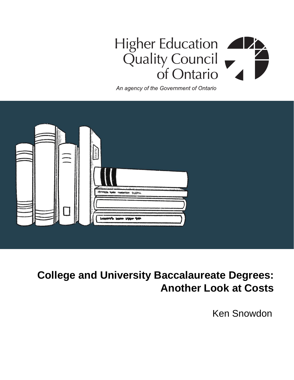# Higher Education Quality Council<br>of Ontario

An agency of the Government of Ontario

| 嵩 | -<br>$\mathbf{u}$<br>п                 |  |
|---|----------------------------------------|--|
|   | www.ym wm wwww. www.<br>wwwh www www w |  |

## **College and University Baccalaureate Degrees: Another Look at Costs**

Ken Snowdon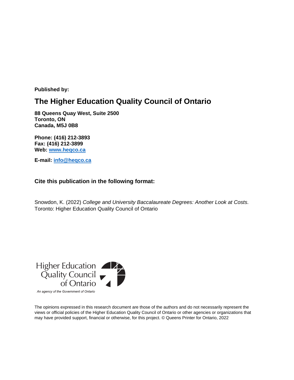**Published by:**

### **The Higher Education Quality Council of Ontario**

**88 Queens Quay West, Suite 2500 Toronto, ON Canada, M5J 0B8**

**Phone: (416) 212-3893 Fax: (416) 212-3899 Web: [www.heqco.ca](http://www.heqco.ca/)**

**E-mail: [info@heqco.ca](mailto:info@heqco.ca)**

#### **Cite this publication in the following format:**

Snowdon, K. (2022) *College and University Baccalaureate Degrees: Another Look at Costs.*  Toronto: Higher Education Quality Council of Ontario



An agency of the Government of Ontario

The opinions expressed in this research document are those of the authors and do not necessarily represent the views or official policies of the Higher Education Quality Council of Ontario or other agencies or organizations that may have provided support, financial or otherwise, for this project. © Queens Printer for Ontario, 2022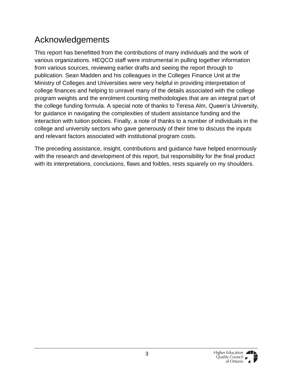### Acknowledgements

This report has benefitted from the contributions of many individuals and the work of various organizations. HEQCO staff were instrumental in pulling together information from various sources, reviewing earlier drafts and seeing the report through to publication. Sean Madden and his colleagues in the Colleges Finance Unit at the Ministry of Colleges and Universities were very helpful in providing interpretation of college finances and helping to unravel many of the details associated with the college program weights and the enrolment counting methodologies that are an integral part of the college funding formula. A special note of thanks to Teresa Alm, Queen's University, for guidance in navigating the complexities of student assistance funding and the interaction with tuition policies. Finally, a note of thanks to a number of individuals in the college and university sectors who gave generously of their time to discuss the inputs and relevant factors associated with institutional program costs.

The preceding assistance, insight, contributions and guidance have helped enormously with the research and development of this report, but responsibility for the final product with its interpretations, conclusions, flaws and foibles, rests squarely on my shoulders.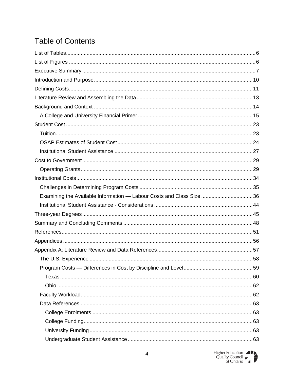### **Table of Contents**

| Examining the Available Information - Labour Costs and Class Size 36 |  |
|----------------------------------------------------------------------|--|
|                                                                      |  |
|                                                                      |  |
|                                                                      |  |
|                                                                      |  |
|                                                                      |  |
|                                                                      |  |
|                                                                      |  |
|                                                                      |  |
|                                                                      |  |
|                                                                      |  |
|                                                                      |  |
|                                                                      |  |
|                                                                      |  |
|                                                                      |  |
|                                                                      |  |
|                                                                      |  |

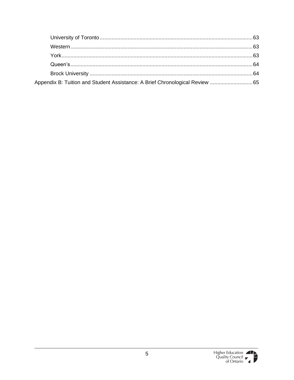| Appendix B: Tuition and Student Assistance: A Brief Chronological Review  65 |  |
|------------------------------------------------------------------------------|--|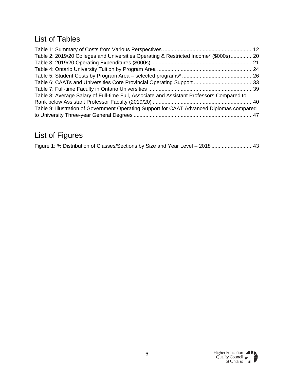### <span id="page-5-0"></span>List of Tables

| Table 2: 2019/20 Colleges and Universities Operating & Restricted Income* (\$000s)20      |  |
|-------------------------------------------------------------------------------------------|--|
|                                                                                           |  |
|                                                                                           |  |
|                                                                                           |  |
|                                                                                           |  |
|                                                                                           |  |
| Table 8: Average Salary of Full-time Full, Associate and Assistant Professors Compared to |  |
|                                                                                           |  |
| Table 9: Illustration of Government Operating Support for CAAT Advanced Diplomas compared |  |
|                                                                                           |  |

### <span id="page-5-1"></span>List of Figures

| Figure 1: % Distribution of Classes/Sections by Size and Year Level - 2018 43 |
|-------------------------------------------------------------------------------|
|-------------------------------------------------------------------------------|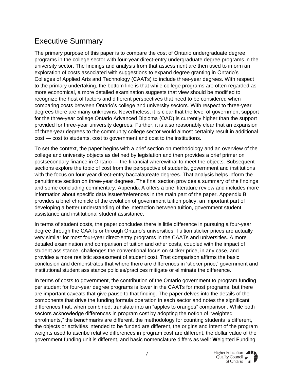### <span id="page-6-0"></span>Executive Summary

The primary purpose of this paper is to compare the cost of Ontario undergraduate degree programs in the college sector with four-year direct-entry undergraduate degree programs in the university sector. The findings and analysis from that assessment are then used to inform an exploration of costs associated with suggestions to expand degree granting in Ontario's Colleges of Applied Arts and Technology (CAATs) to include three-year degrees. With respect to the primary undertaking, the bottom line is that while college programs are often regarded as more economical, a more detailed examination suggests that view should be modified to recognize the host of factors and different perspectives that need to be considered when comparing costs between Ontario's college and university sectors. With respect to three-year degrees there are many unknowns. Nevertheless, it is clear that the level of government support for the three-year college Ontario Advanced Diploma (OAD) is currently higher than the support provided for three-year university degrees. Further, it is also reasonably clear that an expansion of three-year degrees to the community college sector would almost certainly result in additional cost — cost to students, cost to government and cost to the institutions.

To set the context, the paper begins with a brief section on methodology and an overview of the college and university objects as defined by legislation and then provides a brief primer on postsecondary finance in Ontario — the financial wherewithal to meet the objects. Subsequent sections explore the topic of cost from the perspective of students, government and institutions with the focus on four-year direct-entry baccalaureate degrees. That analysis helps inform the penultimate section on three-year degrees. The final section provides a summary of the findings and some concluding commentary. Appendix A offers a brief literature review and includes more information about specific data issues/references in the main part of the paper. Appendix B provides a brief chronicle of the evolution of government tuition policy, an important part of developing a better understanding of the interaction between tuition, government student assistance and institutional student assistance.

In terms of student costs, the paper concludes there is little difference in pursuing a four-year degree through the CAATs or through Ontario's universities. Tuition sticker prices are actually very similar for most four-year direct-entry programs in the CAATs and universities. A more detailed examination and comparison of tuition and other costs, coupled with the impact of student assistance, challenges the conventional focus on sticker price, in any case, and provides a more realistic assessment of student cost. That comparison affirms the basic conclusion and demonstrates that where there are differences in 'sticker price,' government and institutional student assistance policies/practices mitigate or eliminate the difference.

In terms of costs to government, the contribution of the Ontario government to program funding per student for four-year degree programs is lower in the CAATs for most programs, but there are important caveats that give pause to that finding. The paper delves into the details of the components that drive the funding formula operation in each sector and notes the significant differences that, when combined, translate into an "apples to oranges" comparison. While both sectors acknowledge differences in program cost by adopting the notion of "weighted enrolments," the benchmarks are different, the methodology for counting students is different, the objects or activities intended to be funded are different, the origins and intent of the program weights used to ascribe relative differences in program cost are different, the dollar value of the government funding unit is different, and basic nomenclature differs as well: **W**eighted **F**unding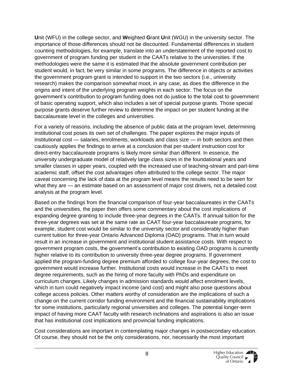**U**nit (WFU) in the college sector, and **W**eighted **G**rant **U**nit (WGU) in the university sector. The importance of those differences should not be discounted. Fundamental differences in student counting methodologies, for example, translate into an understatement of the reported cost to government of program funding per student in the CAATs relative to the universities. If the methodologies were the same it is estimated that the absolute government contribution per student would, in fact, be very similar in some programs. The difference in objects or activities the government program grant is intended to support in the two sectors (i.e., university research) makes the comparison somewhat moot, in any case, as does the difference in the origins and intent of the underlying program weights in each sector. The focus on the government's contribution to program funding does not do justice to the total cost to government of basic operating support, which also includes a set of special purpose grants. Those special purpose grants deserve further review to determine the impact on per student funding at the baccalaureate level in the colleges and universities.

For a variety of reasons, including the absence of public data at the program level, determining institutional cost poses its own set of challenges. The paper explores the major inputs of institutional cost — salaries, enrolments, workloads and class size — in both sectors and then cautiously applies the findings to arrive at a conclusion that per-student instruction cost for direct-entry baccalaureate programs is likely more similar than different. In essence, the university undergraduate model of relatively large class sizes in the foundational years and smaller classes in upper years, coupled with the increased use of teaching-stream and part-time academic staff, offset the cost advantages often attributed to the college sector. The major caveat concerning the lack of data at the program level means the results need to be seen for what they are — an estimate based on an assessment of major cost drivers, not a detailed cost analysis at the program level.

Based on the findings from the financial comparison of four-year baccalaureates in the CAATs and the universities, the paper then offers some commentary about the cost implications of expanding degree granting to include three-year degrees in the CAATs. If annual tuition for the three-year degrees was set at the same rate as CAAT four-year baccalaureate programs, for example, student cost would be similar to the university sector and considerably higher than current tuition for three-year Ontario Advanced Diploma (OAD) programs. That in turn would result in an increase in government and institutional student assistance costs. With respect to government program costs, the government's contribution to existing OAD programs is currently higher relative to its contribution to university three-year degree programs. If government applied the program-funding degree premium afforded to college four-year degrees, the cost to government would increase further. Institutional costs would increase in the CAATs to meet degree requirements, such as the hiring of more faculty with PhDs and expenditure on curriculum changes. Likely changes in admission standards would affect enrolment levels, which in turn could negatively impact income (and cost) and might also pose questions about college access policies. Other matters worthy of consideration are the implications of such a change on the current corridor funding environment and the financial sustainability implications for some institutions, particularly regional universities and colleges. The potential longer-term impact of having more CAAT faculty with research inclinations and aspirations is also an issue that has institutional cost implications and provincial funding implications.

Cost considerations are important in contemplating major changes in postsecondary education. Of course, they should not be the only considerations, nor, necessarily the most important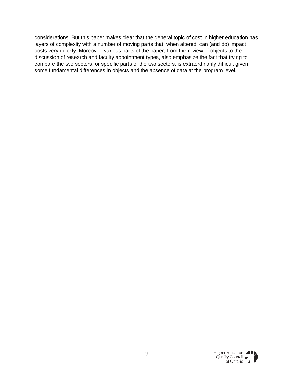considerations. But this paper makes clear that the general topic of cost in higher education has layers of complexity with a number of moving parts that, when altered, can (and do) impact costs very quickly. Moreover, various parts of the paper, from the review of objects to the discussion of research and faculty appointment types, also emphasize the fact that trying to compare the two sectors, or specific parts of the two sectors, is extraordinarily difficult given some fundamental differences in objects and the absence of data at the program level.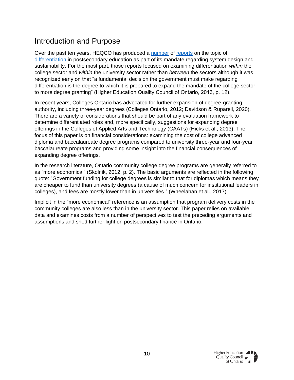### <span id="page-9-0"></span>Introduction and Purpose

Over the past ten years, HEQCO has produced a [number](https://heqco.ca/pub/the-differentiation-of-the-ontario-university-system-where-are-we-now-and-where-should-we-go/) of [reports](https://heqco.ca/pub/differentiation-within-the-ontario-college-system-options-and-opportunities/) on the topic of [differentiation](https://heqco.ca/wp-content/uploads/2020/03/DifferentiationENG.pdf) in postsecondary education as part of its mandate regarding system design and sustainability. For the most part, those reports focused on examining differentiation *within* the college sector and *within* the university sector rather than *between* the sectors although it was recognized early on that "a fundamental decision the government must make regarding differentiation is the degree to which it is prepared to expand the mandate of the college sector to more degree granting" (Higher Education Quality Council of Ontario, 2013, p. 12).

In recent years, Colleges Ontario has advocated for further expansion of degree-granting authority, including three-year degrees (Colleges Ontario, 2012; Davidson & Ruparell, 2020). There are a variety of considerations that should be part of any evaluation framework to determine differentiated roles and, more specifically, suggestions for expanding degree offerings in the Colleges of Applied Arts and Technology (CAATs) (Hicks et al., 2013). The focus of this paper is on financial considerations: examining the cost of college advanced diploma and baccalaureate degree programs compared to university three-year and four-year baccalaureate programs and providing some insight into the financial consequences of expanding degree offerings.

In the research literature, Ontario community college degree programs are generally referred to as "more economical" (Skolnik, 2012, p. 2). The basic arguments are reflected in the following quote: "Government funding for college degrees is similar to that for diplomas which means they are cheaper to fund than university degrees (a cause of much concern for institutional leaders in colleges), and fees are mostly lower than in universities." (Wheelahan et al., 2017)

Implicit in the "more economical" reference is an assumption that program delivery costs in the community colleges are also less than in the university sector. This paper relies on available data and examines costs from a number of perspectives to test the preceding arguments and assumptions and shed further light on postsecondary finance in Ontario.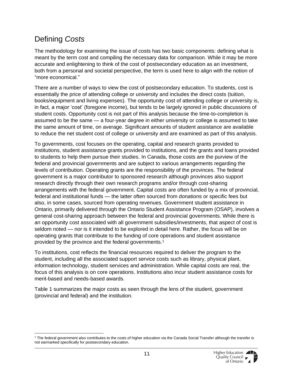### <span id="page-10-0"></span>Defining *Costs*

The methodology for examining the issue of costs has two basic components: defining what is meant by the term cost and compiling the necessary data for comparison. While it may be more accurate and enlightening to think of the cost of postsecondary education as an investment, both from a personal and societal perspective, the term is used here to align with the notion of "more economical."

There are a number of ways to view the cost of postsecondary education. To students, cost is essentially the price of attending college or university and includes the direct costs (tuition, books/equipment and living expenses). The opportunity cost of attending college or university is, in fact, a major 'cost' (foregone income), but tends to be largely ignored in public discussions of student costs. Opportunity cost is not part of this analysis because the time-to-completion is assumed to be the same — a four-year degree in either university or college is assumed to take the same amount of time, on average. Significant amounts of student assistance are available to reduce the net student cost of college or university and are examined as part of this analysis.

To governments, cost focuses on the operating, capital and research grants provided to institutions, student assistance grants provided to institutions, and the grants and loans provided to students to help them pursue their studies. In Canada, those costs are the purview of the federal and provincial governments and are subject to various arrangements regarding the levels of contribution. Operating grants are the responsibility of the provinces. The federal government is a major contributor to sponsored research although provinces also support research directly through their own research programs and/or through cost-sharing arrangements with the federal government. Capital costs are often funded by a mix of provincial, federal and institutional funds — the latter often sourced from donations or specific fees but also, in some cases, sourced from operating revenues. Government student assistance in Ontario, primarily delivered through the Ontario Student Assistance Program (OSAP), involves a general cost-sharing approach between the federal and provincial governments. While there is an opportunity cost associated with all government subsidies/investments, that aspect of cost is seldom noted — nor is it intended to be explored in detail here. Rather, the focus will be on operating grants that contribute to the funding of core operations and student assistance provided by the province and the federal governments.<sup>1</sup>

To institutions, cost reflects the financial resources required to deliver the program to the student, including all the associated support service costs such as library, physical plant, information technology, student services and administration. While capital costs are real, the focus of this analysis is on core operations. Institutions also incur student assistance costs for merit-based and needs-based awards.

Table 1 summarizes the major costs as seen through the lens of the student, government (provincial and federal) and the institution.

<sup>1</sup> The federal government also contributes to the costs of higher education via the Canada Social Transfer although the transfer is not earmarked specifically for postsecondary education.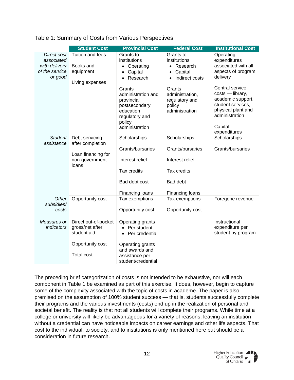<span id="page-11-0"></span>

| Table 1: Summary of Costs from Various Perspectives |
|-----------------------------------------------------|
|-----------------------------------------------------|

|                                 | <b>Student Cost</b>    | <b>Provincial Cost</b>           | <b>Federal Cost</b>                    | <b>Institutional Cost</b>           |
|---------------------------------|------------------------|----------------------------------|----------------------------------------|-------------------------------------|
| Direct cost                     | Tuition and fees       | Grants to                        | Grants to                              | Operating                           |
| associated                      |                        | institutions                     | institutions                           | expenditures<br>associated with all |
| with delivery<br>of the service | Books and<br>equipment | • Operating                      | • Research                             | aspects of program                  |
| or good                         |                        | Capital<br>$\bullet$<br>Research | Capital<br>$\bullet$<br>Indirect costs | delivery                            |
|                                 | Living expenses        | $\bullet$                        | $\bullet$                              |                                     |
|                                 |                        | Grants                           | Grants                                 | Central service                     |
|                                 |                        | administration and               | administration,                        | costs - library,                    |
|                                 |                        | provincial                       | regulatory and                         | academic support,                   |
|                                 |                        | postsecondary                    | policy                                 | student services,                   |
|                                 |                        | education                        | administration                         | physical plant and                  |
|                                 |                        | regulatory and                   |                                        | administration                      |
|                                 |                        | policy                           |                                        | Capital                             |
|                                 |                        | administration                   |                                        | expenditures                        |
| <b>Student</b>                  | Debt servicing         | Scholarships                     | Scholarships                           | Scholarships                        |
| assistance                      | after completion       |                                  |                                        |                                     |
|                                 |                        | Grants/bursaries                 | Grants/bursaries                       | Grants/bursaries                    |
|                                 | Loan financing for     |                                  |                                        |                                     |
|                                 | non-government         | Interest relief                  | Interest relief                        |                                     |
|                                 | loans                  | Tax credits                      | <b>Tax credits</b>                     |                                     |
|                                 |                        |                                  |                                        |                                     |
|                                 |                        | Bad debt cost                    | <b>Bad debt</b>                        |                                     |
|                                 |                        |                                  |                                        |                                     |
|                                 |                        | Financing loans                  | Financing loans                        |                                     |
| Other                           | Opportunity cost       | Tax exemptions                   | Tax exemptions                         | Foregone revenue                    |
| subsidies/                      |                        |                                  |                                        |                                     |
| costs                           |                        | Opportunity cost                 | Opportunity cost                       |                                     |
| Measures or                     | Direct out-of-pocket   | Operating grants                 |                                        | Instructional                       |
| indicators                      | gross/net after        | • Per student                    |                                        | expenditure per                     |
|                                 | student aid            | Per credential<br>$\bullet$      |                                        | student by program                  |
|                                 |                        |                                  |                                        |                                     |
|                                 | Opportunity cost       | Operating grants                 |                                        |                                     |
|                                 |                        | and awards and                   |                                        |                                     |
|                                 | <b>Total cost</b>      | assistance per                   |                                        |                                     |
|                                 |                        | student/credential               |                                        |                                     |

The preceding brief categorization of costs is not intended to be exhaustive, nor will each component in Table 1 be examined as part of this exercise. It does, however, begin to capture some of the complexity associated with the topic of costs in academe. The paper is also premised on the assumption of 100% student success — that is, students successfully complete their programs and the various investments (costs) end up in the realization of personal and societal benefit. The reality is that not all students will complete their programs. While time at a college or university will likely be advantageous for a variety of reasons, leaving an institution without a credential can have noticeable impacts on career earnings and other life aspects. That cost to the individual, to society, and to institutions is only mentioned here but should be a consideration in future research.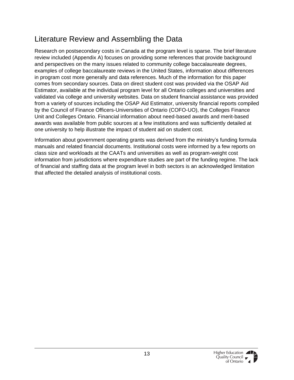### <span id="page-12-0"></span>Literature Review and Assembling the Data

Research on postsecondary costs in Canada at the program level is sparse. The brief literature review included (Appendix A) focuses on providing some references that provide background and perspectives on the many issues related to community college baccalaureate degrees, examples of college baccalaureate reviews in the United States, information about differences in program cost more generally and data references. Much of the information for this paper comes from secondary sources. Data on direct student cost was provided via the OSAP Aid Estimator, available at the individual program level for all Ontario colleges and universities and validated via college and university websites. Data on student financial assistance was provided from a variety of sources including the OSAP Aid Estimator, university financial reports compiled by the Council of Finance Officers-Universities of Ontario (COFO-UO), the Colleges Finance Unit and Colleges Ontario. Financial information about need-based awards and merit-based awards was available from public sources at a few institutions and was sufficiently detailed at one university to help illustrate the impact of student aid on student cost.

Information about government operating grants was derived from the ministry's funding formula manuals and related financial documents. Institutional costs were informed by a few reports on class size and workloads at the CAATs and universities as well as program-weight cost information from jurisdictions where expenditure studies are part of the funding regime. The lack of financial and staffing data at the program level in both sectors is an acknowledged limitation that affected the detailed analysis of institutional costs.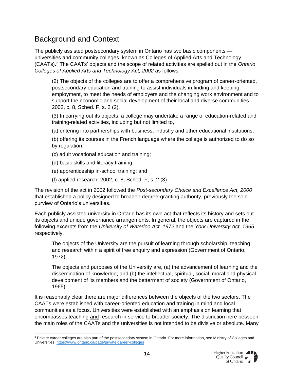### <span id="page-13-0"></span>Background and Context

The publicly assisted postsecondary system in Ontario has two basic components universities and community colleges, known as Colleges of Applied Arts and Technology (CAATs).<sup>2</sup> The CAATs' objects and the scope of related activities are spelled out in the *Ontario Colleges of Applied Arts and Technology Act, 2002* as follows:

(2) The objects of the colleges are to offer a comprehensive program of career-oriented, postsecondary education and training to assist individuals in finding and keeping employment, to meet the needs of employers and the changing work environment and to support the economic and social development of their local and diverse communities. 2002, c. 8, Sched. F, s. 2 (2).

(3) In carrying out its objects, a college may undertake a range of education-related and training-related activities, including but not limited to,

(a) entering into partnerships with business, industry and other educational institutions;

(b) offering its courses in the French language where the college is authorized to do so by regulation;

- (c) adult vocational education and training;
- (d) basic skills and literacy training;
- (e) apprenticeship in-school training; and
- (f) applied research. 2002, c. 8, Sched. F, s. 2 (3).

The revision of the act in 2002 followed the *Post-secondary Choice and Excellence Act, 2000* that established a policy designed to broaden degree-granting authority, previously the sole purview of Ontario's universities.

Each publicly assisted university in Ontario has its own act that reflects its history and sets out its objects and unique governance arrangements. In general, the objects are captured in the following excerpts from the *University of Waterloo Act, 1972* and the *York University Act, 1965*, respectively.

The objects of the University are the pursuit of learning through scholarship, teaching and research within a spirit of free enquiry and expression (Government of Ontario, 1972).

The objects and purposes of the University are, (a) the advancement of learning and the dissemination of knowledge; and (b) the intellectual, spiritual, social, moral and physical development of its members and the betterment of society (Government of Ontario, 1965).

It is reasonably clear there are major differences between the objects of the two sectors. The CAATs were established with career-oriented education and training in mind and local communities as a focus. Universities were established with an emphasis on learning that encompasses teaching and research in service to broader society. The distinction here between the main roles of the CAATs and the universities is not intended to be divisive or absolute. Many

<sup>&</sup>lt;sup>2</sup> Private career colleges are also part of the postsecondary system in Ontario. For more information, see Ministry of Colleges and Universities: <https://www.ontario.ca/page/private-career-colleges>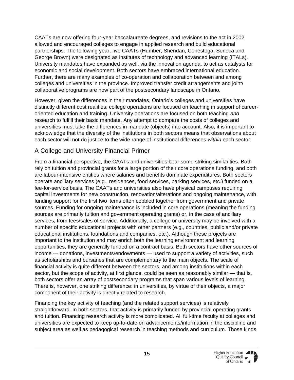CAATs are now offering four-year baccalaureate degrees, and revisions to the act in 2002 allowed and encouraged colleges to engage in applied research and build educational partnerships. The following year, five CAATs (Humber, Sheridan, Conestoga, Seneca and George Brown) were designated as institutes of technology and advanced learning (ITALs). University mandates have expanded as well, via the innovation agenda, to act as catalysts for economic and social development. Both sectors have embraced international education. Further, there are many examples of co-operation and collaboration between and among colleges and universities in the province. Improved transfer credit arrangements and joint/ collaborative programs are now part of the postsecondary landscape in Ontario.

However, given the differences in their mandates, Ontario's colleges and universities have distinctly different cost realities; college operations are focused on teaching in support of careeroriented education and training. University operations are focused on both teaching *and* research to fulfill their basic mandate. Any attempt to compare the costs of colleges and universities must take the differences in mandate (objects) into account. Also, it is important to acknowledge that the diversity of the institutions in both sectors means that observations about each sector will not do justice to the wide range of institutional differences *within* each sector.

#### <span id="page-14-0"></span>A College and University Financial Primer

From a financial perspective, the CAATs and universities bear some striking similarities. Both rely on tuition and provincial grants for a large portion of their core operations funding, and both are labour-intensive entities where salaries and benefits dominate expenditures. Both sectors operate ancillary services (e.g., residences, food services, parking services, etc.) funded on a fee-for-service basis. The CAATs and universities also have physical campuses requiring capital investments for new construction, renovation/alterations and ongoing maintenance, with funding support for the first two items often cobbled together from government and private sources. Funding for ongoing maintenance is included in core operations (meaning the funding sources are primarily tuition and government operating grants) or, in the case of ancillary services, from fees/sales of service. Additionally, a college or university may be involved with a number of specific educational projects with other partners (e.g., countries, public and/or private educational institutions, foundations and companies, etc.). Although these projects are important to the institution and may enrich both the learning environment and learning opportunities, they are generally funded on a contract basis. Both sectors have other sources of income — donations, investments/endowments — used to support a variety of activities, such as scholarships and bursaries that are complementary to the main objects. The scale of financial activity is quite different between the sectors, and among institutions within each sector, but the scope of activity, at first glance, could be seen as reasonably similar — that is, both sectors offer an array of postsecondary programs that span various levels of learning. There is, however, one striking difference: in universities, by virtue of their objects, a major component of their activity is directly related to research.

Financing the key activity of teaching (and the related support services) is relatively straightforward. In both sectors, that activity is primarily funded by provincial operating grants and tuition. Financing research activity is more complicated. All full-time faculty at colleges and universities are expected to keep up-to-date on advancements/information in the discipline and subject area as well as pedagogical research in teaching methods and curriculum. Those kinds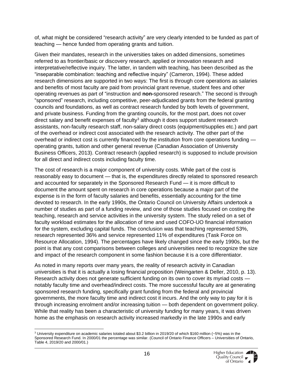of, what might be considered "research activity" are very clearly intended to be funded as part of teaching — hence funded from operating grants and tuition.

Given their mandates, research in the universities takes on added dimensions, sometimes referred to as frontier/basic or discovery research, applied or innovation research and interpretative/reflective inquiry. The latter, in tandem with teaching, has been described as the "inseparable combination: teaching and reflective inquiry" (Cameron, 1994). These added research dimensions are supported in two ways: The first is through core operations as salaries and benefits of most faculty are paid from provincial grant revenue, student fees and other operating revenues as part of "instruction and **non-**sponsored research." The second is through "sponsored" research, including competitive, peer-adjudicated grants from the federal granting councils and foundations, as well as contract research funded by both levels of government, and private business. Funding from the granting councils, for the most part, does not cover direct salary and benefit expenses of faculty<sup>3</sup> although it does support student research assistants, non-faculty research staff, non-salary direct costs (equipment/supplies etc.) and part of the overhead or indirect cost associated with the research activity. The other part of the overhead or indirect cost is currently financed by the institution from core operations funding operating grants, tuition and other general revenue (Canadian Association of University Business Officers, 2013). Contract research (applied research) is supposed to include provision for all direct and indirect costs including faculty time.

The cost of research is a major component of university costs. While part of the cost is reasonably easy to document — that is, the expenditures directly related to sponsored research and accounted for separately in the Sponsored Research Fund — it is more difficult to document the amount spent on research in core operations because a major part of the expense is in the form of faculty salaries and benefits, essentially accounting for the time devoted to research. In the early 1990s, the Ontario Council on University Affairs undertook a number of studies as part of a funding review, and one of those studies focused on costing the teaching, research and service activities in the university system. The study relied on a set of faculty workload estimates for the allocation of time and used COFO-UO financial information for the system, excluding capital funds. The conclusion was that teaching represented 53%, research represented 36% and service represented 11% of expenditures (Task Force on Resource Allocation, 1994). The percentages have likely changed since the early 1990s, but the point is that any cost comparisons between colleges and universities need to recognize the size and impact of the research component in some fashion because it is a core differentiator.

As noted in many reports over many years, the reality of research activity in Canadian universities is that it is actually a losing financial proposition (Weingarten & Deller, 2010, p. 13). Research activity does not generate sufficient funding on its own to cover its myriad costs notably faculty time and overhead/indirect costs. The more successful faculty are at generating sponsored research funding, specifically grant funding from the federal and provincial governments, the more faculty time and indirect cost it incurs. And the only way to pay for it is through increasing enrolment and/or increasing tuition — both dependent on government policy. While that reality has been a characteristic of university funding for many years, it was driven home as the emphasis on research activity increased markedly in the late 1990s and early

 $3$  University expenditure on academic salaries totaled about \$3.2 billion in 2019/20 of which \$160 million (~5%) was in the Sponsored Research Fund. In 2000/01 the percentage was similar. (Council of Ontario Finance Officers – Universities of Ontario, Table 4, 2019/20 and 2000/01.)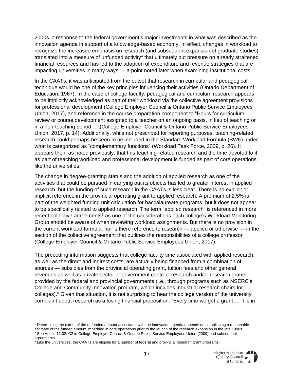2000s in response to the federal government's major investments in what was described as the innovation agenda in support of a knowledge-based economy. In effect, changes in workload to recognize the increased emphasis on research (and subsequent expansion of graduate studies) translated into a measure of unfunded activity<sup>4</sup> that ultimately put pressure on already straitened financial resources and has led to the adoption of expenditure and revenue strategies that are impacting universities in many ways — a point noted later when examining institutional costs.

In the CAATs, it was anticipated from the outset that research in curricular and pedagogical technique would be one of the key principles influencing their activities (Ontario Department of Education, 1967). In the case of college faculty, pedagogical and curriculum research appears to be implicitly acknowledged as part of their workload via the collective agreement provisions for professional development (College Employer Council & Ontario Public Service Employees Union, 2017), and reference in the course preparation component to "Hours for curriculum review or course development assigned to a teacher on an ongoing basis, in lieu of teaching or in a non-teaching period…" (College Employer Council & Ontario Public Service Employees Union, 2017, p. 14). Additionally, while not prescribed for reporting purposes, teaching-related research could perhaps be seen to be included in the Standard Workload Formula (SWF) under what is categorized as "complementary functions" (Workload Task Force, 2009, p. 26). It appears then, as noted previously, that this teaching-related research and the time devoted to it as part of teaching workload and professional development is funded as part of core operations like the universities.

The change in degree-granting status and the addition of applied research as one of the activities that could be pursued in carrying out its objects has led to greater interest in applied research, but the funding of such research in the CAATs is less clear. There is no explicit or implicit reference in the provincial operating grant to applied research. A premium of 2.5% is part of the weighted funding unit calculation for baccalaureate programs, but it does not appear to be specifically related to applied research. The term "applied research" is referenced in more recent collective agreements<sup>5</sup> as one of the considerations each college's Workload Monitoring Group should be aware of when reviewing workload assignments. But there is no provision in the current workload formula, nor is there reference to research — applied or otherwise — in the section of the collective agreement that outlines the responsibilities of a college professor (College Employer Council & Ontario Public Service Employees Union, 2017).

The preceding information suggests that college faculty time associated with applied research, as well as the direct and indirect costs, are actually being financed from a combination of sources — subsidies from the provincial operating grant, tuition fees and other general revenues as well as private sector or government contract research and/or research grants provided by the federal and provincial governments (i.e., through programs such as NSERC's College and Community Innovation program, which includes industrial research chairs for colleges).<sup>6</sup> Given that situation, it is not surprising to hear the college version of the university complaint about research as a losing financial proposition: "Every time we get a grant … it is in

<sup>4</sup> Determining the extent of the unfunded amount associated with the innovation agenda depends on establishing a reasonable estimate of the funded amount imbedded in core operations prior to the launch of the research expansion in the late 1990s. <sup>5</sup> See Article 11.02. C2 in College Employer Council & Ontario Public Service Employees Union (2009) and subsequent agreements.

 $6$  Like the universities, the CAATs are eligible for a number of federal and provincial research grant programs.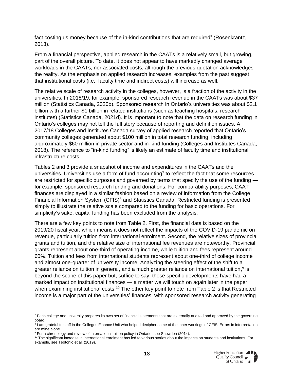fact costing us money because of the in-kind contributions that are required" (Rosenkrantz, 2013).

From a financial perspective, applied research in the CAATs is a relatively small, but growing, part of the overall picture. To date, it does not appear to have markedly changed average workloads in the CAATs, nor associated costs, although the previous quotation acknowledges the reality. As the emphasis on applied research increases, examples from the past suggest that institutional costs (i.e., faculty time and indirect costs) will increase as well.

The relative scale of research activity in the colleges, however, is a fraction of the activity in the universities. In 2018/19, for example, sponsored research revenue in the CAATs was about \$37 million (Statistics Canada, 2020b). Sponsored research in Ontario's universities was about \$2.1 billion with a further \$1 billion in related institutions (such as teaching hospitals, research institutes) (Statistics Canada, 2021d). It is important to note that the data on research funding in Ontario's colleges may not tell the full story because of reporting and definition issues. A 2017/18 Colleges and Institutes Canada survey of applied research reported that Ontario's community colleges generated about \$100 million in total research funding, including approximately \$60 million in private sector and in-kind funding (Colleges and Institutes Canada, 2018). The reference to "in-kind funding" is likely an estimate of faculty time and institutional infrastructure costs.

Tables 2 and 3 provide a snapshot of income and expenditures in the CAATs and the universities. Universities use a form of fund accounting<sup>7</sup> to reflect the fact that some resources are restricted for specific purposes and governed by terms that specify the use of the funding for example, sponsored research funding and donations. For comparability purposes, CAAT finances are displayed in a similar fashion based on a review of information from the College Financial Information System (CFIS)<sup>8</sup> and Statistics Canada. Restricted funding is presented simply to illustrate the relative scale compared to the funding for basic operations. For simplicity's sake, capital funding has been excluded from the analysis.

There are a few key points to note from Table 2. First, the financial data is based on the 2019/20 fiscal year, which means it does not reflect the impacts of the COVID-19 pandemic on revenue, particularly tuition from international enrolment. Second, the relative sizes of provincial grants and tuition, and the relative size of international fee revenues are noteworthy. Provincial grants represent about one-third of operating income, while tuition and fees represent around 60%. Tuition and fees from international students represent about one-third of college income and almost one-quarter of university income. Analyzing the steering effect of the shift to a greater reliance on tuition in general, and a much greater reliance on international tuition,<sup>9</sup> is beyond the scope of this paper but, suffice to say, those specific developments have had a marked impact on institutional finances — a matter we will touch on again later in the paper when examining institutional costs.<sup>10</sup> The other key point to note from Table 2 is that Restricted income is a major part of the universities' finances, with sponsored research activity generating

 $7$  Each college and university prepares its own set of financial statements that are externally audited and approved by the governing board.

<sup>&</sup>lt;sup>8</sup> I am grateful to staff in the Colleges Finance Unit who helped decipher some of the inner workings of CFIS. Errors in interpretation are mine alone.

<sup>&</sup>lt;sup>9</sup> For a chronology and review of international tuition policy in Ontario, see Snowdon (2014).

<sup>&</sup>lt;sup>10</sup> The significant increase in international enrolment has led to various stories about the impacts on students and institutions. For example, see Teotonio et al. (2019).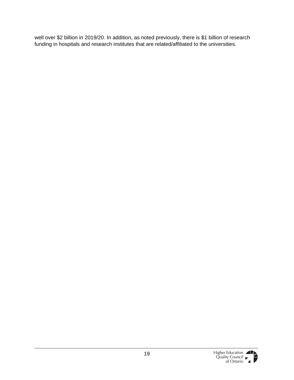well over \$2 billion in 2019/20. In addition, as noted previously, there is \$1 billion of research funding in hospitals and research institutes that are related/affiliated to the universities.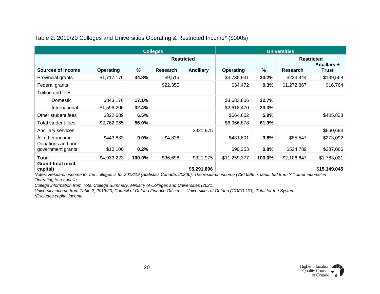|                                         |                  |        | <b>Colleges</b>   |                  | <b>Universities</b> |        |             |                             |  |
|-----------------------------------------|------------------|--------|-------------------|------------------|---------------------|--------|-------------|-----------------------------|--|
|                                         |                  |        | <b>Restricted</b> |                  |                     |        |             | <b>Restricted</b>           |  |
| <b>Sources of Income</b>                | <b>Operating</b> | %      | Research          | <b>Ancillary</b> | <b>Operating</b>    | %      | Research    | Ancillary +<br><b>Trust</b> |  |
| Provincial grants                       | \$1,717,176      | 34.8%  | \$9,515           |                  | \$3,735,931         | 33.2%  | \$223,444   | \$139,568                   |  |
| Federal grants                          |                  |        | \$22,355          |                  | \$34,472            | 0.3%   | \$1,272,867 | \$16,764                    |  |
| Tuition and fees                        |                  |        |                   |                  |                     |        |             |                             |  |
| Domestic                                | \$843,170        | 17.1%  |                   |                  | \$3,683,806         | 32.7%  |             |                             |  |
| International                           | \$1,596,206      | 32.4%  |                   |                  | \$2,618,470         | 23.3%  |             |                             |  |
| Other student fees                      | \$322,689        | 6.5%   |                   |                  | \$664,602           | 5.9%   |             | \$405,838                   |  |
| Total student fees                      | \$2,762,065      | 56.0%  |                   |                  | \$6,966,878         | 61.9%  |             |                             |  |
| Ancillary services                      |                  |        |                   | \$321,975        |                     |        |             | \$660,693                   |  |
| All other income                        | \$443,883        | 9.0%   | \$4,828           |                  | \$431,801           | 3.8%   | \$85,547    | \$273,092                   |  |
| Donations and non-<br>government grants | \$10,100         | 0.2%   |                   |                  | \$90,253            | 0.8%   | \$524,789   | \$287,066                   |  |
| <b>Total</b>                            | \$4,933,223      | 100.0% | \$36,698          | \$321,975        | \$11,259,377        | 100.0% | \$2,106,647 | \$1,783,021                 |  |
| <b>Grand total (excl.</b><br>capital)   |                  |        |                   | \$5,291,896      |                     |        |             | \$15,149,045                |  |

Table 2: 2019/20 Colleges and Universities Operating & Restricted Income\* (\$000s)

<span id="page-19-0"></span>*Notes: Research income for the colleges is for 2018/19 (Statistics Canada, 2020b). The research income (\$36,698) is deducted from 'All other income' in Operating to reconcile.* 

*College information from Total College Summary, Ministry of Colleges and Universities (2021).*

*University income from Table 2, 2019/20, Council of Ontario Finance Officers – Universities of Ontario (COFO-UO), Total for the System. \*Excludes capital income*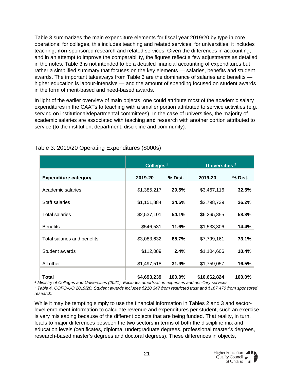Table 3 summarizes the main expenditure elements for fiscal year 2019/20 by type in core operations: for colleges, this includes teaching and related services; for universities, it includes teaching, **non**-sponsored research and related services. Given the differences in accounting, and in an attempt to improve the comparability, the figures reflect a few adjustments as detailed in the notes. Table 3 is not intended to be a detailed financial accounting of expenditures but rather a simplified summary that focuses on the key elements — salaries, benefits and student awards. The important takeaways from Table 3 are the dominance of salaries and benefits higher education is labour-intensive — and the amount of spending focused on student awards in the form of merit-based and need-based awards.

In light of the earlier overview of main objects, one could attribute most of the academic salary expenditures in the CAATs to teaching with a smaller portion attributed to service activities (e.g., serving on institutional/departmental committees). In the case of universities, the majority of academic salaries are associated with teaching **and** research with another portion attributed to service (to the institution, department, discipline and community).

|                             | Colleges <sup>1</sup> |         | Universities <sup>2</sup> |         |
|-----------------------------|-----------------------|---------|---------------------------|---------|
| <b>Expenditure category</b> | 2019-20               | % Dist. | 2019-20                   | % Dist. |
| Academic salaries           | \$1,385,217           | 29.5%   | \$3,467,116               | 32.5%   |
| Staff salaries              | \$1,151,884           | 24.5%   | \$2,798,739               | 26.2%   |
| <b>Total salaries</b>       | \$2,537,101           | 54.1%   | \$6,265,855               | 58.8%   |
| <b>Benefits</b>             | \$546,531             | 11.6%   | \$1,533,306               | 14.4%   |
| Total salaries and benefits | \$3,083,632           | 65.7%   | \$7,799,161               | 73.1%   |
| Student awards              | \$112,089             | 2.4%    | \$1,104,606               | 10.4%   |
| All other                   | \$1,497,518           | 31.9%   | \$1,759,057               | 16.5%   |
| Total                       | \$4,693,239           | 100.0%  | \$10,662,824              | 100.0%  |

#### <span id="page-20-0"></span>Table 3: 2019/20 Operating Expenditures (\$000s)

*<sup>1</sup> Ministry of Colleges and Universities (2021). Excludes amortization expenses and ancillary services.* 

*<sup>2</sup> Table 4, COFO-UO 2019/20. Student awards includes \$210,347 from restricted trust and \$167,470 from sponsored research.*

While it may be tempting simply to use the financial information in Tables 2 and 3 and sectorlevel enrolment information to calculate revenue and expenditures per student, such an exercise is very misleading because of the different objects that are being funded. That reality, in turn, leads to major differences between the two sectors in terms of both the discipline mix and education levels (certificates, diploma, undergraduate degrees, professional master's degrees, research-based master's degrees and doctoral degrees). These differences in objects,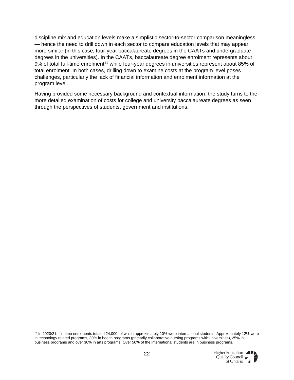discipline mix and education levels make a simplistic sector-to-sector comparison meaningless — hence the need to drill down in each sector to compare education levels that may appear more similar (in this case, four-year baccalaureate degrees in the CAATs and undergraduate degrees in the universities). In the CAATs, baccalaureate degree enrolment represents about 9% of total full-time enrolment<sup>11</sup> while four-year degrees in universities represent about 85% of total enrolment. In both cases, drilling down to examine costs at the program level poses challenges, particularly the lack of financial information and enrolment information at the program level.

Having provided some necessary background and contextual information, the study turns to the more detailed examination of costs for college and university baccalaureate degrees as seen through the perspectives of students, government and institutions.

<sup>11</sup> In 2020/21, full-time enrolments totaled 24,000, of which approximately 10% were international students. Approximately 12% were in technology related programs, 30% in health programs (primarily collaborative nursing programs with universities), 25% in business programs and over 30% in arts programs. Over 50% of the international students are in business programs.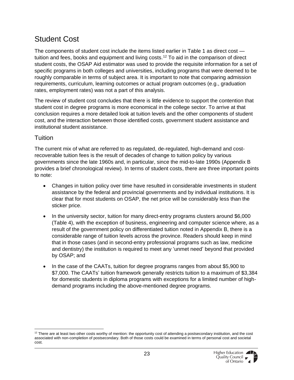### <span id="page-22-0"></span>Student Cost

The components of student cost include the items listed earlier in Table 1 as direct cost tuition and fees, books and equipment and living costs.<sup>12</sup> To aid in the comparison of direct student costs, the OSAP Aid estimator was used to provide the requisite information for a set of specific programs in both colleges and universities, including programs that were deemed to be roughly comparable in terms of subject area. It is important to note that comparing admission requirements, curriculum, learning outcomes or actual program outcomes (e.g., graduation rates, employment rates) was not a part of this analysis.

The review of student cost concludes that there is little evidence to support the contention that student cost in degree programs is more economical in the college sector. To arrive at that conclusion requires a more detailed look at tuition levels and the other components of student cost, and the interaction between those identified costs, government student assistance and institutional student assistance.

#### <span id="page-22-1"></span>**Tuition**

The current mix of what are referred to as regulated, de-regulated, high-demand and costrecoverable tuition fees is the result of decades of change to tuition policy by various governments since the late 1960s and, in particular, since the mid-to-late 1990s (Appendix B provides a brief chronological review). In terms of student costs, there are three important points to note:

- Changes in tuition policy over time have resulted in considerable investments in student assistance by the federal and provincial governments and by individual institutions. It is clear that for most students on OSAP, the net price will be considerably less than the sticker price.
- In the university sector, tuition for many direct-entry programs clusters around \$6,000 (Table 4), with the exception of business, engineering and computer science where, as a result of the government policy on differentiated tuition noted in Appendix B, there is a considerable range of tuition levels across the province. Readers should keep in mind that in those cases (and in second-entry professional programs such as law, medicine and dentistry) the institution is required to meet any 'unmet need' beyond that provided by OSAP; and
- In the case of the CAATs, tuition for degree programs ranges from about \$5,900 to \$7,000. The CAATs' tuition framework generally restricts tuition to a maximum of \$3,384 for domestic students in diploma programs with exceptions for a limited number of highdemand programs including the above-mentioned degree programs.

 $12$  There are at least two other costs worthy of mention: the opportunity cost of attending a postsecondary institution, and the cost associated with non-completion of postsecondary. Both of those costs could be examined in terms of personal cost and societal cost.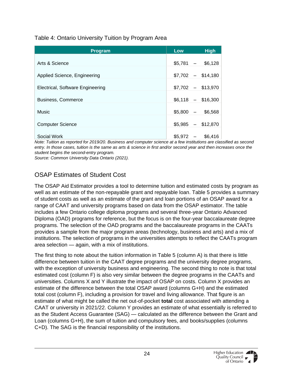#### <span id="page-23-1"></span>Table 4: Ontario University Tuition by Program Area

| <b>Program</b>                   | <b>Low</b> | <b>High</b>         |
|----------------------------------|------------|---------------------|
|                                  |            |                     |
| Arts & Science                   | $$5,781 -$ | \$6,128             |
|                                  |            |                     |
| Applied Science, Engineering     |            | $$7,702 - $14,180$  |
| Electrical, Software Engineering |            | $$7,702 - $13,970$  |
|                                  |            |                     |
| Business, Commerce               |            | $$6,118$ - \$16,300 |
|                                  |            |                     |
| Music                            | $$5,800 -$ | \$6,568             |
|                                  |            |                     |
| <b>Computer Science</b>          | \$5,985    | $-$ \$12,870        |
| Social Work                      | \$5,972    | \$6,416             |

*Note: Tuition as reported for 2019/20. Business and computer science at a few institutions are classified as second entry. In those cases, tuition is the same as arts & science in first and/or second year and then increases once the student begins the second-entry program.*

*Source: Common University Data Ontario (2021).* 

#### <span id="page-23-0"></span>OSAP Estimates of Student Cost

The OSAP Aid Estimator provides a tool to determine tuition and estimated costs by program as well as an estimate of the non-repayable grant and repayable loan. Table 5 provides a summary of student costs as well as an estimate of the grant and loan portions of an OSAP award for a range of CAAT and university programs based on data from the OSAP estimator. The table includes a few Ontario college diploma programs and several three-year Ontario Advanced Diploma (OAD) programs for reference, but the focus is on the four-year baccalaureate degree programs. The selection of the OAD programs and the baccalaureate programs in the CAATs provides a sample from the major program areas (technology, business and arts) and a mix of institutions. The selection of programs in the universities attempts to reflect the CAATs program area selection — again, with a mix of institutions.

The first thing to note about the tuition information in Table 5 (column A) is that there is little difference between tuition in the CAAT degree programs and the university degree programs, with the exception of university business and engineering. The second thing to note is that total estimated cost (column F) is also very similar between the degree programs in the CAATs and universities. Columns X and Y illustrate the impact of OSAP on costs. Column X provides an estimate of the difference between the total OSAP award (columns G+H) and the estimated total cost (column F), including a provision for travel and living allowance. That figure is an estimate of what might be called the net out-of-pocket **total** cost associated with attending a CAAT or university in 2021/22. Column Y provides an estimate of what essentially is referred to as the Student Access Guarantee (SAG) — calculated as the difference between the Grant and Loan (columns G+H), the sum of tuition and compulsory fees, and books/supplies (columns C+D). The SAG is the financial responsibility of the institutions.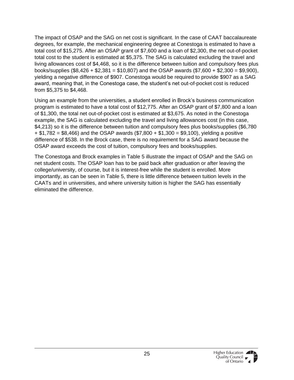The impact of OSAP and the SAG on net cost is significant. In the case of CAAT baccalaureate degrees, for example, the mechanical engineering degree at Conestoga is estimated to have a total cost of \$15,275. After an OSAP grant of \$7,600 and a loan of \$2,300, the net out-of-pocket total cost to the student is estimated at \$5,375. The SAG is calculated excluding the travel and living allowances cost of \$4,468, so it is the difference between tuition and compulsory fees plus books/supplies (\$8,426 + \$2,381 = \$10,807) and the OSAP awards (\$7,600 + \$2,300 = \$9,900), yielding a negative difference of \$907. Conestoga would be required to provide \$907 as a SAG award, meaning that, in the Conestoga case, the student's net out-of-pocket cost is reduced from \$5,375 to \$4,468.

Using an example from the universities, a student enrolled in Brock's business communication program is estimated to have a total cost of \$12,775. After an OSAP grant of \$7,800 and a loan of \$1,300, the total net out-of-pocket cost is estimated at \$3,675. As noted in the Conestoga example, the SAG is calculated excluding the travel and living allowances cost (in this case, \$4,213) so it is the difference between tuition and compulsory fees plus books/supplies (\$6,780  $+ $1,782 = $8,466$  and the OSAP awards  $($7,800 + $1,300 = $9,100)$ , yielding a positive difference of \$538. In the Brock case, there is no requirement for a SAG award because the OSAP award exceeds the cost of tuition, compulsory fees and books/supplies.

The Conestoga and Brock examples in Table 5 illustrate the impact of OSAP and the SAG on net student costs. The OSAP loan has to be paid back after graduation or after leaving the college/university, of course, but it is interest-free while the student is enrolled. More importantly, as can be seen in Table 5, there is little difference between tuition levels in the CAATs and in universities, and where university tuition is higher the SAG has essentially eliminated the difference.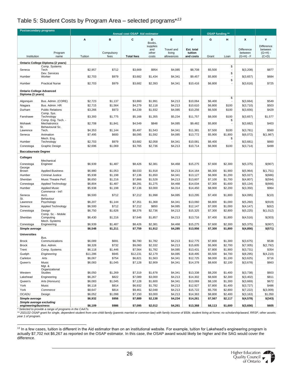#### <span id="page-25-0"></span>Table 5: Student Costs by Program Area – selected programs\**<sup>13</sup>*

| Annual cost OSAP Aid estimator<br><b>OSAP</b> funding **<br>B<br>c<br>D<br>Е<br>F<br>G<br>X<br>Y<br>Α<br>н<br>Books,<br><b>Difference</b><br>supplies<br>Difference<br>and<br><b>Travel and</b><br>Est. total<br>between<br>tuition<br>$(G+H)$ -<br>Program<br>Compulsory<br>other<br>living<br>between<br>Institution<br>Tuition<br><b>Total fees</b><br>and costs<br>$(G+H) - F$<br>$(C+D)$<br>name<br>fees<br>costs<br>allowances<br>Grant<br>Loan<br>Ontario College Diploma (2 years)<br>\$<br>Comp. Systems<br>Tech<br>\$2,957<br>\$712<br>\$3,669<br>\$954<br>\$4,085<br>\$8,708<br>\$5,500<br>\$(3,208)<br>\$877<br>Seneca<br>$\overline{a}$<br>\$<br>Dev. Services<br>\$2,703<br>\$979<br>\$684<br>Humber<br>Worker<br>\$3,682<br>\$1,434<br>\$4,341<br>\$9,457<br>\$5,800<br>\$(3,657)<br>$\overline{\phantom{a}}$<br>\$<br>\$2,703<br>\$979<br>\$3,682<br>\$2,393<br>\$4,341<br>\$10,416<br>\$6,800<br>\$725<br>Humber<br><b>Practical Nurse</b><br>\$(3,616)<br><b>Ontario College Advanced</b><br>Diploma (3 years)<br>\$<br>Bus. Admin. (CORE)<br>\$2,723<br>\$4,213<br>\$10,064<br>\$549<br>Algonquin<br>\$1,137<br>\$3,860<br>\$1,991<br>\$6,400<br>\$(3,664)<br>÷,<br>\$503<br>Bus. Admin. HR<br>\$2,715<br>\$1,564<br>\$4,279<br>\$2,118<br>\$4,213<br>\$10,610<br>\$6,800<br>\$100<br>\$(3,710)<br>Niagara<br>\$429<br>Durham<br><b>Public Relations</b><br>\$3,266<br>\$973<br>\$1,932<br>\$4,085<br>\$10,256<br>\$4,239<br>\$6,500<br>\$100<br>\$(3,656)<br>Comp. Sys.<br>\$3,393<br>\$1,775<br>\$5,168<br>\$1,355<br>\$5,234<br>\$100<br>\$1,577<br>Fanshawe<br>Technology<br>\$11,757<br>\$8,000<br>\$(3,657)<br>Comp. Eng. Tech. -<br>\$<br>Mohawk<br>Mechatronics<br>\$2,708<br>\$1,841<br>\$4,549<br>\$848<br>\$4,085<br>\$9,482<br>\$403<br>\$5,800<br>\$(3,682)<br>St.<br>Behavioural Sc.<br>Tech.<br>\$4,353<br>\$5,497<br>\$1,543<br>\$7,500<br>\$560<br>Lawrence<br>\$1,144<br>\$4,341<br>\$11,381<br>\$100<br>\$(3,781)<br>Animation<br>\$7,495<br>\$600<br>\$1,592<br>\$4,085<br>\$5,900<br>\$1,800<br>\$(6,072)<br>\$(1,987)<br>Seneca<br>\$8,095<br>\$13,772<br>Mech. Eng.<br>\$<br>\$2,703<br>\$979<br>\$3,682<br>\$2,058<br>\$4,341<br>\$10,081<br>\$6,400<br>\$(3,681)<br>\$660<br>Humber<br>Technology<br>\$499<br>\$2,696<br>\$1,069<br>\$3,765<br>\$2,736<br>\$4,213<br>\$10,714<br>\$6,900<br>\$100<br>\$(3,714)<br>Conestoga<br>Graphic Design<br><b>Baccalaureate Degree</b><br><b>Colleges</b><br>Mechanical<br>\$6,939<br>\$1,487<br>\$8,426<br>\$2,381<br>\$4,468<br>\$7,600<br>\$2,300<br>\$(907)<br>Conestoga<br>Engineer<br>\$15,275<br>\$(5,375)<br>George<br>\$6,980<br>\$1,918<br>\$(1,751)<br>Brown<br><b>Applied Business</b><br>\$1,053<br>\$8,033<br>\$4,213<br>\$14,164<br>\$6,300<br>\$1,900<br>\$(5,964)<br>Humber<br><b>Criminal Justice</b><br>\$5,938<br>\$1,198<br>\$1,650<br>\$4,341<br>\$13,127<br>\$(5,027)<br>\$(686)<br>\$7,136<br>\$6,900<br>\$1,200<br>Sheridan<br>Music Theatre Perf.<br>\$6,650<br>\$1,216<br>\$1,528<br>\$4,213<br>\$13,607<br>\$1,700<br>\$(4,807)<br>\$(594)<br>\$7,866<br>\$7,100<br>\$6,804<br>\$1,487<br>\$1,275<br>\$4,468<br>\$14,034<br>\$(666)<br>Conestoga<br>Applied Technology<br>\$8,291<br>\$7,300<br>\$1,600<br>\$(5, 134)<br>Humber<br>\$5,938<br>\$1,198<br>\$3,000<br>\$4,314<br>\$964<br><b>Applied Music</b><br>\$7,136<br>\$14,450<br>\$8,900<br>\$2,200<br>\$(3,350)<br>Commerce - Int'l<br>\$6,500<br>\$712<br>\$7,212<br>\$1,998<br>\$4,085<br>\$13,295<br>\$7,400<br>\$(4,095)<br>\$(10)<br>Seneca<br>Acct.<br>\$1,800<br>St.<br>Behaviour<br>\$6,207<br>\$7,351<br>\$4,341<br>\$(919)<br>Lawrence<br>Psychology<br>\$1,144<br>\$1,368<br>\$13,060<br>\$6,800<br>\$1,000<br>\$(5,260)<br>\$6,500<br>\$712<br>\$7,212<br>\$850<br>\$4,085<br>\$12,147<br>\$(62)<br>Seneca<br>Applied Technology<br>\$7,000<br>\$1,000<br>\$(4, 147)<br>\$6,750<br>\$2,736<br>\$(1,012)<br>Conestoga<br>Design<br>\$1,626<br>\$8,376<br>\$4,213<br>\$15,325<br>\$7,300<br>\$2,800<br>\$(5,225)<br>Comp. Sc. - Mobile<br>\$6,430<br>\$1,216<br>\$7,646<br>\$1,857<br>\$(303)<br>Sheridan<br>Computing<br>\$4,213<br>\$13,716<br>\$7,400<br>\$1,800<br>\$(4,516)<br>Mech. Systems<br>\$(907)<br>Conestoga<br>Engineering<br>\$6,939<br>\$1,487<br>\$8,426<br>\$2,381<br>\$4,468<br>\$15,275<br>\$7,600<br>\$2,300<br>\$(5,375)<br>\$6,548<br>\$4,285<br>\$(571)<br>Simple average<br>\$1,211<br>\$7,759<br>\$1,912<br>\$13,956<br>\$7,300<br>\$1,800<br>\$(4,856)<br><b>Universities</b><br>Bus.<br>\$6,089<br>\$691<br>\$6,780<br>\$1,782<br>\$4,213<br>\$12,775<br>\$7,800<br>\$1,300<br>\$(3,675)<br>\$538<br><b>Brock</b><br>Communications<br><b>Brock</b><br>\$732<br>\$(2,792)<br>Bus. Admin.<br>\$8,328<br>\$9,060<br>\$2,332<br>\$4,213<br>\$15,605<br>\$5,900<br>\$2,700<br>\$(7,005)<br>\$354<br>Trent<br>Comp. Systems<br>\$6,118<br>\$1,446<br>\$7,564<br>\$1,782<br>\$4,085<br>\$13,431<br>\$7,800<br>\$1,900<br>\$(3,731)<br>Guelph<br>Engineering<br>\$11,286<br>\$945<br>\$12,231<br>\$2,179<br>\$4,085<br>\$18,495<br>\$5,500<br>\$4,700<br>\$(8,295)<br>\$(4,210)<br>Carleton<br>\$6,067<br>\$716<br>Arts<br>\$754<br>\$6,821<br>\$1,563<br>\$4,341<br>\$12,725<br>\$8,000<br>\$1,100<br>\$(3,625)<br>Music<br>Queen's<br>\$6,083<br>\$1,045<br>\$7,128<br>\$2,909<br>\$4,341<br>\$14,378<br>\$8,600<br>\$2,100<br>\$(3,678)<br>\$663<br>Mgt. &<br>Organizational<br>Western<br>Studies<br>\$6,050<br>\$1,269<br>\$7,319<br>\$1,678<br>\$4,341<br>\$13,338<br>\$8,200<br>\$1,400<br>\$(3,738)<br>\$603<br>\$811<br>Lakehead<br>\$6,267<br>\$822<br>\$7,089<br>\$3,000<br>\$4,213<br>\$14,302<br>\$8,600<br>\$2,300<br>\$(3,402)<br>Engineering<br>\$672<br>Queen's<br>Arts (Honours)<br>\$6,083<br>\$1,045<br>\$7,128<br>\$1,600<br>\$4,341<br>\$13,069<br>\$8,100<br>\$1,300<br>\$(3,669)<br>York<br>Music<br>\$6,118<br>\$814<br>\$6,932<br>\$1,782<br>\$4,213<br>\$12,927<br>\$7,800<br>\$1,400<br>\$(3,727)<br>\$486<br>York<br>Commerce<br>\$8,647<br>\$814<br>\$9,461<br>\$2,048<br>\$4,213<br>\$15,722<br>\$5,700<br>\$2,800<br>\$(7,222)<br>\$(3,009)<br>OCADU<br>Design<br>\$6,052<br>\$1,098<br>\$7,150<br>\$3,000<br>\$4,213<br>\$14,363<br>\$8,800<br>\$2,400<br>\$(3, 163)<br>\$1,050<br>Simple average<br>\$6,932<br>\$956<br>\$7,889<br>\$2,138<br>\$4,234<br>\$14,261<br>\$7,567<br>\$2,117<br>\$(4,578)<br>\$(343)<br>Simple average excluding<br>engineering/business | <b>Postsecondary programs</b> |         |       |         |         |         |          |         |         |           |       |
|-----------------------------------------------------------------------------------------------------------------------------------------------------------------------------------------------------------------------------------------------------------------------------------------------------------------------------------------------------------------------------------------------------------------------------------------------------------------------------------------------------------------------------------------------------------------------------------------------------------------------------------------------------------------------------------------------------------------------------------------------------------------------------------------------------------------------------------------------------------------------------------------------------------------------------------------------------------------------------------------------------------------------------------------------------------------------------------------------------------------------------------------------------------------------------------------------------------------------------------------------------------------------------------------------------------------------------------------------------------------------------------------------------------------------------------------------------------------------------------------------------------------------------------------------------------------------------------------------------------------------------------------------------------------------------------------------------------------------------------------------------------------------------------------------------------------------------------------------------------------------------------------------------------------------------------------------------------------------------------------------------------------------------------------------------------------------------------------------------------------------------------------------------------------------------------------------------------------------------------------------------------------------------------------------------------------------------------------------------------------------------------------------------------------------------------------------------------------------------------------------------------------------------------------------------------------------------------------------------------------------------------------------------------------------------------------------------------------------------------------------------------------------------------------------------------------------------------------------------------------------------------------------------------------------------------------------------------------------------------------------------------------------------------------------------------------------------------------------------------------------------------------------------------------------------------------------------------------------------------------------------------------------------------------------------------------------------------------------------------------------------------------------------------------------------------------------------------------------------------------------------------------------------------------------------------------------------------------------------------------------------------------------------------------------------------------------------------------------------------------------------------------------------------------------------------------------------------------------------------------------------------------------------------------------------------------------------------------------------------------------------------------------------------------------------------------------------------------------------------------------------------------------------------------------------------------------------------------------------------------------------------------------------------------------------------------------------------------------------------------------------------------------------------------------------------------------------------------------------------------------------------------------------------------------------------------------------------------------------------------------------------------------------------------------------------------------------------------------------------------------------------------------------------------------------------------------------------------------------------------------------------------------------------------------------------------------------------------------------------------------------------------------------------------------------------------------------------------------------------------------------------------------------------------------------------------------------------------------------------------------------------------------------------------------------------------------------------------------------------------------------------------------------------------------------------------------------------------------------------------------------------------------------------------------------------------------------------------------------------------------------------------------------------------------------------------------------------------------------------------------------------------------------------------------------------------------------------------------------------------------------------------------------------------------------------------------------------------------------------------------------------------------------------------------------------------------------------------------------------------------------------------------------------------------------------------------------------------------------------------------------------------------------------------------------------------------------------------------------------------------------------------------------------|-------------------------------|---------|-------|---------|---------|---------|----------|---------|---------|-----------|-------|
|                                                                                                                                                                                                                                                                                                                                                                                                                                                                                                                                                                                                                                                                                                                                                                                                                                                                                                                                                                                                                                                                                                                                                                                                                                                                                                                                                                                                                                                                                                                                                                                                                                                                                                                                                                                                                                                                                                                                                                                                                                                                                                                                                                                                                                                                                                                                                                                                                                                                                                                                                                                                                                                                                                                                                                                                                                                                                                                                                                                                                                                                                                                                                                                                                                                                                                                                                                                                                                                                                                                                                                                                                                                                                                                                                                                                                                                                                                                                                                                                                                                                                                                                                                                                                                                                                                                                                                                                                                                                                                                                                                                                                                                                                                                                                                                                                                                                                                                                                                                                                                                                                                                                                                                                                                                                                                                                                                                                                                                                                                                                                                                                                                                                                                                                                                                                                                                                                                                                                                                                                                                                                                                                                                                                                                                                                                                                                                                                           |                               |         |       |         |         |         |          |         |         |           |       |
|                                                                                                                                                                                                                                                                                                                                                                                                                                                                                                                                                                                                                                                                                                                                                                                                                                                                                                                                                                                                                                                                                                                                                                                                                                                                                                                                                                                                                                                                                                                                                                                                                                                                                                                                                                                                                                                                                                                                                                                                                                                                                                                                                                                                                                                                                                                                                                                                                                                                                                                                                                                                                                                                                                                                                                                                                                                                                                                                                                                                                                                                                                                                                                                                                                                                                                                                                                                                                                                                                                                                                                                                                                                                                                                                                                                                                                                                                                                                                                                                                                                                                                                                                                                                                                                                                                                                                                                                                                                                                                                                                                                                                                                                                                                                                                                                                                                                                                                                                                                                                                                                                                                                                                                                                                                                                                                                                                                                                                                                                                                                                                                                                                                                                                                                                                                                                                                                                                                                                                                                                                                                                                                                                                                                                                                                                                                                                                                                           |                               |         |       |         |         |         |          |         |         |           |       |
|                                                                                                                                                                                                                                                                                                                                                                                                                                                                                                                                                                                                                                                                                                                                                                                                                                                                                                                                                                                                                                                                                                                                                                                                                                                                                                                                                                                                                                                                                                                                                                                                                                                                                                                                                                                                                                                                                                                                                                                                                                                                                                                                                                                                                                                                                                                                                                                                                                                                                                                                                                                                                                                                                                                                                                                                                                                                                                                                                                                                                                                                                                                                                                                                                                                                                                                                                                                                                                                                                                                                                                                                                                                                                                                                                                                                                                                                                                                                                                                                                                                                                                                                                                                                                                                                                                                                                                                                                                                                                                                                                                                                                                                                                                                                                                                                                                                                                                                                                                                                                                                                                                                                                                                                                                                                                                                                                                                                                                                                                                                                                                                                                                                                                                                                                                                                                                                                                                                                                                                                                                                                                                                                                                                                                                                                                                                                                                                                           |                               |         |       |         |         |         |          |         |         |           |       |
|                                                                                                                                                                                                                                                                                                                                                                                                                                                                                                                                                                                                                                                                                                                                                                                                                                                                                                                                                                                                                                                                                                                                                                                                                                                                                                                                                                                                                                                                                                                                                                                                                                                                                                                                                                                                                                                                                                                                                                                                                                                                                                                                                                                                                                                                                                                                                                                                                                                                                                                                                                                                                                                                                                                                                                                                                                                                                                                                                                                                                                                                                                                                                                                                                                                                                                                                                                                                                                                                                                                                                                                                                                                                                                                                                                                                                                                                                                                                                                                                                                                                                                                                                                                                                                                                                                                                                                                                                                                                                                                                                                                                                                                                                                                                                                                                                                                                                                                                                                                                                                                                                                                                                                                                                                                                                                                                                                                                                                                                                                                                                                                                                                                                                                                                                                                                                                                                                                                                                                                                                                                                                                                                                                                                                                                                                                                                                                                                           |                               |         |       |         |         |         |          |         |         |           |       |
|                                                                                                                                                                                                                                                                                                                                                                                                                                                                                                                                                                                                                                                                                                                                                                                                                                                                                                                                                                                                                                                                                                                                                                                                                                                                                                                                                                                                                                                                                                                                                                                                                                                                                                                                                                                                                                                                                                                                                                                                                                                                                                                                                                                                                                                                                                                                                                                                                                                                                                                                                                                                                                                                                                                                                                                                                                                                                                                                                                                                                                                                                                                                                                                                                                                                                                                                                                                                                                                                                                                                                                                                                                                                                                                                                                                                                                                                                                                                                                                                                                                                                                                                                                                                                                                                                                                                                                                                                                                                                                                                                                                                                                                                                                                                                                                                                                                                                                                                                                                                                                                                                                                                                                                                                                                                                                                                                                                                                                                                                                                                                                                                                                                                                                                                                                                                                                                                                                                                                                                                                                                                                                                                                                                                                                                                                                                                                                                                           |                               |         |       |         |         |         |          |         |         |           |       |
|                                                                                                                                                                                                                                                                                                                                                                                                                                                                                                                                                                                                                                                                                                                                                                                                                                                                                                                                                                                                                                                                                                                                                                                                                                                                                                                                                                                                                                                                                                                                                                                                                                                                                                                                                                                                                                                                                                                                                                                                                                                                                                                                                                                                                                                                                                                                                                                                                                                                                                                                                                                                                                                                                                                                                                                                                                                                                                                                                                                                                                                                                                                                                                                                                                                                                                                                                                                                                                                                                                                                                                                                                                                                                                                                                                                                                                                                                                                                                                                                                                                                                                                                                                                                                                                                                                                                                                                                                                                                                                                                                                                                                                                                                                                                                                                                                                                                                                                                                                                                                                                                                                                                                                                                                                                                                                                                                                                                                                                                                                                                                                                                                                                                                                                                                                                                                                                                                                                                                                                                                                                                                                                                                                                                                                                                                                                                                                                                           |                               |         |       |         |         |         |          |         |         |           |       |
|                                                                                                                                                                                                                                                                                                                                                                                                                                                                                                                                                                                                                                                                                                                                                                                                                                                                                                                                                                                                                                                                                                                                                                                                                                                                                                                                                                                                                                                                                                                                                                                                                                                                                                                                                                                                                                                                                                                                                                                                                                                                                                                                                                                                                                                                                                                                                                                                                                                                                                                                                                                                                                                                                                                                                                                                                                                                                                                                                                                                                                                                                                                                                                                                                                                                                                                                                                                                                                                                                                                                                                                                                                                                                                                                                                                                                                                                                                                                                                                                                                                                                                                                                                                                                                                                                                                                                                                                                                                                                                                                                                                                                                                                                                                                                                                                                                                                                                                                                                                                                                                                                                                                                                                                                                                                                                                                                                                                                                                                                                                                                                                                                                                                                                                                                                                                                                                                                                                                                                                                                                                                                                                                                                                                                                                                                                                                                                                                           |                               |         |       |         |         |         |          |         |         |           |       |
|                                                                                                                                                                                                                                                                                                                                                                                                                                                                                                                                                                                                                                                                                                                                                                                                                                                                                                                                                                                                                                                                                                                                                                                                                                                                                                                                                                                                                                                                                                                                                                                                                                                                                                                                                                                                                                                                                                                                                                                                                                                                                                                                                                                                                                                                                                                                                                                                                                                                                                                                                                                                                                                                                                                                                                                                                                                                                                                                                                                                                                                                                                                                                                                                                                                                                                                                                                                                                                                                                                                                                                                                                                                                                                                                                                                                                                                                                                                                                                                                                                                                                                                                                                                                                                                                                                                                                                                                                                                                                                                                                                                                                                                                                                                                                                                                                                                                                                                                                                                                                                                                                                                                                                                                                                                                                                                                                                                                                                                                                                                                                                                                                                                                                                                                                                                                                                                                                                                                                                                                                                                                                                                                                                                                                                                                                                                                                                                                           |                               |         |       |         |         |         |          |         |         |           |       |
|                                                                                                                                                                                                                                                                                                                                                                                                                                                                                                                                                                                                                                                                                                                                                                                                                                                                                                                                                                                                                                                                                                                                                                                                                                                                                                                                                                                                                                                                                                                                                                                                                                                                                                                                                                                                                                                                                                                                                                                                                                                                                                                                                                                                                                                                                                                                                                                                                                                                                                                                                                                                                                                                                                                                                                                                                                                                                                                                                                                                                                                                                                                                                                                                                                                                                                                                                                                                                                                                                                                                                                                                                                                                                                                                                                                                                                                                                                                                                                                                                                                                                                                                                                                                                                                                                                                                                                                                                                                                                                                                                                                                                                                                                                                                                                                                                                                                                                                                                                                                                                                                                                                                                                                                                                                                                                                                                                                                                                                                                                                                                                                                                                                                                                                                                                                                                                                                                                                                                                                                                                                                                                                                                                                                                                                                                                                                                                                                           |                               |         |       |         |         |         |          |         |         |           |       |
|                                                                                                                                                                                                                                                                                                                                                                                                                                                                                                                                                                                                                                                                                                                                                                                                                                                                                                                                                                                                                                                                                                                                                                                                                                                                                                                                                                                                                                                                                                                                                                                                                                                                                                                                                                                                                                                                                                                                                                                                                                                                                                                                                                                                                                                                                                                                                                                                                                                                                                                                                                                                                                                                                                                                                                                                                                                                                                                                                                                                                                                                                                                                                                                                                                                                                                                                                                                                                                                                                                                                                                                                                                                                                                                                                                                                                                                                                                                                                                                                                                                                                                                                                                                                                                                                                                                                                                                                                                                                                                                                                                                                                                                                                                                                                                                                                                                                                                                                                                                                                                                                                                                                                                                                                                                                                                                                                                                                                                                                                                                                                                                                                                                                                                                                                                                                                                                                                                                                                                                                                                                                                                                                                                                                                                                                                                                                                                                                           |                               |         |       |         |         |         |          |         |         |           |       |
|                                                                                                                                                                                                                                                                                                                                                                                                                                                                                                                                                                                                                                                                                                                                                                                                                                                                                                                                                                                                                                                                                                                                                                                                                                                                                                                                                                                                                                                                                                                                                                                                                                                                                                                                                                                                                                                                                                                                                                                                                                                                                                                                                                                                                                                                                                                                                                                                                                                                                                                                                                                                                                                                                                                                                                                                                                                                                                                                                                                                                                                                                                                                                                                                                                                                                                                                                                                                                                                                                                                                                                                                                                                                                                                                                                                                                                                                                                                                                                                                                                                                                                                                                                                                                                                                                                                                                                                                                                                                                                                                                                                                                                                                                                                                                                                                                                                                                                                                                                                                                                                                                                                                                                                                                                                                                                                                                                                                                                                                                                                                                                                                                                                                                                                                                                                                                                                                                                                                                                                                                                                                                                                                                                                                                                                                                                                                                                                                           |                               |         |       |         |         |         |          |         |         |           |       |
|                                                                                                                                                                                                                                                                                                                                                                                                                                                                                                                                                                                                                                                                                                                                                                                                                                                                                                                                                                                                                                                                                                                                                                                                                                                                                                                                                                                                                                                                                                                                                                                                                                                                                                                                                                                                                                                                                                                                                                                                                                                                                                                                                                                                                                                                                                                                                                                                                                                                                                                                                                                                                                                                                                                                                                                                                                                                                                                                                                                                                                                                                                                                                                                                                                                                                                                                                                                                                                                                                                                                                                                                                                                                                                                                                                                                                                                                                                                                                                                                                                                                                                                                                                                                                                                                                                                                                                                                                                                                                                                                                                                                                                                                                                                                                                                                                                                                                                                                                                                                                                                                                                                                                                                                                                                                                                                                                                                                                                                                                                                                                                                                                                                                                                                                                                                                                                                                                                                                                                                                                                                                                                                                                                                                                                                                                                                                                                                                           |                               |         |       |         |         |         |          |         |         |           |       |
|                                                                                                                                                                                                                                                                                                                                                                                                                                                                                                                                                                                                                                                                                                                                                                                                                                                                                                                                                                                                                                                                                                                                                                                                                                                                                                                                                                                                                                                                                                                                                                                                                                                                                                                                                                                                                                                                                                                                                                                                                                                                                                                                                                                                                                                                                                                                                                                                                                                                                                                                                                                                                                                                                                                                                                                                                                                                                                                                                                                                                                                                                                                                                                                                                                                                                                                                                                                                                                                                                                                                                                                                                                                                                                                                                                                                                                                                                                                                                                                                                                                                                                                                                                                                                                                                                                                                                                                                                                                                                                                                                                                                                                                                                                                                                                                                                                                                                                                                                                                                                                                                                                                                                                                                                                                                                                                                                                                                                                                                                                                                                                                                                                                                                                                                                                                                                                                                                                                                                                                                                                                                                                                                                                                                                                                                                                                                                                                                           |                               |         |       |         |         |         |          |         |         |           |       |
|                                                                                                                                                                                                                                                                                                                                                                                                                                                                                                                                                                                                                                                                                                                                                                                                                                                                                                                                                                                                                                                                                                                                                                                                                                                                                                                                                                                                                                                                                                                                                                                                                                                                                                                                                                                                                                                                                                                                                                                                                                                                                                                                                                                                                                                                                                                                                                                                                                                                                                                                                                                                                                                                                                                                                                                                                                                                                                                                                                                                                                                                                                                                                                                                                                                                                                                                                                                                                                                                                                                                                                                                                                                                                                                                                                                                                                                                                                                                                                                                                                                                                                                                                                                                                                                                                                                                                                                                                                                                                                                                                                                                                                                                                                                                                                                                                                                                                                                                                                                                                                                                                                                                                                                                                                                                                                                                                                                                                                                                                                                                                                                                                                                                                                                                                                                                                                                                                                                                                                                                                                                                                                                                                                                                                                                                                                                                                                                                           |                               |         |       |         |         |         |          |         |         |           |       |
|                                                                                                                                                                                                                                                                                                                                                                                                                                                                                                                                                                                                                                                                                                                                                                                                                                                                                                                                                                                                                                                                                                                                                                                                                                                                                                                                                                                                                                                                                                                                                                                                                                                                                                                                                                                                                                                                                                                                                                                                                                                                                                                                                                                                                                                                                                                                                                                                                                                                                                                                                                                                                                                                                                                                                                                                                                                                                                                                                                                                                                                                                                                                                                                                                                                                                                                                                                                                                                                                                                                                                                                                                                                                                                                                                                                                                                                                                                                                                                                                                                                                                                                                                                                                                                                                                                                                                                                                                                                                                                                                                                                                                                                                                                                                                                                                                                                                                                                                                                                                                                                                                                                                                                                                                                                                                                                                                                                                                                                                                                                                                                                                                                                                                                                                                                                                                                                                                                                                                                                                                                                                                                                                                                                                                                                                                                                                                                                                           |                               |         |       |         |         |         |          |         |         |           |       |
|                                                                                                                                                                                                                                                                                                                                                                                                                                                                                                                                                                                                                                                                                                                                                                                                                                                                                                                                                                                                                                                                                                                                                                                                                                                                                                                                                                                                                                                                                                                                                                                                                                                                                                                                                                                                                                                                                                                                                                                                                                                                                                                                                                                                                                                                                                                                                                                                                                                                                                                                                                                                                                                                                                                                                                                                                                                                                                                                                                                                                                                                                                                                                                                                                                                                                                                                                                                                                                                                                                                                                                                                                                                                                                                                                                                                                                                                                                                                                                                                                                                                                                                                                                                                                                                                                                                                                                                                                                                                                                                                                                                                                                                                                                                                                                                                                                                                                                                                                                                                                                                                                                                                                                                                                                                                                                                                                                                                                                                                                                                                                                                                                                                                                                                                                                                                                                                                                                                                                                                                                                                                                                                                                                                                                                                                                                                                                                                                           |                               |         |       |         |         |         |          |         |         |           |       |
|                                                                                                                                                                                                                                                                                                                                                                                                                                                                                                                                                                                                                                                                                                                                                                                                                                                                                                                                                                                                                                                                                                                                                                                                                                                                                                                                                                                                                                                                                                                                                                                                                                                                                                                                                                                                                                                                                                                                                                                                                                                                                                                                                                                                                                                                                                                                                                                                                                                                                                                                                                                                                                                                                                                                                                                                                                                                                                                                                                                                                                                                                                                                                                                                                                                                                                                                                                                                                                                                                                                                                                                                                                                                                                                                                                                                                                                                                                                                                                                                                                                                                                                                                                                                                                                                                                                                                                                                                                                                                                                                                                                                                                                                                                                                                                                                                                                                                                                                                                                                                                                                                                                                                                                                                                                                                                                                                                                                                                                                                                                                                                                                                                                                                                                                                                                                                                                                                                                                                                                                                                                                                                                                                                                                                                                                                                                                                                                                           |                               |         |       |         |         |         |          |         |         |           |       |
|                                                                                                                                                                                                                                                                                                                                                                                                                                                                                                                                                                                                                                                                                                                                                                                                                                                                                                                                                                                                                                                                                                                                                                                                                                                                                                                                                                                                                                                                                                                                                                                                                                                                                                                                                                                                                                                                                                                                                                                                                                                                                                                                                                                                                                                                                                                                                                                                                                                                                                                                                                                                                                                                                                                                                                                                                                                                                                                                                                                                                                                                                                                                                                                                                                                                                                                                                                                                                                                                                                                                                                                                                                                                                                                                                                                                                                                                                                                                                                                                                                                                                                                                                                                                                                                                                                                                                                                                                                                                                                                                                                                                                                                                                                                                                                                                                                                                                                                                                                                                                                                                                                                                                                                                                                                                                                                                                                                                                                                                                                                                                                                                                                                                                                                                                                                                                                                                                                                                                                                                                                                                                                                                                                                                                                                                                                                                                                                                           |                               |         |       |         |         |         |          |         |         |           |       |
|                                                                                                                                                                                                                                                                                                                                                                                                                                                                                                                                                                                                                                                                                                                                                                                                                                                                                                                                                                                                                                                                                                                                                                                                                                                                                                                                                                                                                                                                                                                                                                                                                                                                                                                                                                                                                                                                                                                                                                                                                                                                                                                                                                                                                                                                                                                                                                                                                                                                                                                                                                                                                                                                                                                                                                                                                                                                                                                                                                                                                                                                                                                                                                                                                                                                                                                                                                                                                                                                                                                                                                                                                                                                                                                                                                                                                                                                                                                                                                                                                                                                                                                                                                                                                                                                                                                                                                                                                                                                                                                                                                                                                                                                                                                                                                                                                                                                                                                                                                                                                                                                                                                                                                                                                                                                                                                                                                                                                                                                                                                                                                                                                                                                                                                                                                                                                                                                                                                                                                                                                                                                                                                                                                                                                                                                                                                                                                                                           |                               |         |       |         |         |         |          |         |         |           |       |
|                                                                                                                                                                                                                                                                                                                                                                                                                                                                                                                                                                                                                                                                                                                                                                                                                                                                                                                                                                                                                                                                                                                                                                                                                                                                                                                                                                                                                                                                                                                                                                                                                                                                                                                                                                                                                                                                                                                                                                                                                                                                                                                                                                                                                                                                                                                                                                                                                                                                                                                                                                                                                                                                                                                                                                                                                                                                                                                                                                                                                                                                                                                                                                                                                                                                                                                                                                                                                                                                                                                                                                                                                                                                                                                                                                                                                                                                                                                                                                                                                                                                                                                                                                                                                                                                                                                                                                                                                                                                                                                                                                                                                                                                                                                                                                                                                                                                                                                                                                                                                                                                                                                                                                                                                                                                                                                                                                                                                                                                                                                                                                                                                                                                                                                                                                                                                                                                                                                                                                                                                                                                                                                                                                                                                                                                                                                                                                                                           |                               |         |       |         |         |         |          |         |         |           |       |
|                                                                                                                                                                                                                                                                                                                                                                                                                                                                                                                                                                                                                                                                                                                                                                                                                                                                                                                                                                                                                                                                                                                                                                                                                                                                                                                                                                                                                                                                                                                                                                                                                                                                                                                                                                                                                                                                                                                                                                                                                                                                                                                                                                                                                                                                                                                                                                                                                                                                                                                                                                                                                                                                                                                                                                                                                                                                                                                                                                                                                                                                                                                                                                                                                                                                                                                                                                                                                                                                                                                                                                                                                                                                                                                                                                                                                                                                                                                                                                                                                                                                                                                                                                                                                                                                                                                                                                                                                                                                                                                                                                                                                                                                                                                                                                                                                                                                                                                                                                                                                                                                                                                                                                                                                                                                                                                                                                                                                                                                                                                                                                                                                                                                                                                                                                                                                                                                                                                                                                                                                                                                                                                                                                                                                                                                                                                                                                                                           |                               |         |       |         |         |         |          |         |         |           |       |
|                                                                                                                                                                                                                                                                                                                                                                                                                                                                                                                                                                                                                                                                                                                                                                                                                                                                                                                                                                                                                                                                                                                                                                                                                                                                                                                                                                                                                                                                                                                                                                                                                                                                                                                                                                                                                                                                                                                                                                                                                                                                                                                                                                                                                                                                                                                                                                                                                                                                                                                                                                                                                                                                                                                                                                                                                                                                                                                                                                                                                                                                                                                                                                                                                                                                                                                                                                                                                                                                                                                                                                                                                                                                                                                                                                                                                                                                                                                                                                                                                                                                                                                                                                                                                                                                                                                                                                                                                                                                                                                                                                                                                                                                                                                                                                                                                                                                                                                                                                                                                                                                                                                                                                                                                                                                                                                                                                                                                                                                                                                                                                                                                                                                                                                                                                                                                                                                                                                                                                                                                                                                                                                                                                                                                                                                                                                                                                                                           |                               |         |       |         |         |         |          |         |         |           |       |
|                                                                                                                                                                                                                                                                                                                                                                                                                                                                                                                                                                                                                                                                                                                                                                                                                                                                                                                                                                                                                                                                                                                                                                                                                                                                                                                                                                                                                                                                                                                                                                                                                                                                                                                                                                                                                                                                                                                                                                                                                                                                                                                                                                                                                                                                                                                                                                                                                                                                                                                                                                                                                                                                                                                                                                                                                                                                                                                                                                                                                                                                                                                                                                                                                                                                                                                                                                                                                                                                                                                                                                                                                                                                                                                                                                                                                                                                                                                                                                                                                                                                                                                                                                                                                                                                                                                                                                                                                                                                                                                                                                                                                                                                                                                                                                                                                                                                                                                                                                                                                                                                                                                                                                                                                                                                                                                                                                                                                                                                                                                                                                                                                                                                                                                                                                                                                                                                                                                                                                                                                                                                                                                                                                                                                                                                                                                                                                                                           |                               |         |       |         |         |         |          |         |         |           |       |
|                                                                                                                                                                                                                                                                                                                                                                                                                                                                                                                                                                                                                                                                                                                                                                                                                                                                                                                                                                                                                                                                                                                                                                                                                                                                                                                                                                                                                                                                                                                                                                                                                                                                                                                                                                                                                                                                                                                                                                                                                                                                                                                                                                                                                                                                                                                                                                                                                                                                                                                                                                                                                                                                                                                                                                                                                                                                                                                                                                                                                                                                                                                                                                                                                                                                                                                                                                                                                                                                                                                                                                                                                                                                                                                                                                                                                                                                                                                                                                                                                                                                                                                                                                                                                                                                                                                                                                                                                                                                                                                                                                                                                                                                                                                                                                                                                                                                                                                                                                                                                                                                                                                                                                                                                                                                                                                                                                                                                                                                                                                                                                                                                                                                                                                                                                                                                                                                                                                                                                                                                                                                                                                                                                                                                                                                                                                                                                                                           |                               |         |       |         |         |         |          |         |         |           |       |
|                                                                                                                                                                                                                                                                                                                                                                                                                                                                                                                                                                                                                                                                                                                                                                                                                                                                                                                                                                                                                                                                                                                                                                                                                                                                                                                                                                                                                                                                                                                                                                                                                                                                                                                                                                                                                                                                                                                                                                                                                                                                                                                                                                                                                                                                                                                                                                                                                                                                                                                                                                                                                                                                                                                                                                                                                                                                                                                                                                                                                                                                                                                                                                                                                                                                                                                                                                                                                                                                                                                                                                                                                                                                                                                                                                                                                                                                                                                                                                                                                                                                                                                                                                                                                                                                                                                                                                                                                                                                                                                                                                                                                                                                                                                                                                                                                                                                                                                                                                                                                                                                                                                                                                                                                                                                                                                                                                                                                                                                                                                                                                                                                                                                                                                                                                                                                                                                                                                                                                                                                                                                                                                                                                                                                                                                                                                                                                                                           |                               |         |       |         |         |         |          |         |         |           |       |
|                                                                                                                                                                                                                                                                                                                                                                                                                                                                                                                                                                                                                                                                                                                                                                                                                                                                                                                                                                                                                                                                                                                                                                                                                                                                                                                                                                                                                                                                                                                                                                                                                                                                                                                                                                                                                                                                                                                                                                                                                                                                                                                                                                                                                                                                                                                                                                                                                                                                                                                                                                                                                                                                                                                                                                                                                                                                                                                                                                                                                                                                                                                                                                                                                                                                                                                                                                                                                                                                                                                                                                                                                                                                                                                                                                                                                                                                                                                                                                                                                                                                                                                                                                                                                                                                                                                                                                                                                                                                                                                                                                                                                                                                                                                                                                                                                                                                                                                                                                                                                                                                                                                                                                                                                                                                                                                                                                                                                                                                                                                                                                                                                                                                                                                                                                                                                                                                                                                                                                                                                                                                                                                                                                                                                                                                                                                                                                                                           |                               |         |       |         |         |         |          |         |         |           |       |
|                                                                                                                                                                                                                                                                                                                                                                                                                                                                                                                                                                                                                                                                                                                                                                                                                                                                                                                                                                                                                                                                                                                                                                                                                                                                                                                                                                                                                                                                                                                                                                                                                                                                                                                                                                                                                                                                                                                                                                                                                                                                                                                                                                                                                                                                                                                                                                                                                                                                                                                                                                                                                                                                                                                                                                                                                                                                                                                                                                                                                                                                                                                                                                                                                                                                                                                                                                                                                                                                                                                                                                                                                                                                                                                                                                                                                                                                                                                                                                                                                                                                                                                                                                                                                                                                                                                                                                                                                                                                                                                                                                                                                                                                                                                                                                                                                                                                                                                                                                                                                                                                                                                                                                                                                                                                                                                                                                                                                                                                                                                                                                                                                                                                                                                                                                                                                                                                                                                                                                                                                                                                                                                                                                                                                                                                                                                                                                                                           |                               |         |       |         |         |         |          |         |         |           |       |
|                                                                                                                                                                                                                                                                                                                                                                                                                                                                                                                                                                                                                                                                                                                                                                                                                                                                                                                                                                                                                                                                                                                                                                                                                                                                                                                                                                                                                                                                                                                                                                                                                                                                                                                                                                                                                                                                                                                                                                                                                                                                                                                                                                                                                                                                                                                                                                                                                                                                                                                                                                                                                                                                                                                                                                                                                                                                                                                                                                                                                                                                                                                                                                                                                                                                                                                                                                                                                                                                                                                                                                                                                                                                                                                                                                                                                                                                                                                                                                                                                                                                                                                                                                                                                                                                                                                                                                                                                                                                                                                                                                                                                                                                                                                                                                                                                                                                                                                                                                                                                                                                                                                                                                                                                                                                                                                                                                                                                                                                                                                                                                                                                                                                                                                                                                                                                                                                                                                                                                                                                                                                                                                                                                                                                                                                                                                                                                                                           |                               |         |       |         |         |         |          |         |         |           |       |
|                                                                                                                                                                                                                                                                                                                                                                                                                                                                                                                                                                                                                                                                                                                                                                                                                                                                                                                                                                                                                                                                                                                                                                                                                                                                                                                                                                                                                                                                                                                                                                                                                                                                                                                                                                                                                                                                                                                                                                                                                                                                                                                                                                                                                                                                                                                                                                                                                                                                                                                                                                                                                                                                                                                                                                                                                                                                                                                                                                                                                                                                                                                                                                                                                                                                                                                                                                                                                                                                                                                                                                                                                                                                                                                                                                                                                                                                                                                                                                                                                                                                                                                                                                                                                                                                                                                                                                                                                                                                                                                                                                                                                                                                                                                                                                                                                                                                                                                                                                                                                                                                                                                                                                                                                                                                                                                                                                                                                                                                                                                                                                                                                                                                                                                                                                                                                                                                                                                                                                                                                                                                                                                                                                                                                                                                                                                                                                                                           |                               |         |       |         |         |         |          |         |         |           |       |
|                                                                                                                                                                                                                                                                                                                                                                                                                                                                                                                                                                                                                                                                                                                                                                                                                                                                                                                                                                                                                                                                                                                                                                                                                                                                                                                                                                                                                                                                                                                                                                                                                                                                                                                                                                                                                                                                                                                                                                                                                                                                                                                                                                                                                                                                                                                                                                                                                                                                                                                                                                                                                                                                                                                                                                                                                                                                                                                                                                                                                                                                                                                                                                                                                                                                                                                                                                                                                                                                                                                                                                                                                                                                                                                                                                                                                                                                                                                                                                                                                                                                                                                                                                                                                                                                                                                                                                                                                                                                                                                                                                                                                                                                                                                                                                                                                                                                                                                                                                                                                                                                                                                                                                                                                                                                                                                                                                                                                                                                                                                                                                                                                                                                                                                                                                                                                                                                                                                                                                                                                                                                                                                                                                                                                                                                                                                                                                                                           |                               |         |       |         |         |         |          |         |         |           |       |
|                                                                                                                                                                                                                                                                                                                                                                                                                                                                                                                                                                                                                                                                                                                                                                                                                                                                                                                                                                                                                                                                                                                                                                                                                                                                                                                                                                                                                                                                                                                                                                                                                                                                                                                                                                                                                                                                                                                                                                                                                                                                                                                                                                                                                                                                                                                                                                                                                                                                                                                                                                                                                                                                                                                                                                                                                                                                                                                                                                                                                                                                                                                                                                                                                                                                                                                                                                                                                                                                                                                                                                                                                                                                                                                                                                                                                                                                                                                                                                                                                                                                                                                                                                                                                                                                                                                                                                                                                                                                                                                                                                                                                                                                                                                                                                                                                                                                                                                                                                                                                                                                                                                                                                                                                                                                                                                                                                                                                                                                                                                                                                                                                                                                                                                                                                                                                                                                                                                                                                                                                                                                                                                                                                                                                                                                                                                                                                                                           |                               |         |       |         |         |         |          |         |         |           |       |
|                                                                                                                                                                                                                                                                                                                                                                                                                                                                                                                                                                                                                                                                                                                                                                                                                                                                                                                                                                                                                                                                                                                                                                                                                                                                                                                                                                                                                                                                                                                                                                                                                                                                                                                                                                                                                                                                                                                                                                                                                                                                                                                                                                                                                                                                                                                                                                                                                                                                                                                                                                                                                                                                                                                                                                                                                                                                                                                                                                                                                                                                                                                                                                                                                                                                                                                                                                                                                                                                                                                                                                                                                                                                                                                                                                                                                                                                                                                                                                                                                                                                                                                                                                                                                                                                                                                                                                                                                                                                                                                                                                                                                                                                                                                                                                                                                                                                                                                                                                                                                                                                                                                                                                                                                                                                                                                                                                                                                                                                                                                                                                                                                                                                                                                                                                                                                                                                                                                                                                                                                                                                                                                                                                                                                                                                                                                                                                                                           |                               |         |       |         |         |         |          |         |         |           |       |
|                                                                                                                                                                                                                                                                                                                                                                                                                                                                                                                                                                                                                                                                                                                                                                                                                                                                                                                                                                                                                                                                                                                                                                                                                                                                                                                                                                                                                                                                                                                                                                                                                                                                                                                                                                                                                                                                                                                                                                                                                                                                                                                                                                                                                                                                                                                                                                                                                                                                                                                                                                                                                                                                                                                                                                                                                                                                                                                                                                                                                                                                                                                                                                                                                                                                                                                                                                                                                                                                                                                                                                                                                                                                                                                                                                                                                                                                                                                                                                                                                                                                                                                                                                                                                                                                                                                                                                                                                                                                                                                                                                                                                                                                                                                                                                                                                                                                                                                                                                                                                                                                                                                                                                                                                                                                                                                                                                                                                                                                                                                                                                                                                                                                                                                                                                                                                                                                                                                                                                                                                                                                                                                                                                                                                                                                                                                                                                                                           |                               |         |       |         |         |         |          |         |         |           |       |
|                                                                                                                                                                                                                                                                                                                                                                                                                                                                                                                                                                                                                                                                                                                                                                                                                                                                                                                                                                                                                                                                                                                                                                                                                                                                                                                                                                                                                                                                                                                                                                                                                                                                                                                                                                                                                                                                                                                                                                                                                                                                                                                                                                                                                                                                                                                                                                                                                                                                                                                                                                                                                                                                                                                                                                                                                                                                                                                                                                                                                                                                                                                                                                                                                                                                                                                                                                                                                                                                                                                                                                                                                                                                                                                                                                                                                                                                                                                                                                                                                                                                                                                                                                                                                                                                                                                                                                                                                                                                                                                                                                                                                                                                                                                                                                                                                                                                                                                                                                                                                                                                                                                                                                                                                                                                                                                                                                                                                                                                                                                                                                                                                                                                                                                                                                                                                                                                                                                                                                                                                                                                                                                                                                                                                                                                                                                                                                                                           |                               |         |       |         |         |         |          |         |         |           |       |
|                                                                                                                                                                                                                                                                                                                                                                                                                                                                                                                                                                                                                                                                                                                                                                                                                                                                                                                                                                                                                                                                                                                                                                                                                                                                                                                                                                                                                                                                                                                                                                                                                                                                                                                                                                                                                                                                                                                                                                                                                                                                                                                                                                                                                                                                                                                                                                                                                                                                                                                                                                                                                                                                                                                                                                                                                                                                                                                                                                                                                                                                                                                                                                                                                                                                                                                                                                                                                                                                                                                                                                                                                                                                                                                                                                                                                                                                                                                                                                                                                                                                                                                                                                                                                                                                                                                                                                                                                                                                                                                                                                                                                                                                                                                                                                                                                                                                                                                                                                                                                                                                                                                                                                                                                                                                                                                                                                                                                                                                                                                                                                                                                                                                                                                                                                                                                                                                                                                                                                                                                                                                                                                                                                                                                                                                                                                                                                                                           |                               |         |       |         |         |         |          |         |         |           |       |
|                                                                                                                                                                                                                                                                                                                                                                                                                                                                                                                                                                                                                                                                                                                                                                                                                                                                                                                                                                                                                                                                                                                                                                                                                                                                                                                                                                                                                                                                                                                                                                                                                                                                                                                                                                                                                                                                                                                                                                                                                                                                                                                                                                                                                                                                                                                                                                                                                                                                                                                                                                                                                                                                                                                                                                                                                                                                                                                                                                                                                                                                                                                                                                                                                                                                                                                                                                                                                                                                                                                                                                                                                                                                                                                                                                                                                                                                                                                                                                                                                                                                                                                                                                                                                                                                                                                                                                                                                                                                                                                                                                                                                                                                                                                                                                                                                                                                                                                                                                                                                                                                                                                                                                                                                                                                                                                                                                                                                                                                                                                                                                                                                                                                                                                                                                                                                                                                                                                                                                                                                                                                                                                                                                                                                                                                                                                                                                                                           |                               |         |       |         |         |         |          |         |         |           |       |
|                                                                                                                                                                                                                                                                                                                                                                                                                                                                                                                                                                                                                                                                                                                                                                                                                                                                                                                                                                                                                                                                                                                                                                                                                                                                                                                                                                                                                                                                                                                                                                                                                                                                                                                                                                                                                                                                                                                                                                                                                                                                                                                                                                                                                                                                                                                                                                                                                                                                                                                                                                                                                                                                                                                                                                                                                                                                                                                                                                                                                                                                                                                                                                                                                                                                                                                                                                                                                                                                                                                                                                                                                                                                                                                                                                                                                                                                                                                                                                                                                                                                                                                                                                                                                                                                                                                                                                                                                                                                                                                                                                                                                                                                                                                                                                                                                                                                                                                                                                                                                                                                                                                                                                                                                                                                                                                                                                                                                                                                                                                                                                                                                                                                                                                                                                                                                                                                                                                                                                                                                                                                                                                                                                                                                                                                                                                                                                                                           |                               |         |       |         |         |         |          |         |         |           |       |
|                                                                                                                                                                                                                                                                                                                                                                                                                                                                                                                                                                                                                                                                                                                                                                                                                                                                                                                                                                                                                                                                                                                                                                                                                                                                                                                                                                                                                                                                                                                                                                                                                                                                                                                                                                                                                                                                                                                                                                                                                                                                                                                                                                                                                                                                                                                                                                                                                                                                                                                                                                                                                                                                                                                                                                                                                                                                                                                                                                                                                                                                                                                                                                                                                                                                                                                                                                                                                                                                                                                                                                                                                                                                                                                                                                                                                                                                                                                                                                                                                                                                                                                                                                                                                                                                                                                                                                                                                                                                                                                                                                                                                                                                                                                                                                                                                                                                                                                                                                                                                                                                                                                                                                                                                                                                                                                                                                                                                                                                                                                                                                                                                                                                                                                                                                                                                                                                                                                                                                                                                                                                                                                                                                                                                                                                                                                                                                                                           |                               |         |       |         |         |         |          |         |         |           |       |
|                                                                                                                                                                                                                                                                                                                                                                                                                                                                                                                                                                                                                                                                                                                                                                                                                                                                                                                                                                                                                                                                                                                                                                                                                                                                                                                                                                                                                                                                                                                                                                                                                                                                                                                                                                                                                                                                                                                                                                                                                                                                                                                                                                                                                                                                                                                                                                                                                                                                                                                                                                                                                                                                                                                                                                                                                                                                                                                                                                                                                                                                                                                                                                                                                                                                                                                                                                                                                                                                                                                                                                                                                                                                                                                                                                                                                                                                                                                                                                                                                                                                                                                                                                                                                                                                                                                                                                                                                                                                                                                                                                                                                                                                                                                                                                                                                                                                                                                                                                                                                                                                                                                                                                                                                                                                                                                                                                                                                                                                                                                                                                                                                                                                                                                                                                                                                                                                                                                                                                                                                                                                                                                                                                                                                                                                                                                                                                                                           |                               |         |       |         |         |         |          |         |         |           |       |
|                                                                                                                                                                                                                                                                                                                                                                                                                                                                                                                                                                                                                                                                                                                                                                                                                                                                                                                                                                                                                                                                                                                                                                                                                                                                                                                                                                                                                                                                                                                                                                                                                                                                                                                                                                                                                                                                                                                                                                                                                                                                                                                                                                                                                                                                                                                                                                                                                                                                                                                                                                                                                                                                                                                                                                                                                                                                                                                                                                                                                                                                                                                                                                                                                                                                                                                                                                                                                                                                                                                                                                                                                                                                                                                                                                                                                                                                                                                                                                                                                                                                                                                                                                                                                                                                                                                                                                                                                                                                                                                                                                                                                                                                                                                                                                                                                                                                                                                                                                                                                                                                                                                                                                                                                                                                                                                                                                                                                                                                                                                                                                                                                                                                                                                                                                                                                                                                                                                                                                                                                                                                                                                                                                                                                                                                                                                                                                                                           |                               |         |       |         |         |         |          |         |         |           |       |
|                                                                                                                                                                                                                                                                                                                                                                                                                                                                                                                                                                                                                                                                                                                                                                                                                                                                                                                                                                                                                                                                                                                                                                                                                                                                                                                                                                                                                                                                                                                                                                                                                                                                                                                                                                                                                                                                                                                                                                                                                                                                                                                                                                                                                                                                                                                                                                                                                                                                                                                                                                                                                                                                                                                                                                                                                                                                                                                                                                                                                                                                                                                                                                                                                                                                                                                                                                                                                                                                                                                                                                                                                                                                                                                                                                                                                                                                                                                                                                                                                                                                                                                                                                                                                                                                                                                                                                                                                                                                                                                                                                                                                                                                                                                                                                                                                                                                                                                                                                                                                                                                                                                                                                                                                                                                                                                                                                                                                                                                                                                                                                                                                                                                                                                                                                                                                                                                                                                                                                                                                                                                                                                                                                                                                                                                                                                                                                                                           |                               |         |       |         |         |         |          |         |         |           |       |
|                                                                                                                                                                                                                                                                                                                                                                                                                                                                                                                                                                                                                                                                                                                                                                                                                                                                                                                                                                                                                                                                                                                                                                                                                                                                                                                                                                                                                                                                                                                                                                                                                                                                                                                                                                                                                                                                                                                                                                                                                                                                                                                                                                                                                                                                                                                                                                                                                                                                                                                                                                                                                                                                                                                                                                                                                                                                                                                                                                                                                                                                                                                                                                                                                                                                                                                                                                                                                                                                                                                                                                                                                                                                                                                                                                                                                                                                                                                                                                                                                                                                                                                                                                                                                                                                                                                                                                                                                                                                                                                                                                                                                                                                                                                                                                                                                                                                                                                                                                                                                                                                                                                                                                                                                                                                                                                                                                                                                                                                                                                                                                                                                                                                                                                                                                                                                                                                                                                                                                                                                                                                                                                                                                                                                                                                                                                                                                                                           |                               |         |       |         |         |         |          |         |         |           |       |
|                                                                                                                                                                                                                                                                                                                                                                                                                                                                                                                                                                                                                                                                                                                                                                                                                                                                                                                                                                                                                                                                                                                                                                                                                                                                                                                                                                                                                                                                                                                                                                                                                                                                                                                                                                                                                                                                                                                                                                                                                                                                                                                                                                                                                                                                                                                                                                                                                                                                                                                                                                                                                                                                                                                                                                                                                                                                                                                                                                                                                                                                                                                                                                                                                                                                                                                                                                                                                                                                                                                                                                                                                                                                                                                                                                                                                                                                                                                                                                                                                                                                                                                                                                                                                                                                                                                                                                                                                                                                                                                                                                                                                                                                                                                                                                                                                                                                                                                                                                                                                                                                                                                                                                                                                                                                                                                                                                                                                                                                                                                                                                                                                                                                                                                                                                                                                                                                                                                                                                                                                                                                                                                                                                                                                                                                                                                                                                                                           |                               |         |       |         |         |         |          |         |         |           |       |
|                                                                                                                                                                                                                                                                                                                                                                                                                                                                                                                                                                                                                                                                                                                                                                                                                                                                                                                                                                                                                                                                                                                                                                                                                                                                                                                                                                                                                                                                                                                                                                                                                                                                                                                                                                                                                                                                                                                                                                                                                                                                                                                                                                                                                                                                                                                                                                                                                                                                                                                                                                                                                                                                                                                                                                                                                                                                                                                                                                                                                                                                                                                                                                                                                                                                                                                                                                                                                                                                                                                                                                                                                                                                                                                                                                                                                                                                                                                                                                                                                                                                                                                                                                                                                                                                                                                                                                                                                                                                                                                                                                                                                                                                                                                                                                                                                                                                                                                                                                                                                                                                                                                                                                                                                                                                                                                                                                                                                                                                                                                                                                                                                                                                                                                                                                                                                                                                                                                                                                                                                                                                                                                                                                                                                                                                                                                                                                                                           |                               |         |       |         |         |         |          |         |         |           |       |
|                                                                                                                                                                                                                                                                                                                                                                                                                                                                                                                                                                                                                                                                                                                                                                                                                                                                                                                                                                                                                                                                                                                                                                                                                                                                                                                                                                                                                                                                                                                                                                                                                                                                                                                                                                                                                                                                                                                                                                                                                                                                                                                                                                                                                                                                                                                                                                                                                                                                                                                                                                                                                                                                                                                                                                                                                                                                                                                                                                                                                                                                                                                                                                                                                                                                                                                                                                                                                                                                                                                                                                                                                                                                                                                                                                                                                                                                                                                                                                                                                                                                                                                                                                                                                                                                                                                                                                                                                                                                                                                                                                                                                                                                                                                                                                                                                                                                                                                                                                                                                                                                                                                                                                                                                                                                                                                                                                                                                                                                                                                                                                                                                                                                                                                                                                                                                                                                                                                                                                                                                                                                                                                                                                                                                                                                                                                                                                                                           |                               |         |       |         |         |         |          |         |         |           |       |
|                                                                                                                                                                                                                                                                                                                                                                                                                                                                                                                                                                                                                                                                                                                                                                                                                                                                                                                                                                                                                                                                                                                                                                                                                                                                                                                                                                                                                                                                                                                                                                                                                                                                                                                                                                                                                                                                                                                                                                                                                                                                                                                                                                                                                                                                                                                                                                                                                                                                                                                                                                                                                                                                                                                                                                                                                                                                                                                                                                                                                                                                                                                                                                                                                                                                                                                                                                                                                                                                                                                                                                                                                                                                                                                                                                                                                                                                                                                                                                                                                                                                                                                                                                                                                                                                                                                                                                                                                                                                                                                                                                                                                                                                                                                                                                                                                                                                                                                                                                                                                                                                                                                                                                                                                                                                                                                                                                                                                                                                                                                                                                                                                                                                                                                                                                                                                                                                                                                                                                                                                                                                                                                                                                                                                                                                                                                                                                                                           |                               |         |       |         |         |         |          |         |         |           |       |
|                                                                                                                                                                                                                                                                                                                                                                                                                                                                                                                                                                                                                                                                                                                                                                                                                                                                                                                                                                                                                                                                                                                                                                                                                                                                                                                                                                                                                                                                                                                                                                                                                                                                                                                                                                                                                                                                                                                                                                                                                                                                                                                                                                                                                                                                                                                                                                                                                                                                                                                                                                                                                                                                                                                                                                                                                                                                                                                                                                                                                                                                                                                                                                                                                                                                                                                                                                                                                                                                                                                                                                                                                                                                                                                                                                                                                                                                                                                                                                                                                                                                                                                                                                                                                                                                                                                                                                                                                                                                                                                                                                                                                                                                                                                                                                                                                                                                                                                                                                                                                                                                                                                                                                                                                                                                                                                                                                                                                                                                                                                                                                                                                                                                                                                                                                                                                                                                                                                                                                                                                                                                                                                                                                                                                                                                                                                                                                                                           |                               |         |       |         |         |         |          |         |         |           |       |
|                                                                                                                                                                                                                                                                                                                                                                                                                                                                                                                                                                                                                                                                                                                                                                                                                                                                                                                                                                                                                                                                                                                                                                                                                                                                                                                                                                                                                                                                                                                                                                                                                                                                                                                                                                                                                                                                                                                                                                                                                                                                                                                                                                                                                                                                                                                                                                                                                                                                                                                                                                                                                                                                                                                                                                                                                                                                                                                                                                                                                                                                                                                                                                                                                                                                                                                                                                                                                                                                                                                                                                                                                                                                                                                                                                                                                                                                                                                                                                                                                                                                                                                                                                                                                                                                                                                                                                                                                                                                                                                                                                                                                                                                                                                                                                                                                                                                                                                                                                                                                                                                                                                                                                                                                                                                                                                                                                                                                                                                                                                                                                                                                                                                                                                                                                                                                                                                                                                                                                                                                                                                                                                                                                                                                                                                                                                                                                                                           |                               | \$6,109 | \$986 | \$7,095 | \$2,012 | \$4,261 | \$13,368 | \$8,113 | \$1,600 | \$(3,656) | \$605 |

*engineering/business* **\$6,109 \$986 \$7,095 \$2,012 \$4,261 \$13,368 \$8,113 \$1,600 \$(3,656) \$605**  *\* Selected to provide a range of programs in the CAATs. \*\* 2021/22 OSAP grant for single, dependent student from one-child family (parents married or common-law) with family income of \$50k; student living at home; no scholarship/award, RRSP, other assets; year 1 of program.*

<sup>&</sup>lt;sup>13</sup> In a few cases, tuition is different in the Aid estimator than on an institutional website. For example, tuition for Lakehead's engineering program is actually \$7,702 not \$6,267 as reported on the OSAP estimator. In this case, the OSAP award would likely be higher and the SAG would cover the difference.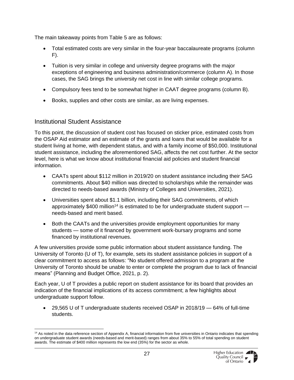The main takeaway points from Table 5 are as follows:

- Total estimated costs are very similar in the four-year baccalaureate programs (column  $F$ ).
- Tuition is very similar in college and university degree programs with the major exceptions of engineering and business administration/commerce (column A). In those cases, the SAG brings the university net cost in line with similar college programs.
- Compulsory fees tend to be somewhat higher in CAAT degree programs (column B).
- Books, supplies and other costs are similar, as are living expenses.

#### <span id="page-26-0"></span>Institutional Student Assistance

To this point, the discussion of student cost has focused on sticker price, estimated costs from the OSAP Aid estimator and an estimate of the grants and loans that would be available for a student living at home, with dependent status, and with a family income of \$50,000. Institutional student assistance, including the aforementioned SAG, affects the net cost further. At the sector level, here is what we know about institutional financial aid policies and student financial information.

- CAATs spent about \$112 million in 2019/20 on student assistance including their SAG commitments. About \$40 million was directed to scholarships while the remainder was directed to needs-based awards (Ministry of Colleges and Universities, 2021).
- Universities spent about \$1.1 billion, including their SAG commitments, of which approximately  $$400$  million<sup>14</sup> is estimated to be for undergraduate student support  $$ needs-based and merit based.
- Both the CAATs and the universities provide employment opportunities for many students — some of it financed by government work-bursary programs and some financed by institutional revenues.

A few universities provide some public information about student assistance funding. The University of Toronto (U of T), for example, sets its student assistance policies in support of a clear commitment to access as follows: "No student offered admission to a program at the University of Toronto should be unable to enter or complete the program due to lack of financial means" (Planning and Budget Office, 2021, p. 2).

Each year, U of T provides a public report on student assistance for its board that provides an indication of the financial implications of its access commitment; a few highlights about undergraduate support follow.

• 29,565 U of T undergraduate students received OSAP in 2018/19 — 64% of full-time students.

<sup>&</sup>lt;sup>14</sup> As noted in the data reference section of Appendix A, financial information from five universities in Ontario indicates that spending on undergraduate student awards (needs-based and merit-based) ranges from about 35% to 55% of total spending on student awards. The estimate of \$400 million represents the low end (35%) for the sector as whole.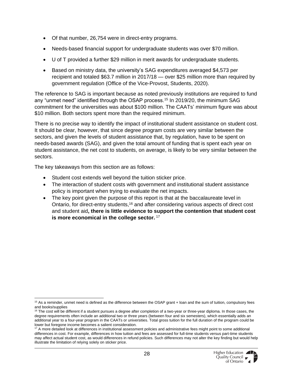- Of that number, 26,754 were in direct-entry programs.
- Needs-based financial support for undergraduate students was over \$70 million.
- U of T provided a further \$29 million in merit awards for undergraduate students.
- Based on ministry data, the university's SAG expenditures averaged \$4,573 per recipient and totaled \$63.7 million in 2017/18 — over \$25 million more than required by government regulation (Office of the Vice-Provost, Students, 2020).

The reference to SAG is important because as noted previously institutions are required to fund any "unmet need" identified through the OSAP process.<sup>15</sup> In 2019/20, the minimum SAG commitment for the universities was about \$100 million. The CAATs' minimum figure was about \$10 million. Both sectors spent more than the required minimum.

There is no precise way to identify the impact of institutional student assistance on student cost. It should be clear, however, that since degree program costs are very similar between the sectors, and given the levels of student assistance that, by regulation, have to be spent on needs-based awards (SAG), and given the total amount of funding that is spent each year on student assistance, the net cost to students, on average, is likely to be very similar between the sectors.

The key takeaways from this section are as follows:

- Student cost extends well beyond the tuition sticker price.
- The interaction of student costs with government and institutional student assistance policy is important when trying to evaluate the net impacts.
- The key point given the purpose of this report is that at the baccalaureate level in Ontario, for direct-entry students,<sup>16</sup> and after considering various aspects of direct cost and student aid**, there is little evidence to support the contention that student cost is more economical in the college sector.** <sup>17</sup>

<sup>&</sup>lt;sup>15</sup> As a reminder, unmet need is defined as the difference between the OSAP grant + loan and the sum of tuition, compulsory fees and books/supplies

 $16$  The cost will be different if a student pursues a degree after completion of a two-year or three-year diploma. In those cases, the degree requirements often include an additional two or three years (between four and six semesters), which essentially adds an additional year to a four-year program in the CAATs or universities. Total gross tuition for the full duration of the program could be lower but foregone income becomes a salient consideration.

<sup>&</sup>lt;sup>17</sup> A more detailed look at differences in institutional assessment policies and administrative fees might point to some additional differences in cost. For example, differences in how tuition and fees are assessed for full-time students versus part-time students may affect actual student cost, as would differences in refund policies. Such differences may not alter the key finding but would help illustrate the limitation of relying solely on sticker price.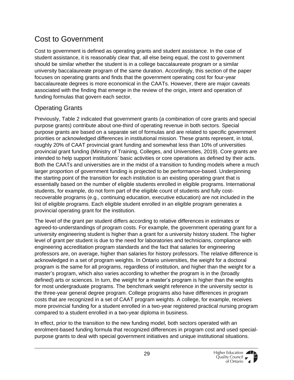### <span id="page-28-0"></span>Cost to Government

Cost to government is defined as operating grants and student assistance. In the case of student assistance, it is reasonably clear that, all else being equal, the cost to government should be similar whether the student is in a college baccalaureate program or a similar university baccalaureate program of the same duration. Accordingly, this section of the paper focuses on operating grants and finds that the government operating cost for four-year baccalaureate degrees is more economical in the CAATs. However, there are major caveats associated with the finding that emerge in the review of the origin, intent and operation of funding formulas that govern each sector.

### <span id="page-28-1"></span>Operating Grants

Previously, Table 2 indicated that government grants (a combination of core grants and special purpose grants) contribute about one-third of operating revenue in both sectors. Special purpose grants are based on a separate set of formulas and are related to specific government priorities or acknowledged differences in institutional mission. These grants represent, in total, roughly 20% of CAAT provincial grant funding and somewhat less than 10% of universities provincial grant funding (Ministry of Training, Colleges, and Universities, 2019). Core grants are intended to help support institutions' basic activities or core operations as defined by their acts. Both the CAATs and universities are in the midst of a transition to funding models where a much larger proportion of government funding is projected to be performance-based. Underpinning the starting point of the transition for each institution is an existing operating grant that is essentially based on the number of eligible students enrolled in eligible programs. International students, for example, do not form part of the eligible count of students and fully costrecoverable programs (e.g., continuing education, executive education) are not included in the list of eligible programs. Each eligible student enrolled in an eligible program generates a provincial operating grant for the institution.

The level of the grant per student differs according to relative differences in estimates or agreed-to-understandings of program costs. For example, the government operating grant for a university engineering student is higher than a grant for a university history student. The higher level of grant per student is due to the need for laboratories and technicians, compliance with engineering accreditation program standards and the fact that salaries for engineering professors are, on average, higher than salaries for history professors. The relative difference is acknowledged in a set of program weights. In Ontario universities, the weight for a doctoral program is the same for all programs, regardless of institution, and higher than the weight for a master's program, which also varies according to whether the program is in the (broadly defined) arts or sciences. In turn, the weight for a master's program is higher than the weights for most undergraduate programs. The benchmark weight reference in the university sector is the three-year general degree program. College programs also have differences in program costs that are recognized in a set of CAAT program weights. A college, for example, receives more provincial funding for a student enrolled in a two-year registered practical nursing program compared to a student enrolled in a two-year diploma in business.

In effect, prior to the transition to the new funding model, both sectors operated with an enrolment-based funding formula that recognized differences in program cost and used specialpurpose grants to deal with special government initiatives and unique institutional situations.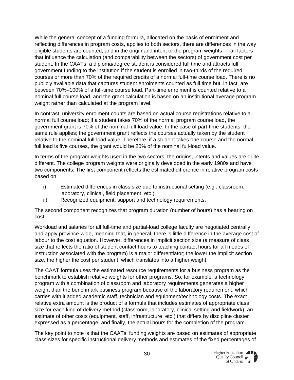While the general concept of a funding formula, allocated on the basis of enrolment and reflecting differences in program costs, applies to both sectors, there are differences in the way eligible students are counted, and in the origin and intent of the program weights — all factors that influence the calculation (and comparability between the sectors) of government cost per student. In the CAATs, a diploma/degree student is considered full time and attracts full government funding to the institution if the student is enrolled in two-thirds of the required courses or more than 70% of the required credits of a normal full-time course load. There is no publicly available data that captures student enrolments counted as full time but, in fact, are between 70%–100% of a full-time course load. Part-time enrolment is counted relative to a nominal full course load, and the grant calculation is based on an institutional average program weight rather than calculated at the program level.

In contrast, university enrolment counts are based on actual course registrations relative to a normal full course load; if a student takes 70% of the normal program course load, the government grant is 70% of the nominal full-load value. In the case of part-time students, the same rule applies; the government grant reflects the courses actually taken by the student relative to the nominal full-load value. Therefore, if a student takes one course and the normal full load is five courses, the grant would be 20% of the nominal full-load value.

In terms of the program weights used in the two sectors, the origins, intents and values are quite different. The college program weights were originally developed in the early 1980s and have two components. The first component reflects the estimated difference in relative program costs based on:

- i) Estimated differences in class size due to instructional setting (e.g., classroom, laboratory, clinical, field placement, etc.).
- ii) Recognized equipment, support and technology requirements.

The second component recognizes that program duration (number of hours) has a bearing on cost.

Workload and salaries for all full-time and partial-load college faculty are negotiated centrally and apply province-wide, meaning that, in general, there is little difference in the average cost of labour to the cost equation. However, differences in implicit section size (a measure of class size that reflects the ratio of student contact hours to teaching contact hours for all modes of instruction associated with the program) is a major differentiator; the lower the implicit section size, the higher the cost per student. which translates into a higher weight.

The CAAT formula uses the estimated resource requirements for a business program as the benchmark to establish relative weights for other programs. So, for example, a technology program with a combination of classroom and laboratory requirements generates a higher weight than the benchmark business program because of the laboratory requirement, which carries with it added academic staff, technician and equipment/technology costs. The exact relative extra amount is the product of a formula that includes estimates of appropriate class size for each kind of delivery method (classroom, laboratory, clinical setting and fieldwork); an estimate of other costs (equipment, staff, infrastructure, etc.) that differs by discipline cluster expressed as a percentage; and finally, the actual hours for the completion of the program.

The key point to note is that the CAATs' funding weights are based on estimates of appropriate class sizes for specific instructional delivery methods and estimates of the fixed percentages of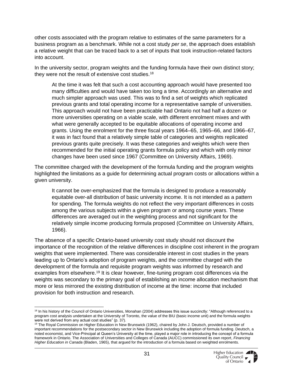other costs associated with the program relative to estimates of the same parameters for a business program as a benchmark. While not a cost study *per se*, the approach does establish a relative weight that can be traced back to a set of inputs that took instruction-related factors into account.

In the university sector, program weights and the funding formula have their own distinct story; they were not the result of extensive cost studies.<sup>18</sup>

At the time it was felt that such a cost accounting approach would have presented too many difficulties and would have taken too long a time. Accordingly an alternative and much simpler approach was used. This was to find a set of weights which replicated previous grants and total operating income for a representative sample of universities. This approach would not have been practicable had Ontario not had half a dozen or more universities operating on a viable scale, with different enrolment mixes and with what were generally accepted to be equitable allocations of operating income and grants. Using the enrolment for the three fiscal years 1964–65, 1965–66, and 1966–67, it was in fact found that a relatively simple table of categories and weights replicated previous grants quite precisely. It was these categories and weights which were then recommended for the initial operating grants formula policy and which with only minor changes have been used since 1967 (Committee on University Affairs, 1969).

The committee charged with the development of the formula funding and the program weights highlighted the limitations as a guide for determining actual program costs or allocations within a given university.

It cannot be over-emphasized that the formula is designed to produce a reasonably equitable over-all distribution of basic university income. It is not intended as a pattern for spending. The formula weights do not reflect the very important differences in costs among the various subjects within a given program or among course years. These differences are averaged out in the weighting process and not significant for the relatively simple income producing formula proposed (Committee on University Affairs, 1966).

The absence of a specific Ontario-based university cost study should not discount the importance of the recognition of the relative differences in discipline cost inherent in the program weights that were implemented. There was considerable interest in cost studies in the years leading up to Ontario's adoption of program weights, and the committee charged with the development of the formula and requisite program weights was informed by research and examples from elsewhere.<sup>19</sup> It is clear however, fine-tuning program cost differences via the weights was secondary to the primary goal of establishing an income allocation mechanism that more or less mirrored the existing distribution of income at the time: income that included provision for both instruction and research.

<sup>&</sup>lt;sup>18</sup> In his history of the Council of Ontario Universities, Monahan (2004) addresses this issue succinctly: "Although referenced to a program cost analysis undertaken at the University of Toronto, the value of the BIU (basic income unit) and the formula weights were not derived from any actual cost studies" (p. 37).

<sup>&</sup>lt;sup>19</sup> The Royal Commission on Higher Education in New Brunswick (1962), chaired by John J. Deutsch, provided a number of important recommendations for the postsecondary sector in New Brunswick including the adoption of formula funding. Deutsch, a noted economist, and Vice-Principal at Queen's University at the time, played a major role in introducing the concept of a formula framework in Ontario. The Association of Universities and Colleges of Canada (AUCC) commissioned its own report, *Financing Higher Education in Canada* (Bladen, 1965), that argued for the introduction of a formula based on weighted enrolments.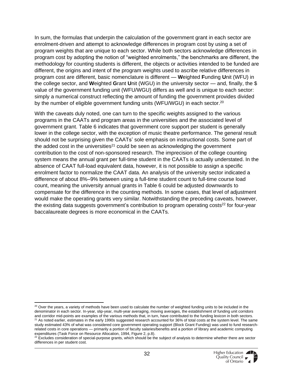In sum, the formulas that underpin the calculation of the government grant in each sector are enrolment-driven and attempt to acknowledge differences in program cost by using a set of program weights that are unique to each sector. While both sectors acknowledge differences in program cost by adopting the notion of "weighted enrolments," the benchmarks are different, the methodology for counting students is different, the objects or activities intended to be funded are different, the origins and intent of the program weights used to ascribe relative differences in program cost are different, basic nomenclature is different — **W**eighted **F**unding **U**nit (WFU) in the college sector, and **W**eighted **G**rant **U**nit (WGU) in the university sector — and, finally, the \$ value of the government funding unit (WFU/WGU) differs as well and is unique to each sector: simply a numerical construct reflecting the amount of funding the government provides divided by the number of eligible government funding units (WFU/WGU) in each sector.<sup>20</sup>

With the caveats duly noted, one can turn to the specific weights assigned to the various programs in the CAATs and program areas in the universities and the associated level of government grant. Table 6 indicates that government core support per student is generally lower in the college sector, with the exception of music theatre performance. The general result should not be surprising given the CAATs' sole emphasis on instructional costs. Some part of the added cost in the universities<sup>21</sup> could be seen as acknowledging the government contribution to the cost of non-sponsored research. The imprecision of the college counting system means the annual grant per full-time student in the CAATs is actually understated. In the absence of CAAT full-load equivalent data, however, it is not possible to assign a specific enrolment factor to normalize the CAAT data. An analysis of the university sector indicated a difference of about 8%–9% between using a full-time student count to full-time course load count, meaning the university annual grants in Table 6 could be adjusted downwards to compensate for the difference in the counting methods. In some cases, that level of adjustment would make the operating grants very similar. Notwithstanding the preceding caveats, however, the existing data suggests government's contribution to program operating costs<sup>22</sup> for four-year baccalaureate degrees is more economical in the CAATs.

<sup>&</sup>lt;sup>20</sup> Over the years, a variety of methods have been used to calculate the number of weighted funding units to be included in the denominator in each sector. In-year, slip-year, multi-year averaging, moving averages, the establishment of funding unit corridors and corridor mid-points are examples of the various methods that, in turn, have contributed to the funding lexicon in both sectors.  $21$  As noted earlier, estimates in the early 1990s suggested research accounted for 36% of total costs at the system level. The same study estimated 43% of what was considered core government operating support (Block Grant Funding) was used to fund researchrelated costs in core operations — primarily a portion of faculty salaries/benefits and a portion of library and academic computing expenditures (Task Force on Resource Allocation, 1994, Figure 2, p.8).

 $22$  Excludes consideration of special-purpose grants, which should be the subject of analysis to determine whether there are sector differences in per student cost.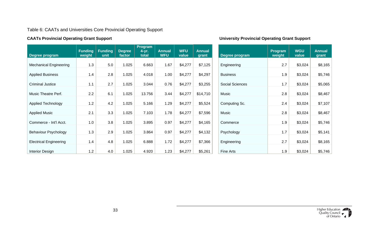#### Table 6: CAATs and Universities Core Provincial Operating Support

<span id="page-32-0"></span>

| Degree program                | <b>Funding</b><br>weight | <b>Funding</b><br>unit | <b>Degree</b><br>factor | Program<br>$4-yr.$<br>total | <b>Annual</b><br><b>WFU</b> | <b>WFU</b><br>value | <b>Annual</b><br>grant | Degree program  | Program<br>weight | <b>WGU</b><br>value | <b>Annual</b><br>grant |
|-------------------------------|--------------------------|------------------------|-------------------------|-----------------------------|-----------------------------|---------------------|------------------------|-----------------|-------------------|---------------------|------------------------|
| <b>Mechanical Engineering</b> | 1.3                      | 5.0                    | 1.025                   | 6.663                       | 1.67                        | \$4,277             | \$7,125                | Engineering     | 2.7               | \$3,024             | \$8,165                |
| <b>Applied Business</b>       | 1.4                      | 2.8                    | 1.025                   | 4.018                       | 1.00                        | \$4,277             | \$4,297                | <b>Business</b> | 1.9               | \$3,024             | \$5,746                |
| <b>Criminal Justice</b>       | 1.1                      | 2.7                    | 1.025                   | 3.044                       | 0.76                        | \$4,277             | \$3,255                | Social Sciences | 1.7               | \$3,024             | \$5,065                |
| Music Theatre Perf.           | 2.2                      | 6.1                    | 1.025                   | 13.756                      | 3.44                        | \$4,277             | \$14,710               | Music           | 2.8               | \$3,024             | \$8,467                |
| <b>Applied Technology</b>     | 1.2                      | 4.2                    | 1.025                   | 5.166                       | 1.29                        | \$4,277             | \$5,524                | Computing Sc.   | 2.4               | \$3,024             | \$7,107                |
| <b>Applied Music</b>          | 2.1                      | 3.3                    | 1.025                   | 7.103                       | 1.78                        | \$4,277             | \$7,596                | Music           | 2.8               | \$3,024             | \$8,467                |
| Commerce - Int'l Acct.        | 1.0                      | 3.8                    | 1.025                   | 3.895                       | 0.97                        | \$4,277             | \$4,165                | Commerce        | 1.9               | \$3,024             | \$5,746                |
| <b>Behaviour Psychology</b>   | 1.3                      | 2.9                    | 1.025                   | 3.864                       | 0.97                        | \$4,277             | \$4,132                | Psychology      | 1.7               | \$3,024             | \$5,141                |
| <b>Electrical Engineering</b> | 1.4                      | 4.8                    | 1.025                   | 6.888                       | 1.72                        | \$4,277             | \$7,366                | Engineering     | 2.7               | \$3,024             | \$8,165                |
| <b>Interior Design</b>        | 1.2                      | 4.0                    | 1.025                   | 4.920                       | 1.23                        | \$4,277             | \$5,261                | Fine Arts       | 1.9               | \$3,024             | \$5,746                |

#### **CAATs Provincial Operating Grant Support University Provincial Operating Grant Support**

| Degree program         | Program<br>weight | <b>WGU</b><br>value | <b>Annual</b><br>grant |
|------------------------|-------------------|---------------------|------------------------|
| Engineering            | 2.7               | \$3,024             | \$8,165                |
| <b>Business</b>        | 1.9               |                     |                        |
|                        |                   | \$3,024             | \$5,746                |
| <b>Social Sciences</b> | 1.7               | \$3,024             | \$5,065                |
| Music                  | 2.8               | \$3,024             | \$8,467                |
| Computing Sc.          | 2.4               | \$3,024             | \$7,107                |
| Music                  | 2.8               | \$3,024             | \$8,467                |
| Commerce               | 1.9               | \$3,024             | \$5,746                |
| Psychology             | 1.7               | \$3,024             | \$5,141                |
| Engineering            | 2.7               | \$3,024             | \$8,165                |
| Fine Arts              | 1.9               | \$3,024             | \$5,746                |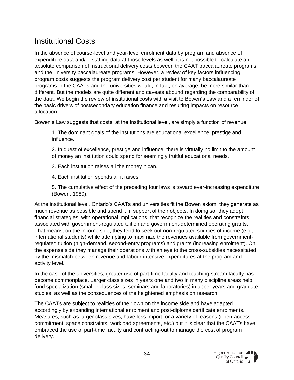### <span id="page-33-0"></span>Institutional Costs

In the absence of course-level and year-level enrolment data by program and absence of expenditure data and/or staffing data at those levels as well, it is not possible to calculate an absolute comparison of instructional delivery costs between the CAAT baccalaureate programs and the university baccalaureate programs. However, a review of key factors influencing program costs suggests the program delivery cost per student for many baccalaureate programs in the CAATs and the universities would, in fact, on average, be more similar than different. But the models are quite different and caveats abound regarding the comparability of the data. We begin the review of institutional costs with a visit to Bowen's Law and a reminder of the basic drivers of postsecondary education finance and resulting impacts on resource allocation.

Bowen's Law suggests that costs, at the institutional level, are simply a function of revenue.

1. The dominant goals of the institutions are educational excellence, prestige and influence.

- 2. In quest of excellence, prestige and influence, there is virtually no limit to the amount of money an institution could spend for seemingly fruitful educational needs.
- 3. Each institution raises all the money it can.
- 4. Each institution spends all it raises.
- 5. The cumulative effect of the preceding four laws is toward ever-increasing expenditure (Bowen, 1980).

At the institutional level, Ontario's CAATs and universities fit the Bowen axiom; they generate as much revenue as possible and spend it in support of their objects. In doing so, they adopt financial strategies, with operational implications, that recognize the realities and constraints associated with government-regulated tuition and government-determined operating grants. That means, on the income side, they tend to seek out non-regulated sources of income (e.g., international students) while attempting to maximize the revenues available from governmentregulated tuition (high-demand, second-entry programs) and grants (increasing enrolment). On the expense side they manage their operations with an eye to the cross-subsidies necessitated by the mismatch between revenue and labour-intensive expenditures at the program and activity level.

In the case of the universities, greater use of part-time faculty and teaching-stream faculty has become commonplace. Larger class sizes in years one and two in many discipline areas help fund specialization (smaller class sizes, seminars and laboratories) in upper years and graduate studies, as well as the consequences of the heightened emphasis on research.

The CAATs are subject to realities of their own on the income side and have adapted accordingly by expanding international enrolment and post-diploma certificate enrolments. Measures, such as larger class sizes, have less import for a variety of reasons (open-access commitment, space constraints, workload agreements, etc.) but it is clear that the CAATs have embraced the use of part-time faculty and contracting-out to manage the cost of program delivery.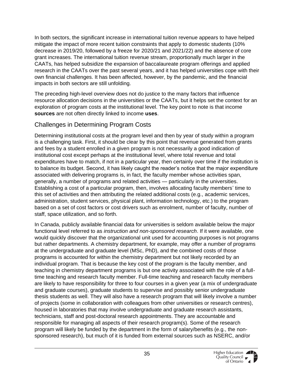In both sectors, the significant increase in international tuition revenue appears to have helped mitigate the impact of more recent tuition constraints that apply to domestic students (10% decrease in 2019/20, followed by a freeze for 2020/21 and 2021/22) and the absence of core grant increases. The international tuition revenue stream, proportionally much larger in the CAATs, has helped subsidize the expansion of baccalaureate program offerings and applied research in the CAATs over the past several years, and it has helped universities cope with their own financial challenges. It has been affected, however, by the pandemic, and the financial impacts in both sectors are still unfolding.

The preceding high-level overview does not do justice to the many factors that influence resource allocation decisions in the universities or the CAATs, but it helps set the context for an exploration of program costs at the institutional level. The key point to note is that income **sources** are not often directly linked to income **uses**.

#### <span id="page-34-0"></span>Challenges in Determining Program Costs

Determining institutional costs at the program level and then by year of study within a program is a challenging task. First, it should be clear by this point that revenue generated from grants and fees by a student enrolled in a given program is not necessarily a good indication of institutional cost except perhaps at the institutional level, where total revenue and total expenditures have to match, if not in a particular year, then certainly over time if the institution is to balance its budget. Second, it has likely caught the reader's notice that the major expenditure associated with delivering programs is, in fact, the faculty member whose activities span, generally, a number of programs and related activities — particularly in the universities. Establishing a cost of a particular program, then, involves allocating faculty members' time to this set of activities and then attributing the related additional costs (e.g., academic services, administration, student services, physical plant, information technology, etc.) to the program based on a set of cost factors or cost drivers such as enrolment, number of faculty, number of staff, space utilization, and so forth.

In Canada, publicly available financial data for universities is seldom available below the major functional level referred to as *instruction and non-sponsored research*. If it were available, one would quickly discover that the organizational unit used for accounting purposes is not programs but rather departments. A chemistry department, for example, may offer a number of programs at the undergraduate and graduate level (MSc, PhD), and the combined costs of those programs is accounted for within the chemistry department but not likely recorded by an individual program. That is because the key cost of the program is the faculty member, and teaching in chemistry department programs is but one activity associated with the role of a fulltime teaching and research faculty member. Full-time teaching and research faculty members are likely to have responsibility for three to four courses in a given year (a mix of undergraduate and graduate courses), graduate students to supervise and possibly senior undergraduate thesis students as well. They will also have a research program that will likely involve a number of projects (some in collaboration with colleagues from other universities or research centres), housed in laboratories that may involve undergraduate and graduate research assistants, technicians, staff and post-doctoral research appointments. They are accountable and responsible for managing all aspects of their research program(s). Some of the research program will likely be funded by the department in the form of salary/benefits (e.g., the nonsponsored research), but much of it is funded from external sources such as NSERC, and/or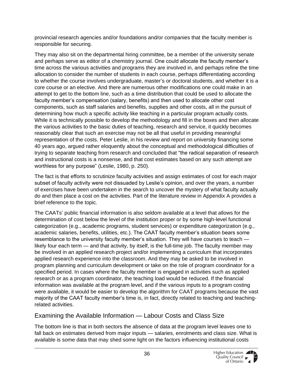provincial research agencies and/or foundations and/or companies that the faculty member is responsible for securing.

They may also sit on the departmental hiring committee, be a member of the university senate and perhaps serve as editor of a chemistry journal. One could allocate the faculty member's time across the various activities and programs they are involved in, and perhaps refine the time allocation to consider the number of students in each course, perhaps differentiating according to whether the course involves undergraduate, master's or doctoral students, and whether it is a core course or an elective. And there are numerous other modifications one could make in an attempt to get to the bottom line, such as a time distribution that could be used to allocate the faculty member's compensation (salary, benefits) and then used to allocate other cost components, such as staff salaries and benefits, supplies and other costs, all in the pursuit of determining how much a specific activity like teaching in a particular program actually costs. While it is technically possible to develop the methodology and fill in the boxes and then allocate the various activities to the basic duties of teaching, research and service, it quickly becomes reasonably clear that such an exercise may not be all that useful in providing meaningful representation of the costs. Peter Leslie, in his review and report on university financing some 40 years ago, argued rather eloquently about the conceptual and methodological difficulties of trying to separate teaching from research and concluded that "the radical separation of research and instructional costs is a nonsense, and that cost estimates based on any such attempt are worthless for any purpose" (Leslie, 1980, p. 250).

The fact is that efforts to scrutinize faculty activities and assign estimates of cost for each major subset of faculty activity were not dissuaded by Leslie's opinion, and over the years, a number of exercises have been undertaken in the search to uncover the mystery of what faculty actually do and then place a cost on the activities. Part of the literature review in Appendix A provides a brief reference to the topic.

The CAATs' public financial information is also seldom available at a level that allows for the determination of cost below the level of the institution proper or by some high-level functional categorization (e.g., academic programs, student services) or expenditure categorization (e.g., academic salaries, benefits, utilities, etc.). The CAAT faculty member's situation bears some resemblance to the university faculty member's situation. They will have courses to teach likely four each term — and that activity, by itself, is the full-time job. The faculty member may be involved in an applied research project and/or implementing a curriculum that incorporates applied research experience into the classroom. And they may be asked to be involved in program planning and curriculum development or take on the role of program coordinator for a specified period. In cases where the faculty member is engaged in activities such as applied research or as a program coordinator, the teaching load would be reduced. If the financial information was available at the program level, and if the various inputs to a program costing were available, it would be easier to develop the algorithm for CAAT programs because the vast majority of the CAAT faculty member's time is, in fact, directly related to teaching and teachingrelated activities.

### <span id="page-35-0"></span>Examining the Available Information — Labour Costs and Class Size

The bottom line is that in both sectors the absence of data at the program level leaves one to fall back on estimates derived from major inputs — salaries, enrolments and class size. What is available is some data that may shed some light on the factors influencing institutional costs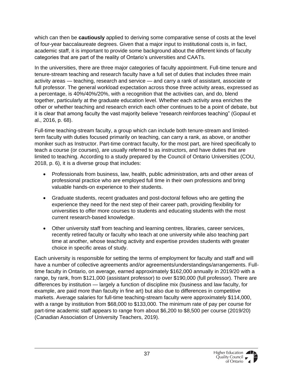which can then be **cautiously** applied to deriving some comparative sense of costs at the level of four-year baccalaureate degrees. Given that a major input to institutional costs is, in fact, academic staff, it is important to provide some background about the different kinds of faculty categories that are part of the reality of Ontario's universities and CAATs.

In the universities, there are three major categories of faculty appointment. Full-time tenure and tenure-stream teaching and research faculty have a full set of duties that includes three main activity areas — teaching, research and service — and carry a rank of assistant, associate or full professor. The general workload expectation across those three activity areas, expressed as a percentage, is 40%/40%/20%, with a recognition that the activities can, and do, blend together, particularly at the graduate education level. Whether each activity area enriches the other or whether teaching and research enrich each other continues to be a point of debate, but it is clear that among faculty the vast majority believe "research reinforces teaching" (Gopaul et al., 2016, p. 68).

Full-time teaching-stream faculty, a group which can include both tenure-stream and limitedterm faculty with duties focused primarily on teaching, can carry a rank, as above, or another moniker such as Instructor. Part-time contract faculty, for the most part, are hired specifically to teach a course (or courses), are usually referred to as instructors, and have duties that are limited to teaching. According to a study prepared by the Council of Ontario Universities (COU, 2018, p. 6), it is a diverse group that includes:

- Professionals from business, law, health, public administration, arts and other areas of professional practice who are employed full time in their own professions and bring valuable hands-on experience to their students.
- Graduate students, recent graduates and post-doctoral fellows who are getting the experience they need for the next step of their career path, providing flexibility for universities to offer more courses to students and educating students with the most current research-based knowledge.
- Other university staff from teaching and learning centres, libraries, career services, recently retired faculty or faculty who teach at one university while also teaching part time at another, whose teaching activity and expertise provides students with greater choice in specific areas of study.

Each university is responsible for setting the terms of employment for faculty and staff and will have a number of collective agreements and/or agreements/understandings/arrangements. Fulltime faculty in Ontario, on average, earned approximately \$162,000 annually in 2019/20 with a range, by rank, from \$121,000 (assistant professor) to over \$190,000 (full professor). There are differences by institution — largely a function of discipline mix (business and law faculty, for example, are paid more than faculty in fine art) but also due to differences in competitive markets. Average salaries for full-time teaching-stream faculty were approximately \$114,000, with a range by institution from \$68,000 to \$133,000. The minimum rate of pay per course for part-time academic staff appears to range from about \$6,200 to \$8,500 per course (2019/20) (Canadian Association of University Teachers, 2019).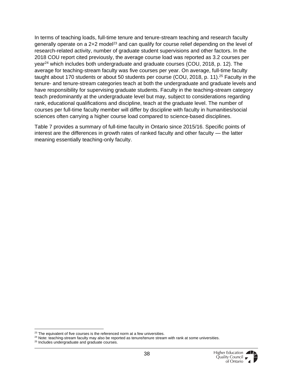In terms of teaching loads, full-time tenure and tenure-stream teaching and research faculty generally operate on a  $2+2$  model<sup>23</sup> and can qualify for course relief depending on the level of research-related activity, number of graduate student supervisions and other factors. In the 2018 COU report cited previously, the average course load was reported as 3.2 courses per year<sup>24</sup> which includes both undergraduate and graduate courses (COU, 2018, p. 12). The average for teaching-stream faculty was five courses per year. On average, full-time faculty taught about 170 students or about 50 students per course (COU, 2018, p. 11).<sup>25</sup> Faculty in the tenure- and tenure-stream categories teach at both the undergraduate and graduate levels and have responsibility for supervising graduate students. Faculty in the teaching-stream category teach predominantly at the undergraduate level but may, subject to considerations regarding rank, educational qualifications and discipline, teach at the graduate level. The number of courses per full-time faculty member will differ by discipline with faculty in humanities/social sciences often carrying a higher course load compared to science-based disciplines.

Table 7 provides a summary of full-time faculty in Ontario since 2015/16. Specific points of interest are the differences in growth rates of ranked faculty and other faculty — the latter meaning essentially teaching-only faculty.

 $23$  The equivalent of five courses is the referenced norm at a few universities.

<sup>&</sup>lt;sup>24</sup> Note: teaching-stream faculty may also be reported as tenure/tenure stream with rank at some universities.

<sup>&</sup>lt;sup>25</sup> Includes undergraduate and graduate courses.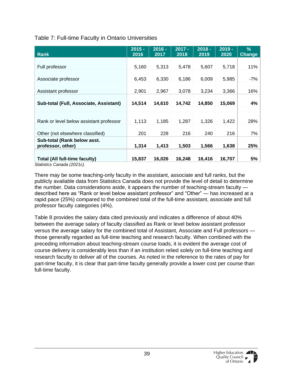<span id="page-38-0"></span>

| Table 7: Full-time Faculty in Ontario Universities |  |  |
|----------------------------------------------------|--|--|
|----------------------------------------------------|--|--|

| <b>Rank</b>                                                                                | $2015 -$<br>2016 | $2016 -$<br>2017 | $2017 -$<br>2018 | $2018 -$<br>2019 | $2019 -$<br>2020 | $\%$<br>Change |
|--------------------------------------------------------------------------------------------|------------------|------------------|------------------|------------------|------------------|----------------|
|                                                                                            |                  |                  |                  |                  |                  |                |
| Full professor                                                                             | 5,160            | 5,313            | 5,478            | 5,607            | 5,718            | 11%            |
|                                                                                            |                  |                  |                  |                  |                  |                |
| Associate professor                                                                        | 6,453            | 6,330            | 6,186            | 6,009            | 5,985            | -7%            |
|                                                                                            |                  |                  |                  |                  |                  |                |
| Assistant professor                                                                        | 2,901            | 2,967            | 3,078            | 3,234            | 3,366            | 16%            |
|                                                                                            |                  |                  |                  |                  |                  |                |
| Sub-total (Full, Associate, Assistant)                                                     | 14,514           | 14,610           | 14,742           | 14,850           | 15,069           | 4%             |
|                                                                                            |                  |                  |                  |                  |                  |                |
|                                                                                            |                  |                  |                  |                  |                  |                |
| Rank or level below assistant professor                                                    | 1,113            | 1,185            | 1,287            | 1,326            | 1,422            | 28%            |
|                                                                                            |                  |                  |                  |                  |                  |                |
| Other (not elsewhere classified)                                                           | 201              | 228              | 216              | 240              | 216              | 7%             |
| Sub-total (Rank below asst.                                                                |                  |                  |                  |                  |                  |                |
| professor, other)                                                                          | 1,314            | 1,413            | 1,503            | 1,566            | 1,638            | 25%            |
|                                                                                            |                  |                  |                  |                  |                  |                |
| <b>Total (All full-time faculty)</b><br>$Q(x, y, y, z) = Q(x, y, z, z) = Q(x, Q(x, y, z))$ | 15,837           | 16,026           | 16,248           | 16,416           | 16,707           | 5%             |

*Statistics Canada (2021c).* 

There may be some teaching-only faculty in the assistant, associate and full ranks, but the publicly available data from Statistics Canada does not provide the level of detail to determine the number. Data considerations aside, it appears the number of teaching-stream faculty described here as "Rank or level below assistant professor" and "Other" — has increased at a rapid pace (25%) compared to the combined total of the full-time assistant, associate and full professor faculty categories (4%).

Table 8 provides the salary data cited previously and indicates a difference of about 40% between the average salary of faculty classified as Rank or level below assistant professor versus the average salary for the combined total of Assistant, Associate and Full professors those generally regarded as full-time teaching and research faculty. When combined with the preceding information about teaching-stream course loads, it is evident the average cost of course delivery is considerably less than if an institution relied solely on full-time teaching and research faculty to deliver all of the courses. As noted in the reference to the rates of pay for part-time faculty, it is clear that part-time faculty generally provide a lower cost per course than full-time faculty.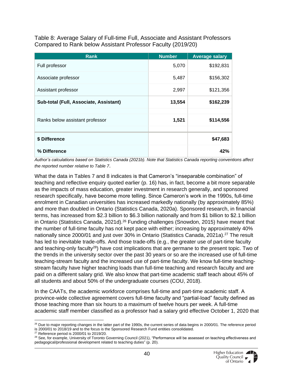<span id="page-39-0"></span>Table 8: Average Salary of Full-time Full, Associate and Assistant Professors Compared to Rank below Assistant Professor Faculty (2019/20)

| <b>Rank</b>                            | <b>Number</b> | <b>Average salary</b> |
|----------------------------------------|---------------|-----------------------|
| Full professor                         | 5,070         | \$192,831             |
| Associate professor                    | 5,487         | \$156,302             |
| Assistant professor                    | 2,997         | \$121,356             |
| Sub-total (Full, Associate, Assistant) | 13,554        | \$162,239             |
|                                        |               |                       |
| Ranks below assistant professor        | 1,521         | \$114,556             |
|                                        |               |                       |
| \$ Difference                          |               | \$47,683              |
| % Difference                           |               | 42%                   |

*Author's calculations based on Statistics Canada (2021b). Note that Statistics Canada reporting conventions affect the reported number relative to Table 7*.

What the data in Tables 7 and 8 indicates is that Cameron's "inseparable combination" of teaching and reflective enquiry quoted earlier (p. 16) has, in fact, become a bit more separable as the impacts of mass education, greater investment in research generally, and sponsored research specifically, have become more telling. Since Cameron's work in the 1990s, full-time enrolment in Canadian universities has increased markedly nationally (by approximately 85%) and more than doubled in Ontario (Statistics Canada, 2020a). Sponsored research, in financial terms, has increased from \$2.3 billion to \$6.3 billion nationally and from \$1 billion to \$2.1 billion in Ontario (Statistics Canada, 2021d).<sup>26</sup> Funding challenges (Snowdon, 2015) have meant that the number of full-time faculty has not kept pace with either; increasing by approximately 40% nationally since 2000/01 and just over 30% in Ontario (Statistics Canada, 2021a).<sup>27</sup> The result has led to inevitable trade-offs. And those trade-offs (e.g., the greater use of part-time faculty and teaching-only faculty<sup>28</sup>) have cost implications that are germane to the present topic. Two of the trends in the university sector over the past 30 years or so are the increased use of full-time teaching-stream faculty and the increased use of part-time faculty. We know full-time teachingstream faculty have higher teaching loads than full-time teaching and research faculty and are paid on a different salary grid. We also know that part-time academic staff teach about 45% of all students and about 50% of the undergraduate courses (COU, 2018).

In the CAATs, the academic workforce comprises full-time and part-time academic staff. A province-wide collective agreement covers full-time faculty and "partial-load" faculty defined as those teaching more than six hours to a maximum of twelve hours per week. A full-time academic staff member classified as a professor had a salary grid effective October 1, 2020 that

 $26$  Due to major reporting changes in the latter part of the 1990s, the current series of data begins in 2000/01. The reference period is 2000/01 to 2018/19 and to the focus is the Sponsored Research Fund entities consolidated.

 $27$  Reference period is 2000/01 to 2019/20.

<sup>&</sup>lt;sup>28</sup> See, for example, University of Toronto Governing Council (2021), "Performance will be assessed on teaching effectiveness and pedagogical/professional development related to teaching duties" (p. 20).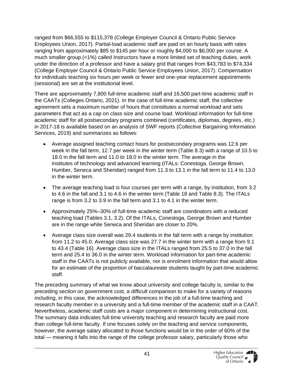ranged from \$66,555 to \$115,378 (College Employer Council & Ontario Public Service Employees Union, 2017). Partial-load academic staff are paid on an hourly basis with rates ranging from approximately \$85 to \$145 per hour or roughly \$4,000 to \$6,000 per course. A much smaller group (<1%) called Instructors have a more limited set of teaching duties, work under the direction of a professor and have a salary grid that ranges from \$43,783 to \$74,334 (College Employer Council & Ontario Public Service Employees Union, 2017). Compensation for individuals teaching six hours per week or fewer and one-year replacement appointments (sessional) are set at the institutional level.

There are approximately 7,800 full-time academic staff and 16,500 part-time academic staff in the CAATs (Colleges Ontario, 2021). In the case of full-time academic staff, the collective agreement sets a maximum number of hours that constitutes a normal workload and sets parameters that act as a cap on class size and course load. Workload information for full-time academic staff for all postsecondary programs combined (certificates, diplomas, degrees, etc.) in 2017-18 is available based on an analysis of SWF reports (Collective Bargaining Information Services, 2019) and summarizes as follows:

- Average assigned teaching contact hours for postsecondary programs was 12.6 per week in the fall term, 12.7 per week in the winter term (Table 8.3) with a range of 10.5 to 18.0 in the fall term and 11.0 to 18.0 in the winter term. The average in the institutes of technology and advanced learning (ITALs: Conestoga, George Brown, Humber, Seneca and Sheridan) ranged from 11.3 to 13.1 in the fall term to 11.4 to 13.0 in the winter term.
- The average teaching load is four courses per term with a range, by institution, from 3.2 to 4.6 in the fall and 3.1 to 4.6 in the winter term (Table 18 and Table 8.3). The ITALs range is from 3.2 to 3.9 in the fall term and 3.1 to 4.1 in the winter term.
- Approximately 25%–30% of full-time academic staff are coordinators with a reduced teaching load (Tables 3.1, 3.2). Of the ITALs, Conestoga, George Brown and Humber are in the range while Seneca and Sheridan are closer to 20%.
- Average class size overall was 29.4 students in the fall term with a range by institution from 11.2 to 45.0. Average class size was 27.7 in the winter term with a range from 9.1 to 43.4 (Table 16). Average class size in the ITALs ranged from 25.5 to 37.0 in the fall term and 25.4 to 36.0 in the winter term. Workload information for part-time academic staff in the CAATs is not publicly available, nor is enrolment information that would allow for an estimate of the proportion of baccalaureate students taught by part-time academic staff.

The preceding summary of what we know about university and college faculty is, similar to the preceding section on government cost, a difficult comparison to make for a variety of reasons including, in this case, the acknowledged differences in the job of a full-time teaching and research faculty member in a university and a full-time member of the academic staff in a CAAT. Nevertheless, academic staff costs are a major component in determining instructional cost. The summary data indicates full-time university teaching and research faculty are paid more than college full-time faculty. If one focuses solely on the teaching and service components, however, the average salary allocated to those functions would be in the order of 60% of the total — meaning it falls into the range of the college professor salary, particularly those who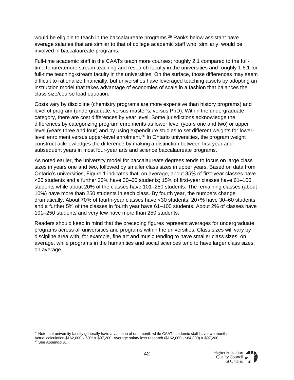would be eligible to teach in the baccalaureate programs.<sup>29</sup> Ranks below assistant have average salaries that are similar to that of college academic staff who, similarly, would be involved in baccalaureate programs.

Full-time academic staff in the CAATs teach more courses; roughly 2:1 compared to the fulltime tenure/tenure stream teaching and research faculty in the universities and roughly 1.6:1 for full-time teaching-stream faculty in the universities. On the surface, those differences may seem difficult to rationalize financially, but universities have leveraged teaching assets by adopting an instruction model that takes advantage of economies of scale in a fashion that balances the class size/course load equation.

Costs vary by discipline (chemistry programs are more expensive than history programs) and level of program (undergraduate, versus master's, versus PhD). Within the undergraduate category, there are cost differences by year level. Some jurisdictions acknowledge the differences by categorizing program enrolments as lower level (years one and two) or upper level (years three and four) and by using expenditure studies to set different weights for lowerlevel enrolment versus upper-level enrolment.<sup>30</sup> In Ontario universities, the program weight construct acknowledges the difference by making a distinction between first year and subsequent years in most four-year arts and science baccalaureate programs.

As noted earlier, the university model for baccalaureate degrees tends to focus on large class sizes in years one and two, followed by smaller class sizes in upper years. Based on data from Ontario's universities, Figure 1 indicates that, on average, about 35% of first-year classes have <30 students and a further 20% have 30–60 students; 15% of first-year classes have 61–100 students while about 20% of the classes have 101–250 students. The remaining classes (about 10%) have more than 250 students in each class. By fourth year, the numbers change dramatically. About 70% of fourth-year classes have <30 students, 20+% have 30–60 students and a further 5% of the classes in fourth year have 61–100 students. About 2% of classes have 101–250 students and very few have more than 250 students.

Readers should keep in mind that the preceding figures represent averages for undergraduate programs across all universities and programs within the universities. Class sizes will vary by discipline area with, for example, fine art and music tending to have smaller class sizes, on average, while programs in the humanities and social sciences tend to have larger class sizes, on average.

<sup>29</sup> Note that university faculty generally have a vacation of one month while CAAT academic staff have two months. Actual calculation \$162,000 x 60% = \$97,200. Average salary less research (\$162,000 - \$64,800) = \$97,200. <sup>30</sup> See Appendix A.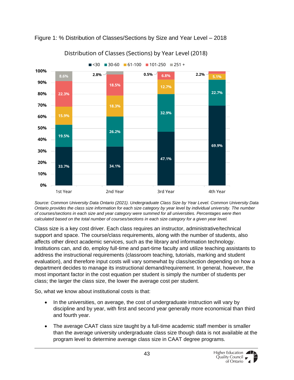<span id="page-42-0"></span>



Distribution of Classes (Sections) by Year Level (2018)

*Source: Common University Data Ontario (2021). Undergraduate Class Size by Year Level. Common University Data Ontario provides the class size information for each size category by year level by individual university. The number of courses/sections in each size and year category were summed for all universities. Percentages were then calculated based on the total number of courses/sections in each size category for a given year level.* 

Class size is a key cost driver. Each class requires an instructor, administrative/technical support and space. The course/class requirements, along with the number of students, also affects other direct academic services, such as the library and information technology. Institutions can, and do, employ full-time and part-time faculty and utilize teaching assistants to address the instructional requirements (classroom teaching, tutorials, marking and student evaluation), and therefore input costs will vary somewhat by class/section depending on how a department decides to manage its instructional demand/requirement. In general, however, the most important factor in the cost equation per student is simply the number of students per class; the larger the class size, the lower the average cost per student.

So, what we know about institutional costs is that:

- In the universities, on average, the cost of undergraduate instruction will vary by discipline and by year, with first and second year generally more economical than third and fourth year.
- The average CAAT class size taught by a full-time academic staff member is smaller than the average university undergraduate class size though data is not available at the program level to determine average class size in CAAT degree programs.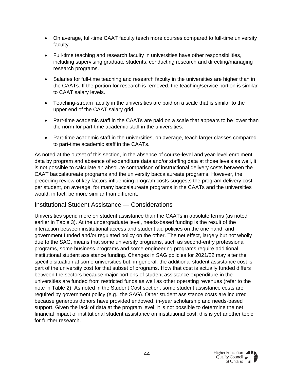- On average, full-time CAAT faculty teach more courses compared to full-time university faculty.
- Full-time teaching and research faculty in universities have other responsibilities, including supervising graduate students, conducting research and directing/managing research programs.
- Salaries for full-time teaching and research faculty in the universities are higher than in the CAATs. If the portion for research is removed, the teaching/service portion is similar to CAAT salary levels.
- Teaching-stream faculty in the universities are paid on a scale that is similar to the upper end of the CAAT salary grid.
- Part-time academic staff in the CAATs are paid on a scale that appears to be lower than the norm for part-time academic staff in the universities.
- Part-time academic staff in the universities, on average, teach larger classes compared to part-time academic staff in the CAATs.

As noted at the outset of this section, in the absence of course-level and year-level enrolment data by program and absence of expenditure data and/or staffing data at those levels as well, it is not possible to calculate an absolute comparison of instructional delivery costs between the CAAT baccalaureate programs and the university baccalaureate programs. However, the preceding review of key factors influencing program costs suggests the program delivery cost per student, on average, for many baccalaureate programs in the CAATs and the universities would, in fact, be more similar than different.

#### <span id="page-43-0"></span>Institutional Student Assistance — Considerations

Universities spend more on student assistance than the CAATs in absolute terms (as noted earlier in Table 3). At the undergraduate level, needs-based funding is the result of the interaction between institutional access and student aid policies on the one hand, and government funded and/or regulated policy on the other. The net effect, largely but not wholly due to the SAG, means that some university programs, such as second-entry professional programs, some business programs and some engineering programs require additional institutional student assistance funding. Changes in SAG policies for 2021/22 may alter the specific situation at some universities but, in general, the additional student assistance cost is part of the university cost for that subset of programs. How that cost is actually funded differs between the sectors because major portions of student assistance expenditure in the universities are funded from restricted funds as well as other operating revenues (refer to the note in Table 2). As noted in the Student Cost section, some student assistance costs are required by government policy (e.g., the SAG). Other student assistance costs are incurred because generous donors have provided endowed, in-year scholarship and needs-based support. Given the lack of data at the program level, it is not possible to determine the net financial impact of institutional student assistance on institutional cost; this is yet another topic for further research.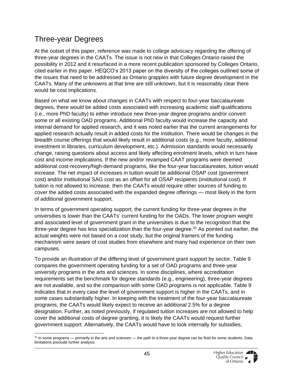### <span id="page-44-0"></span>Three-year Degrees

At the outset of this paper, reference was made to college advocacy regarding the offering of three-year degrees in the CAATs. The issue is not new in that Colleges Ontario raised the possibility in 2012 and it resurfaced in a more recent publication sponsored by Colleges Ontario, cited earlier in this paper. HEQCO's 2013 paper on the diversity of the colleges outlined some of the issues that need to be addressed as Ontario grapples with future degree development in the CAATs. Many of the unknowns at that time are still unknown, but it is reasonably clear there would be cost implications.

Based on what we know about changes in CAATs with respect to four-year baccalaureate degrees, there would be added costs associated with increasing academic staff qualifications (i.e., more PhD faculty) to either introduce new three-year degree programs and/or convert some or all existing OAD programs. Additional PhD faculty would increase the capacity and internal demand for applied research, and it was noted earlier that the current arrangements for applied research actually result in added costs for the institution. There would be changes in the breadth course offerings that would likely result in additional costs (e.g., more faculty, additional investment in libraries, curriculum development, etc.). Admission standards would necessarily change, raising questions about access and likely affecting enrolment levels, which in turn have cost and income implications. If the new and/or revamped CAAT programs were deemed additional cost-recovery/high-demand programs, like the four-year baccalaureates, tuition would increase. The net impact of increases in tuition would be additional OSAP cost (government cost) and/or institutional SAG cost as an offset for all OSAP recipients (institutional cost). If tuition is not allowed to increase, then the CAATs would require other sources of funding to cover the added costs associated with the expanded degree offerings — most likely in the form of additional government support.

In terms of government operating support, the current funding for three-year degrees in the universities is lower than the CAATs' current funding for the OADs. The lower program weight and associated level of government grant in the universities is due to the recognition that the three-year degree has less specialization than the four-year degree.<sup>31</sup> As pointed out earlier, the actual weights were not based on a cost study, but the original framers of the funding mechanism were aware of cost studies from elsewhere and many had experience on their own campuses.

To provide an illustration of the differing level of government grant support by sector, Table 9 compares the government operating funding for a set of OAD programs and three-year university programs in the arts and sciences. In some disciplines, where accreditation requirements set the benchmark for degree standards (e.g., engineering), three-year degrees are not available, and so the comparison with some OAD programs is not applicable. Table 9 indicates that in every case the level of government support is higher in the CAATs, and in some cases substantially higher. In keeping with the treatment of the four-year baccalaureate programs, the CAATs would likely expect to receive an additional 2.5% for a degree designation. Further, as noted previously, if regulated tuition increases are not allowed to help cover the additional costs of degree granting, it is likely the CAATs would request further government support. Alternatively, the CAATs would have to look internally for subsidies,

<sup>&</sup>lt;sup>31</sup> In some programs — primarily in the arts and sciences — the path to a three-year degree can be fluid for some students. Data limitations preclude further analysis.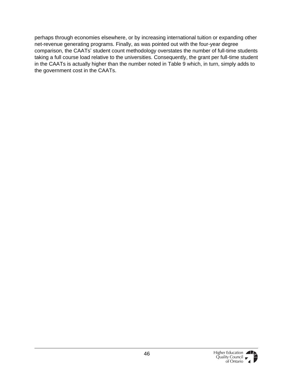perhaps through economies elsewhere, or by increasing international tuition or expanding other net-revenue generating programs. Finally, as was pointed out with the four-year degree comparison, the CAATs' student count methodology overstates the number of full-time students taking a full course load relative to the universities. Consequently, the grant per full-time student in the CAATs is actually higher than the number noted in Table 9 which, in turn, simply adds to the government cost in the CAATs.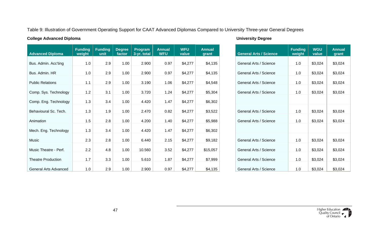#### Table 9: Illustration of Government Operating Support for CAAT Advanced Diplomas Compared to University Three-year General Degrees

#### **College Advanced Diploma University Degree**

<span id="page-46-0"></span>

| <b>Advanced Diploma</b>      | <b>Funding</b><br>weight | <b>Funding</b><br>unit | <b>Degree</b><br>factor | Program<br>3-yr. total | <b>Annual</b><br><b>WFU</b> | <b>WFU</b><br>value | <b>Annual</b><br>grant | <b>General Arts / Science</b> |  |
|------------------------------|--------------------------|------------------------|-------------------------|------------------------|-----------------------------|---------------------|------------------------|-------------------------------|--|
| Bus. Admin. Acc'ting         | 1.0                      | 2.9                    | 1.00                    | 2.900                  | 0.97                        | \$4,277             | \$4,135                | General Arts / Science        |  |
| Bus. Admin. HR               | 1.0                      | 2.9                    | 1.00                    | 2.900                  | 0.97                        | \$4,277             | \$4,135                | General Arts / Science        |  |
| <b>Public Relations</b>      | 1.1                      | 2.9                    | 1.00                    | 3.190                  | 1.06                        | \$4,277             | \$4,548                | General Arts / Science        |  |
|                              |                          |                        |                         |                        |                             |                     |                        |                               |  |
| Comp. Sys. Technology        | 1.2                      | 3.1                    | 1.00                    | 3.720                  | 1.24                        | \$4,277             | \$5,304                | General Arts / Science        |  |
| Comp. Eng. Technology        | 1.3                      | 3.4                    | 1.00                    | 4.420                  | 1.47                        | \$4,277             | \$6,302                |                               |  |
| Behavioural Sc. Tech.        | 1.3                      | 1.9                    | 1.00                    | 2.470                  | 0.82                        | \$4,277             | \$3,522                | General Arts / Science        |  |
| Animation                    | 1.5                      | 2.8                    | 1.00                    | 4.200                  | 1.40                        | \$4,277             | \$5,988                | General Arts / Science        |  |
| Mech. Eng. Technology        | 1.3                      | 3.4                    | 1.00                    | 4.420                  | 1.47                        | \$4,277             | \$6,302                |                               |  |
| Music                        | 2.3                      | 2.8                    | 1.00                    | 6.440                  | 2.15                        | \$4,277             | \$9,182                | General Arts / Science        |  |
| Music Theatre - Perf.        | 2.2                      | 4.8                    | 1.00                    | 10.560                 | 3.52                        | \$4,277             | \$15,057               | General Arts / Science        |  |
| <b>Theatre Production</b>    | 1.7                      | 3.3                    | 1.00                    | 5.610                  | 1.87                        | \$4,277             | \$7,999                | General Arts / Science        |  |
| <b>General Arts Advanced</b> | 1.0                      | 2.9                    | 1.00                    | 2.900                  | 0.97                        | \$4,277             | \$4,135                | General Arts / Science        |  |

| <b>Annual</b><br>grant | <b>General Arts / Science</b> | <b>Funding</b><br>weight | <b>WGU</b><br>value | <b>Annual</b><br>grant |
|------------------------|-------------------------------|--------------------------|---------------------|------------------------|
| \$4,135                | General Arts / Science        | 1.0                      | \$3,024             | \$3,024                |
| \$4,135                | General Arts / Science        | 1.0                      | \$3,024             | \$3,024                |
| \$4,548                | General Arts / Science        | 1.0                      | \$3,024             | \$3,024                |
| \$5,304                | General Arts / Science        | 1.0                      | \$3,024             | \$3,024                |
|                        |                               |                          |                     |                        |
| \$6,302                |                               |                          |                     |                        |
| \$3,522                | General Arts / Science        | 1.0                      | \$3,024             | \$3,024                |
| \$5,988                | General Arts / Science        | 1.0                      | \$3,024             | \$3,024                |
| \$6,302                |                               |                          |                     |                        |
| \$9,182                | General Arts / Science        | 1.0                      | \$3,024             | \$3,024                |
|                        |                               |                          |                     |                        |
| \$15,057               | General Arts / Science        | 1.0                      | \$3,024             | \$3,024                |
| \$7,999                | General Arts / Science        | 1.0                      | \$3,024             | \$3,024                |
| \$4,135                | General Arts / Science        | 1.0                      | \$3,024             | \$3,024                |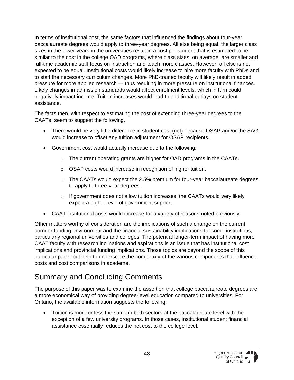In terms of institutional cost, the same factors that influenced the findings about four-year baccalaureate degrees would apply to three-year degrees. All else being equal, the larger class sizes in the lower years in the universities result in a cost per student that is estimated to be similar to the cost in the college OAD programs, where class sizes, on average, are smaller and full-time academic staff focus on instruction and teach more classes. However, all else is not expected to be equal. Institutional costs would likely increase to hire more faculty with PhDs and to staff the necessary curriculum changes. More PhD-trained faculty will likely result in added pressure for more applied research — thus resulting in more pressure on institutional finances. Likely changes in admission standards would affect enrolment levels, which in turn could negatively impact income. Tuition increases would lead to additional outlays on student assistance.

The facts then, with respect to estimating the cost of extending three-year degrees to the CAATs, seem to suggest the following.

- There would be very little difference in student cost (net) because OSAP and/or the SAG would increase to offset any tuition adjustment for OSAP recipients.
- Government cost would actually increase due to the following:
	- o The current operating grants are higher for OAD programs in the CAATs.
	- o OSAP costs would increase in recognition of higher tuition.
	- o The CAATs would expect the 2.5% premium for four-year baccalaureate degrees to apply to three-year degrees.
	- $\circ$  If government does not allow tuition increases, the CAATs would very likely expect a higher level of government support.
- CAAT institutional costs would increase for a variety of reasons noted previously.

Other matters worthy of consideration are the implications of such a change on the current corridor funding environment and the financial sustainability implications for some institutions, particularly regional universities and colleges. The potential longer-term impact of having more CAAT faculty with research inclinations and aspirations is an issue that has institutional cost implications and provincial funding implications. Those topics are beyond the scope of this particular paper but help to underscore the complexity of the various components that influence costs and cost comparisons in academe.

### <span id="page-47-0"></span>Summary and Concluding Comments

The purpose of this paper was to examine the assertion that college baccalaureate degrees are a more economical way of providing degree-level education compared to universities. For Ontario, the available information suggests the following:

• Tuition is more or less the same in both sectors at the baccalaureate level with the exception of a few university programs. In those cases, institutional student financial assistance essentially reduces the net cost to the college level.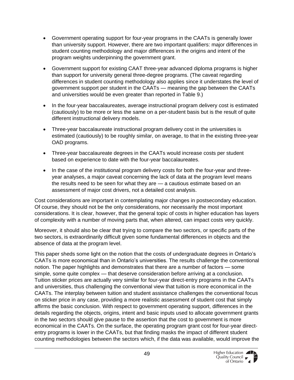- Government operating support for four-year programs in the CAATs is generally lower than university support. However, there are two important qualifiers: major differences in student counting methodology and major differences in the origins and intent of the program weights underpinning the government grant.
- Government support for existing CAAT three-year advanced diploma programs is higher than support for university general three-degree programs. (The caveat regarding differences in student counting methodology also applies since it understates the level of government support per student in the CAATs — meaning the gap between the CAATs and universities would be even greater than reported in Table 9.)
- In the four-year baccalaureates, average instructional program delivery cost is estimated (cautiously) to be more or less the same on a per-student basis but is the result of quite different instructional delivery models.
- Three-year baccalaureate instructional program delivery cost in the universities is estimated (cautiously) to be roughly similar, on average, to that in the existing three-year OAD programs.
- Three-year baccalaureate degrees in the CAATs would increase costs per student based on experience to date with the four-year baccalaureates.
- In the case of the institutional program delivery costs for both the four-year and threeyear analyses, a major caveat concerning the lack of data at the program level means the results need to be seen for what they are — a cautious estimate based on an assessment of major cost drivers, not a detailed cost analysis.

Cost considerations are important in contemplating major changes in postsecondary education. Of course, they should not be the only considerations, nor necessarily the most important considerations. It is clear, however, that the general topic of costs in higher education has layers of complexity with a number of moving parts that, when altered, can impact costs very quickly.

Moreover, it should also be clear that trying to compare the two sectors, or specific parts of the two sectors, is extraordinarily difficult given some fundamental differences in objects and the absence of data at the program level.

This paper sheds some light on the notion that the costs of undergraduate degrees in Ontario's CAATs is more economical than in Ontario's universities. The results challenge the conventional notion. The paper highlights and demonstrates that there are a number of factors — some simple, some quite complex — that deserve consideration before arriving at a conclusion. Tuition sticker prices are actually very similar for four-year direct-entry programs in the CAATs and universities, thus challenging the conventional view that tuition is more economical in the CAATs. The interplay between tuition and student assistance challenges the conventional focus on sticker price in any case, providing a more realistic assessment of student cost that simply affirms the basic conclusion. With respect to government operating support, differences in the details regarding the objects, origins, intent and basic inputs used to allocate government grants in the two sectors should give pause to the assertion that the cost to government is more economical in the CAATs. On the surface, the operating program grant cost for four-year directentry programs is lower in the CAATs, but that finding masks the impact of different student counting methodologies between the sectors which, if the data was available, would improve the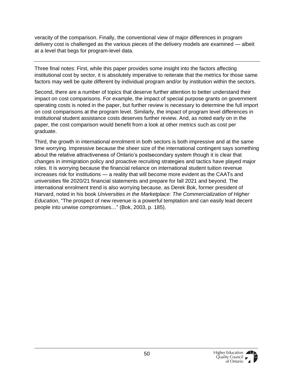veracity of the comparison. Finally, the conventional view of major differences in program delivery cost is challenged as the various pieces of the delivery models are examined — albeit at a level that begs for program-level data.

Three final notes: First, while this paper provides some insight into the factors affecting institutional cost by sector, it is absolutely imperative to reiterate that the metrics for those same factors may well be quite different by individual program and/or by institution within the sectors.

Second, there are a number of topics that deserve further attention to better understand their impact on cost comparisons. For example, the impact of special purpose grants on government operating costs is noted in the paper, but further review is necessary to determine the full import on cost comparisons at the program level. Similarly, the impact of program level differences in institutional student assistance costs deserves further review. And, as noted early on in the paper, the cost comparison would benefit from a look at other metrics such as cost per graduate.

Third, the growth in international enrolment in both sectors is both impressive and at the same time worrying. Impressive because the sheer size of the international contingent says something about the relative attractiveness of Ontario's postsecondary system though it is clear that changes in immigration policy and proactive recruiting strategies and tactics have played major roles. It is worrying because the financial reliance on international student tuition revenue increases risk for institutions — a reality that will become more evident as the CAATs and universities file 2020/21 financial statements and prepare for fall 2021 and beyond. The international enrolment trend is also worrying because, as Derek Bok, former president of Harvard, noted in his book *Universities in the Marketplace: The Commercialization of Higher Education*, "The prospect of new revenue is a powerful temptation and can easily lead decent people into unwise compromises…" (Bok, 2003, p. 185).

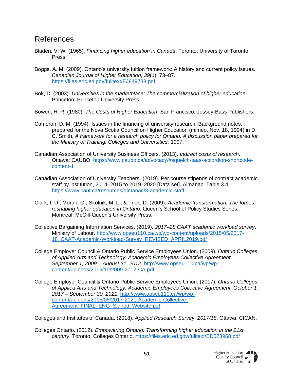### <span id="page-50-0"></span>References

- Bladen, V. W. (1965). *Financing higher education in Canada*. Toronto: University of Toronto Press.
- Boggs, A. M. (2009). Ontario's university tuition framework: A history and current policy issues. *Canadian Journal of Higher Education, 39*(1), 73–87. <https://files.eric.ed.gov/fulltext/EJ849733.pdf>
- Bok, D. (2003). *Universities in the marketplace: The commercialization of higher education*. Princeton: Princeton University Press.
- Bowen, H. R. (1980). *The Costs of Higher Education*. San Francisco: Jossey-Bass Publishers.
- Cameron, D. M. (1994). Issues in the financing of university research: Background notes, prepared for the Nova Scotia Council on Higher Education (mimeo. Nov. 18, 1994) in D. C. Smith, *A framework for a research policy for Ontario: A discussion paper prepared for the Ministry of Training, Colleges and Universities,* 1997.
- Canadian Association of University Business Officers. (2013). *Indirect costs of research*. Ottawa: CAUBO. [https://www.caubo.ca/advocacy/#squelch-taas-accordion-shortcode](https://www.caubo.ca/advocacy/#squelch-taas-accordion-shortcode-content-1)[content-1](https://www.caubo.ca/advocacy/#squelch-taas-accordion-shortcode-content-1)
- Canadian Association of University Teachers. (2019). Per course stipends of contract academic staff by institution, 2014–2015 to 2019–2020 [Data set]. Almanac, Table 3.4. <https://www.caut.ca/resources/almanac/3-academic-staff>
- Clark, I. D., Moran, G., Skolnik, M. L., & Trick, D. (2009). *Academic transformation: The forces reshaping higher education in Ontario*. Queen's School of Policy Studies Series, Montreal: McGill-Queen's University Press.
- Collective Bargaining Information Services. (2019). *2017–28 CAAT academic workload survey*. Ministry of Labour. [http://www.opseu110.ca/wp/wp-content/uploads/2015/05/2017-](http://www.opseu110.ca/wp/wp-content/uploads/2015/05/2017-18_CAAT-Academic-Workload-Survey_REVISED_APRIL2019.pdf) [18\\_CAAT-Academic-Workload-Survey\\_REVISED\\_APRIL2019.pdf](http://www.opseu110.ca/wp/wp-content/uploads/2015/05/2017-18_CAAT-Academic-Workload-Survey_REVISED_APRIL2019.pdf)
- College Employer Council & Ontario Public Service Employees Union. (2009). *Ontario Colleges of Applied Arts and Technology. Academic Employees Collective Agreement, September 1, 2009 – August 31, 2012*. [http://www.opseu110.ca/wp/wp](http://www.opseu110.ca/wp/wp-content/uploads/2015/10/2009-2012-CA.pdf)[content/uploads/2015/10/2009-2012-CA.pdf](http://www.opseu110.ca/wp/wp-content/uploads/2015/10/2009-2012-CA.pdf)
- College Employer Council & Ontario Public Service Employees Union. (2017). *Ontario Colleges of Applied Arts and Technology. Academic Employees Collective Agreement, October 1, 2017 – September 30, 2021*. [http://www.opseu110.ca/wp/wp](http://www.opseu110.ca/wp/wp-content/uploads/2015/05/2017-2021-Academic-Collective-Agreement_FINAL_ENG_Signed_Website.pdf)[content/uploads/2015/05/2017-2021-Academic-Collective-](http://www.opseu110.ca/wp/wp-content/uploads/2015/05/2017-2021-Academic-Collective-Agreement_FINAL_ENG_Signed_Website.pdf)[Agreement\\_FINAL\\_ENG\\_Signed\\_Website.pdf](http://www.opseu110.ca/wp/wp-content/uploads/2015/05/2017-2021-Academic-Collective-Agreement_FINAL_ENG_Signed_Website.pdf)

Colleges and Institutes of Canada. (2018). *Applied Research Survey, 2017/18*. Ottawa: CICAN.

Colleges Ontario. (2012). *Empowering Ontario: Transforming higher education in the 21st century*. Toronto: Colleges Ontario. <https://files.eric.ed.gov/fulltext/ED573968.pdf>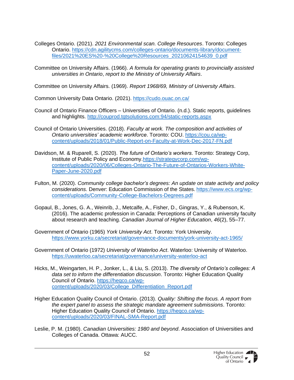- Colleges Ontario. (2021). *2021 Environmental scan. College Resources*. Toronto: Colleges Ontario. [https://cdn.agilitycms.com/colleges-ontario/documents-library/document](https://cdn.agilitycms.com/colleges-ontario/documents-library/document-files/2021%20ES%20-%20College%20Resources_20210624154639_0.pdf)[files/2021%20ES%20-%20College%20Resources\\_20210624154639\\_0.pdf](https://cdn.agilitycms.com/colleges-ontario/documents-library/document-files/2021%20ES%20-%20College%20Resources_20210624154639_0.pdf)
- Committee on University Affairs. (1966). *A formula for operating grants to provincially assisted universities in Ontario*, *report to the Ministry of University Affairs*.

Committee on University Affairs. (1969). *Report 1968/69, Ministry of University Affairs*.

Common University Data Ontario. (2021). <https://cudo.ouac.on.ca/>

- Council of Ontario Finance Officers Universities of Ontario. (n.d.). Static reports, guidelines and highlights.<http://couprod.tgtsolutions.com:94/static-reports.aspx>
- Council of Ontario Universities. (2018). *Faculty at work. The composition and activities of Ontario universities' academic workforce*. Toronto: COU. [https://cou.ca/wp](https://cou.ca/wp-content/uploads/2018/01/Public-Report-on-Faculty-at-Work-Dec-2017-FN.pdf)[content/uploads/2018/01/Public-Report-on-Faculty-at-Work-Dec-2017-FN.pdf](https://cou.ca/wp-content/uploads/2018/01/Public-Report-on-Faculty-at-Work-Dec-2017-FN.pdf)
- Davidson, M. & Ruparell, S. (2020). *The future of Ontario's workers*. Toronto: Strategy Corp, Institute of Public Policy and Economy[.https://strategycorp.com/wp](https://strategycorp.com/wp-content/uploads/2020/06/Colleges-Ontario-The-Future-of-Ontarios-Workers-White-Paper-June-2020.pdf)[content/uploads/2020/06/Colleges-Ontario-The-Future-of-Ontarios-Workers-White-](https://strategycorp.com/wp-content/uploads/2020/06/Colleges-Ontario-The-Future-of-Ontarios-Workers-White-Paper-June-2020.pdf)[Paper-June-2020.pdf](https://strategycorp.com/wp-content/uploads/2020/06/Colleges-Ontario-The-Future-of-Ontarios-Workers-White-Paper-June-2020.pdf)
- Fulton, M. (2020). *Community college bachelor's degrees: An update on state activity and policy considerations.* Denver: Education Commission of the States. [https://www.ecs.org/wp](https://www.ecs.org/wp-content/uploads/Community-College-Bachelors-Degrees.pdf)[content/uploads/Community-College-Bachelors-Degrees.pdf](https://www.ecs.org/wp-content/uploads/Community-College-Bachelors-Degrees.pdf)
- Gopaul, B., Jones, G. A., Weinrib, J., Metcalfe, A., Fisher, D., Gingras, Y., & Rubenson, K. (2016). The academic profession in Canada: Perceptions of Canadian university faculty about research and teaching. *Canadian Journal of Higher Education*, *46*(2), 55–77.
- Government of Ontario (1965) *York University Act*. Toronto: York University. <https://www.yorku.ca/secretariat/governance-documents/york-university-act-1965/>
- Government of Ontario (1972) *University of Waterloo Act*. Waterloo: University of Waterloo. <https://uwaterloo.ca/secretariat/governance/university-waterloo-act>
- Hicks, M., Weingarten, H. P., Jonker, L., & Liu, S. (2013). *The diversity of Ontario's colleges: A data set to inform the differentiation discussion*. Toronto: Higher Education Quality Council of Ontario. [https://heqco.ca/wp](https://heqco.ca/wp-content/uploads/2020/03/College_Differentiation_Report.pdf)[content/uploads/2020/03/College\\_Differentiation\\_Report.pdf](https://heqco.ca/wp-content/uploads/2020/03/College_Differentiation_Report.pdf)
- Higher Education Quality Council of Ontario. (2013). *Quality: Shifting the focus. A report from the expert panel to assess the strategic mandate agreement submissions*. Toronto: Higher Education Quality Council of Ontario. [https://heqco.ca/wp](https://heqco.ca/wp-content/uploads/2020/03/FINAL-SMA-Report.pdf)[content/uploads/2020/03/FINAL-SMA-Report.pdf](https://heqco.ca/wp-content/uploads/2020/03/FINAL-SMA-Report.pdf)
- Leslie, P. M. (1980). *Canadian Universities: 1980 and beyond*. Association of Universities and Colleges of Canada. Ottawa: AUCC.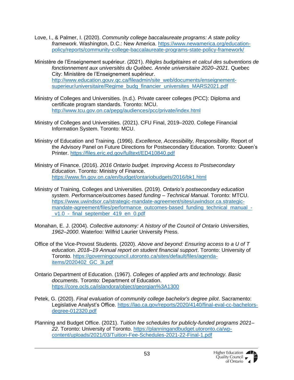- Love, I., & Palmer, I. (2020). *Community college baccalaureate programs: A state policy framework*. Washington, D.C.: New America. [https://www.newamerica.org/education](https://www.newamerica.org/education-policy/reports/community-college-baccalaureate-programs-state-policy-framework/)[policy/reports/community-college-baccalaureate-programs-state-policy-framework/](https://www.newamerica.org/education-policy/reports/community-college-baccalaureate-programs-state-policy-framework/)
- Ministère de l'Enseignement supérieur. (2021). *Règles budgétaires et calcul des subventions de fonctionnement aux universités du Québec. Année universitaire 2020–2021*. Quebec City: Ministère de l'Enseignement supérieur. [http://www.education.gouv.qc.ca/fileadmin/site\\_web/documents/enseignement](http://www.education.gouv.qc.ca/fileadmin/site_web/documents/enseignement-superieur/universitaire/Regime_budg_financier_universites_MARS2021.pdf)[superieur/universitaire/Regime\\_budg\\_financier\\_universites\\_MARS2021.pdf](http://www.education.gouv.qc.ca/fileadmin/site_web/documents/enseignement-superieur/universitaire/Regime_budg_financier_universites_MARS2021.pdf)
- Ministry of Colleges and Universities. (n.d.). Private career colleges (PCC): Diploma and certificate program standards. Toronto: MCU. <http://www.tcu.gov.on.ca/pepg/audiences/pcc/private/index.html>
- Ministry of Colleges and Universities. (2021). CFU Final, 2019–2020. College Financial Information System. Toronto: MCU.
- Ministry of Education and Training. (1996). *Excellence, Accessibility, Responsibility*. Report of the Advisory Panel on Future Directions for Postsecondary Education. Toronto: Queen's Printer.<https://files.eric.ed.gov/fulltext/ED410840.pdf>
- Ministry of Finance. (2016). *2016 Ontario budget. Improving Access to Postsecondary Education*. Toronto: Ministry of Finance. <https://www.fin.gov.on.ca/en/budget/ontariobudgets/2016/bk1.html>
- Ministry of Training, Colleges and Universities. (2019). *Ontario's postsecondary education system. Performance/outcomes based funding – Technical Manual*. Toronto: MTCU. [https://www.uwindsor.ca/strategic-mandate-agreement/sites/uwindsor.ca.strategic](https://www.uwindsor.ca/strategic-mandate-agreement/sites/uwindsor.ca.strategic-mandate-agreement/files/performance_outcomes-based_funding_technical_manual_-_v1.0_-_final_september_419_en_0.pdf)[mandate-agreement/files/performance\\_outcomes-based\\_funding\\_technical\\_manual\\_](https://www.uwindsor.ca/strategic-mandate-agreement/sites/uwindsor.ca.strategic-mandate-agreement/files/performance_outcomes-based_funding_technical_manual_-_v1.0_-_final_september_419_en_0.pdf) v1.0 - final september 419 en 0.pdf
- Monahan, E. J. (2004). *Collective autonomy: A history of the Council of Ontario Universities, 1962–2000*. Waterloo: Wilfrid Laurier University Press.
- Office of the Vice-Provost Students. (2020). *Above and beyond: Ensuring access to a U of T education*. *2018–19 Annual report on student financial support*. Toronto: University of Toronto. [https://governingcouncil.utoronto.ca/sites/default/files/agenda](https://governingcouncil.utoronto.ca/sites/default/files/agenda-items/2020402_GC_3i.pdf)[items/2020402\\_GC\\_3i.pdf](https://governingcouncil.utoronto.ca/sites/default/files/agenda-items/2020402_GC_3i.pdf)
- Ontario Department of Education. (1967). *Colleges of applied arts and technology. Basic documents*. Toronto: Department of Education. <https://core.ocls.ca/islandora/object/georgian%3A1300>
- Petek, G. (2020). *Final evaluation of community college bachelor's degree pilot*. Sacramento: Legislative Analyst's Office. [https://lao.ca.gov/reports/2020/4140/final-eval-cc-bachelors](https://lao.ca.gov/reports/2020/4140/final-eval-cc-bachelors-degree-012320.pdf)[degree-012320.pdf](https://lao.ca.gov/reports/2020/4140/final-eval-cc-bachelors-degree-012320.pdf)
- Planning and Budget Office. (2021). *Tuition fee schedules for publicly-funded programs 2021– 22*. Toronto: University of Toronto. [https://planningandbudget.utoronto.ca/wp](https://planningandbudget.utoronto.ca/wp-content/uploads/2021/03/Tuition-Fee-Schedules-2021-22-Final-1.pdf)[content/uploads/2021/03/Tuition-Fee-Schedules-2021-22-Final-1.pdf](https://planningandbudget.utoronto.ca/wp-content/uploads/2021/03/Tuition-Fee-Schedules-2021-22-Final-1.pdf)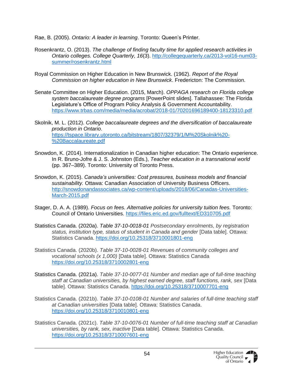Rae, B. (2005). *Ontario: A leader in learning*. Toronto: Queen's Printer.

- Rosenkrantz, O. (2013). *The challenge of finding faculty time for applied research activities in Ontario colleges. College Quarterly, 16*(3). [http://collegequarterly.ca/2013-vol16-num03](http://collegequarterly.ca/2013-vol16-num03-summer/rosenkrantz.html) [summer/rosenkrantz.html](http://collegequarterly.ca/2013-vol16-num03-summer/rosenkrantz.html)
- Royal Commission on Higher Education in New Brunswick. (1962). *Report of the Royal Commission on higher education in New Brunswick*. Fredericton: The Commission.
- Senate Committee on Higher Education. (2015, March). *OPPAGA research on Florida college system baccalaureate degree programs* [PowerPoint slides]. Tallahassee: The Florida Legislature's Office of Program Policy Analysis & Government Accountability. <https://www.trbas.com/media/media/acrobat/2018-01/70201696189400-18123310.pdf>
- Skolnik, M. L. (2012). *College baccalaureate degrees and the diversification of baccalaureate production in Ontario*. [https://tspace.library.utoronto.ca/bitstream/1807/32379/1/M%20Skolnik%20-](https://tspace.library.utoronto.ca/bitstream/1807/32379/1/M%20Skolnik%20-%20Baccalaureate.pdf) [%20Baccalaureate.pdf](https://tspace.library.utoronto.ca/bitstream/1807/32379/1/M%20Skolnik%20-%20Baccalaureate.pdf)
- Snowdon, K. (2014). Internationalization in Canadian higher education: The Ontario experience*.*  In R. Bruno-Jofre & J. S. Johnston (Eds.), *Teacher education in a transnational world* (pp. 367–389). Toronto: University of Toronto Press.
- Snowdon, K. (2015). *Canada's universities: Cost pressures, business models and financial sustainability.* Ottawa: Canadian Association of University Business Officers. [http://snowdonandassociates.ca/wp-content/uploads/2018/06/Canadas-Universities-](http://snowdonandassociates.ca/wp-content/uploads/2018/06/Canadas-Universities-March-2015.pdf)[March-2015.pdf](http://snowdonandassociates.ca/wp-content/uploads/2018/06/Canadas-Universities-March-2015.pdf)
- Stager, D. A. A. (1989). *Focus on fees. Alternative policies for university tuition fees.* Toronto: Council of Ontario Universities.<https://files.eric.ed.gov/fulltext/ED310705.pdf>
- Statistics Canada. (2020a). *Table 37-10-0018-01 Postsecondary enrolments, by registration status, institution type, status of student in Canada and gender* [Data table]. Ottawa: Statistics Canada.<https://doi.org/10.25318/3710001801-eng>
- Statistics Canada. (2020b). *Table 37-10-0028-01 Revenues of community colleges and vocational schools (x 1,000)* [Data table]. Ottawa: Statistics Canada <https://doi.org/10.25318/3710002801-eng>
- Statistics Canada. (2021a). *Table 37-10-0077-01 Number and median age of full-time teaching staff at Canadian universities, by highest earned degree, staff functions, rank, sex* [Data table]. Ottawa: Statistics Canada.<https://doi.org/10.25318/3710007701-eng>
- Statistics Canada. (2021b). *Table 37-10-0108-01 Number and salaries of full-time teaching staff at Canadian universities* [Data table]. Ottawa: Statistics Canada. <https://doi.org/10.25318/3710010801-eng>
- Statistics Canada. (2021c). *Table 37-10-0076-01 Number of full-time teaching staff at Canadian universities, by rank, sex, inactive* [Data table]. Ottawa: Statistics Canada. <https://doi.org/10.25318/3710007601-eng>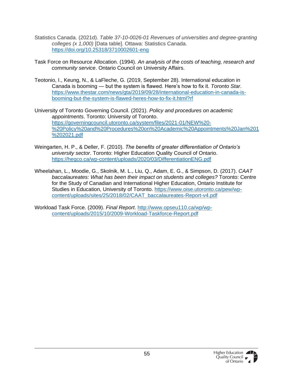- Statistics Canada. (2021d). *Table 37-10-0026-01 Revenues of universities and degree-granting colleges (x 1,000)* [Data table]. Ottawa: Statistics Canada. <https://doi.org/10.25318/3710002601-eng>
- Task Force on Resource Allocation. (1994). *An analysis of the costs of teaching, research and community service*. Ontario Council on University Affairs.
- Teotonio, I., Keung, N., & LaFleche, G. (2019, September 28). International education in Canada is booming — but the system is flawed. Here's how to fix it. *Toronto Star*. [https://www.thestar.com/news/gta/2019/09/28/international-education-in-canada-is](https://www.thestar.com/news/gta/2019/09/28/international-education-in-canada-is-booming-but-the-system-is-flawed-heres-how-to-fix-it.html?rf)[booming-but-the-system-is-flawed-heres-how-to-fix-it.html?rf](https://www.thestar.com/news/gta/2019/09/28/international-education-in-canada-is-booming-but-the-system-is-flawed-heres-how-to-fix-it.html?rf)
- University of Toronto Governing Council. (2021). *Policy and procedures on academic appointments*. Toronto: University of Toronto. [https://governingcouncil.utoronto.ca/system/files/2021-01/NEW%20-](https://governingcouncil.utoronto.ca/system/files/2021-01/NEW%20-%20Policy%20and%20Procedures%20on%20Academic%20Appointments%20Jan%201%202021.pdf) [%20Policy%20and%20Procedures%20on%20Academic%20Appointments%20Jan%201](https://governingcouncil.utoronto.ca/system/files/2021-01/NEW%20-%20Policy%20and%20Procedures%20on%20Academic%20Appointments%20Jan%201%202021.pdf) [%202021.pdf](https://governingcouncil.utoronto.ca/system/files/2021-01/NEW%20-%20Policy%20and%20Procedures%20on%20Academic%20Appointments%20Jan%201%202021.pdf)
- Weingarten, H. P., & Deller, F. (2010). *The benefits of greater differentiation of Ontario's university sector*. Toronto: Higher Education Quality Council of Ontario. <https://heqco.ca/wp-content/uploads/2020/03/DifferentiationENG.pdf>
- Wheelahan, L., Moodie, G., Skolnik, M. L., Liu, Q., Adam, E. G., & Simpson, D. (2017). *CAAT baccalaureates: What has been their impact on students and colleges?* Toronto: Centre for the Study of Canadian and International Higher Education, Ontario Institute for Studies in Education, University of Toronto. [https://www.oise.utoronto.ca/pew/wp](https://www.oise.utoronto.ca/pew/wp-content/uploads/sites/25/2018/02/CAAT_baccalaureates-Report-v4.pdf)[content/uploads/sites/25/2018/02/CAAT\\_baccalaureates-Report-v4.pdf](https://www.oise.utoronto.ca/pew/wp-content/uploads/sites/25/2018/02/CAAT_baccalaureates-Report-v4.pdf)
- Workload Task Force. (2009). *Final Report*. [http://www.opseu110.ca/wp/wp](http://www.opseu110.ca/wp/wp-content/uploads/2015/10/2009-Workload-Taskforce-Report.pdf)[content/uploads/2015/10/2009-Workload-Taskforce-Report.pdf](http://www.opseu110.ca/wp/wp-content/uploads/2015/10/2009-Workload-Taskforce-Report.pdf)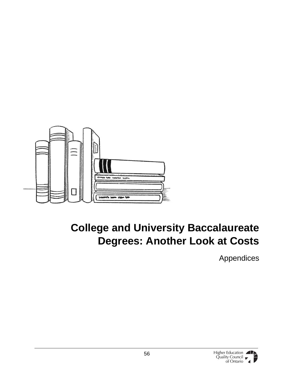

# <span id="page-55-0"></span>**College and University Baccalaureate Degrees: Another Look at Costs**

Appendices

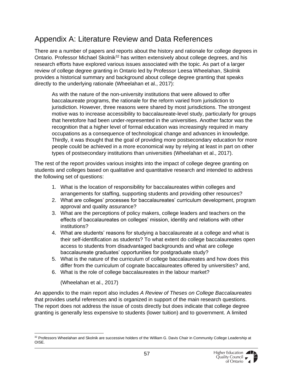### <span id="page-56-0"></span>Appendix A: Literature Review and Data References

There are a number of papers and reports about the history and rationale for college degrees in Ontario. Professor Michael Skolnik<sup>32</sup> has written extensively about college degrees, and his research efforts have explored various issues associated with the topic. As part of a larger review of college degree granting in Ontario led by Professor Leesa Wheelahan, Skolnik provides a historical summary and background about college degree granting that speaks directly to the underlying rationale (Wheelahan et al., 2017):

As with the nature of the non-university institutions that were allowed to offer baccalaureate programs, the rationale for the reform varied from jurisdiction to jurisdiction. However, three reasons were shared by most jurisdictions. The strongest motive was to increase accessibility to baccalaureate-level study, particularly for groups that heretofore had been under-represented in the universities. Another factor was the recognition that a higher level of formal education was increasingly required in many occupations as a consequence of technological change and advances in knowledge. Thirdly, it was thought that the goal of providing more postsecondary education for more people could be achieved in a more economical way by relying at least in part on other types of postsecondary institutions than universities (Wheelahan et al., 2017).

The rest of the report provides various insights into the impact of college degree granting on students and colleges based on qualitative and quantitative research and intended to address the following set of questions:

- 1. What is the location of responsibility for baccalaureates within colleges and arrangements for staffing, supporting students and providing other resources?
- 2. What are colleges' processes for baccalaureates' curriculum development, program approval and quality assurance?
- 3. What are the perceptions of policy makers, college leaders and teachers on the effects of baccalaureates on colleges' mission, identity and relations with other institutions?
- 4. What are students' reasons for studying a baccalaureate at a college and what is their self-identification as students? To what extent do college baccalaureates open access to students from disadvantaged backgrounds and what are college baccalaureate graduates' opportunities for postgraduate study?
- 5. What is the nature of the curriculum of college baccalaureates and how does this differ from the curriculum of cognate baccalaureates offered by universities? and,
- 6. What is the role of college baccalaureates in the labour market?

(Wheelahan et al., 2017)

An appendix to the main report also includes *A Review of Theses on College Baccalaureates* that provides useful references and is organized in support of the main research questions. The report does not address the issue of costs directly but does indicate that college degree granting is generally less expensive to students (lower tuition) and to government. A limited

<sup>32</sup> Professors Wheelahan and Skolnik are successive holders of the William G. Davis Chair in Community College Leadership at OISE.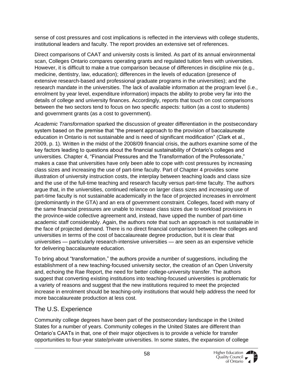sense of cost pressures and cost implications is reflected in the interviews with college students, institutional leaders and faculty. The report provides an extensive set of references.

Direct comparisons of CAAT and university costs is limited. As part of its annual environmental scan, Colleges Ontario compares operating grants and regulated tuition fees with universities. However, it is difficult to make a true comparison because of differences in discipline mix (e.g., medicine, dentistry, law, education); differences in the levels of education (presence of extensive research-based and professional graduate programs in the universities); and the research mandate in the universities. The lack of available information at the program level (i.e., enrolment by year level, expenditure information) impacts the ability to probe very far into the details of college and university finances. Accordingly, reports that touch on cost comparisons between the two sectors tend to focus on two specific aspects: tuition (as a cost to students) and government grants (as a cost to government).

*Academic Transformation* sparked the discussion of greater differentiation in the postsecondary system based on the premise that "the present approach to the provision of baccalaureate education in Ontario is not sustainable and is need of significant modification" (Clark et al., 2009, p. 1). Written in the midst of the 2008/09 financial crisis, the authors examine some of the key factors leading to questions about the financial sustainability of Ontario's colleges and universities. Chapter 4, "Financial Pressures and the Transformation of the Professoriate," makes a case that universities have only been able to cope with cost pressures by increasing class sizes and increasing the use of part-time faculty. Part of Chapter 4 provides some illustration of university instruction costs, the interplay between teaching loads and class size and the use of the full-time teaching and research faculty versus part-time faculty. The authors argue that, in the universities, continued reliance on larger class sizes and increasing use of part-time faculty is not sustainable academically in the face of projected increases in enrolment (predominantly in the GTA) and an era of government constraint. Colleges, faced with many of the same financial pressures are unable to increase class sizes due to workload provisions in the province-wide collective agreement and, instead, have upped the number of part-time academic staff considerably. Again, the authors note that such an approach is not sustainable in the face of projected demand. There is no direct financial comparison between the colleges and universities in terms of the cost of baccalaureate degree production, but it is clear that universities — particularly research-intensive universities — are seen as an expensive vehicle for delivering baccalaureate education.

To bring about "transformation," the authors provide a number of suggestions, including the establishment of a new teaching-focused university sector, the creation of an Open University and, echoing the Rae Report, the need for better college-university transfer. The authors suggest that converting existing institutions into teaching-focused universities is problematic for a variety of reasons and suggest that the new institutions required to meet the projected increase in enrolment should be teaching-only institutions that would help address the need for more baccalaureate production at less cost.

#### <span id="page-57-0"></span>The U.S. Experience

Community college degrees have been part of the postsecondary landscape in the United States for a number of years. Community colleges in the United States are different than Ontario's CAATs in that, one of their major objectives is to provide a vehicle for transfer opportunities to four-year state/private universities. In some states, the expansion of college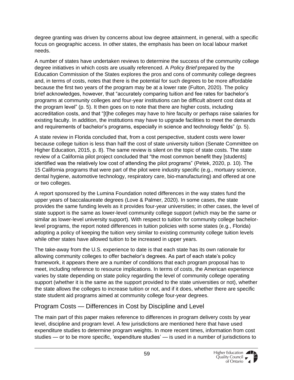degree granting was driven by concerns about low degree attainment, in general, with a specific focus on geographic access. In other states, the emphasis has been on local labour market needs.

A number of states have undertaken reviews to determine the success of the community college degree initiatives in which costs are usually referenced. A *Policy Brief* prepared by the Education Commission of the States explores the pros and cons of community college degrees and, in terms of costs, notes that there is the potential for such degrees to be more affordable because the first two years of the program may be at a lower rate (Fulton, 2020). The policy brief acknowledges, however, that "accurately comparing tuition and fee rates for bachelor's programs at community colleges and four-year institutions can be difficult absent cost data at the program level" (p. 5). It then goes on to note that there are higher costs, including accreditation costs, and that "[t]he colleges may have to hire faculty or perhaps raise salaries for existing faculty. In addition, the institutions may have to upgrade facilities to meet the demands and requirements of bachelor's programs, especially in science and technology fields" (p. 5).

A state review in Florida concluded that, from a cost perspective, student costs were lower because college tuition is less than half the cost of state university tuition (Senate Committee on Higher Education, 2015, p. 8). The same review is silent on the topic of state costs. The state review of a California pilot project concluded that "the most common benefit they [students] identified was the relatively low cost of attending the pilot programs" (Petek, 2020, p. 10). The 15 California programs that were part of the pilot were industry specific (e.g., mortuary science, dental hygiene, automotive technology, respiratory care, bio-manufacturing) and offered at one or two colleges.

A report sponsored by the Lumina Foundation noted differences in the way states fund the upper years of baccalaureate degrees (Love & Palmer, 2020). In some cases, the state provides the same funding levels as it provides four-year universities; in other cases, the level of state support is the same as lower-level community college support (which may be the same or similar as lower-level university support). With respect to tuition for community college bachelorlevel programs, the report noted differences in tuition policies with some states (e.g., Florida) adopting a policy of keeping the tuition very similar to existing community college tuition levels while other states have allowed tuition to be increased in upper years.

The take-away from the U.S. experience to date is that each state has its own rationale for allowing community colleges to offer bachelor's degrees. As part of each state's policy framework, it appears there are a number of conditions that each program proposal has to meet, including reference to resource implications. In terms of costs, the American experience varies by state depending on state policy regarding the level of community college operating support (whether it is the same as the support provided to the state universities or not), whether the state allows the colleges to increase tuition or not, and if it does, whether there are specific state student aid programs aimed at community college four-year degrees.

#### <span id="page-58-0"></span>Program Costs — Differences in Cost by Discipline and Level

The main part of this paper makes reference to differences in program delivery costs by year level, discipline and program level. A few jurisdictions are mentioned here that have used expenditure studies to determine program weights. In more recent times, information from cost studies — or to be more specific, 'expenditure studies' — is used in a number of jurisdictions to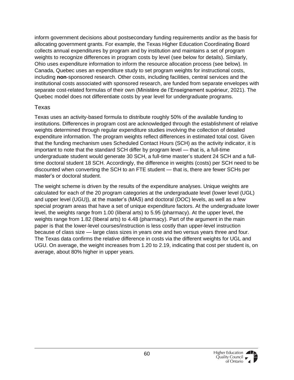inform government decisions about postsecondary funding requirements and/or as the basis for allocating government grants. For example, the Texas Higher Education Coordinating Board collects annual expenditures by program and by institution and maintains a set of program weights to recognize differences in program costs by level (see below for details). Similarly, Ohio uses expenditure information to inform the resource allocation process (see below). In Canada, Quebec uses an expenditure study to set program weights for instructional costs, including **non**-sponsored research. Other costs, including facilities, central services and the institutional costs associated with sponsored research, are funded from separate envelopes with separate cost-related formulas of their own (Ministère de l'Enseignement supérieur, 2021). The Quebec model does not differentiate costs by year level for undergraduate programs.

#### <span id="page-59-0"></span>Texas

Texas uses an activity-based formula to distribute roughly 50% of the available funding to institutions. Differences in program cost are acknowledged through the establishment of relative weights determined through regular expenditure studies involving the collection of detailed expenditure information. The program weights reflect differences in estimated total cost. Given that the funding mechanism uses Scheduled Contact Hours (SCH) as the activity indicator, it is important to note that the standard SCH differ by program level — that is, a full-time undergraduate student would generate 30 SCH, a full-time master's student 24 SCH and a fulltime doctoral student 18 SCH. Accordingly, the difference in weights (costs) per SCH need to be discounted when converting the SCH to an FTE student — that is, there are fewer SCHs per master's or doctoral student.

The weight scheme is driven by the results of the expenditure analyses. Unique weights are calculated for each of the 20 program categories at the undergraduate level (lower level (UGL) and upper level (UGU)), at the master's (MAS) and doctoral (DOC) levels, as well as a few special program areas that have a set of unique expenditure factors. At the undergraduate lower level, the weights range from 1.00 (liberal arts) to 5.95 (pharmacy). At the upper level, the weights range from 1.82 (liberal arts) to 4.48 (pharmacy). Part of the argument in the main paper is that the lower-level courses/instruction is less costly than upper-level instruction because of class size — large class sizes in years one and two versus years three and four. The Texas data confirms the relative difference in costs via the different weights for UGL and UGU. On average, the weight increases from 1.20 to 2.19, indicating that cost per student is, on average, about 80% higher in upper years.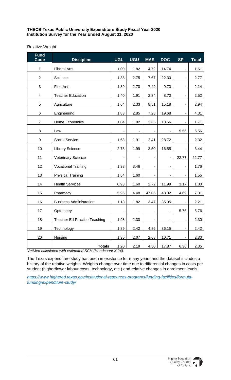#### **THECB Texas Public University Expenditure Study Fiscal Year 2020 Institution Survey for the Year Ended August 31, 2020**

#### Relative Weight

| <b>Fund</b><br><b>Code</b> | <b>Discipline</b>                   | <b>UGL</b>     | <b>UGU</b>     | <b>MAS</b>                   | <b>DOC</b>               | <b>SP</b>                    | <b>Total</b> |
|----------------------------|-------------------------------------|----------------|----------------|------------------------------|--------------------------|------------------------------|--------------|
| 1                          | <b>Liberal Arts</b>                 | 1.00           | 1.82           | 4.72                         | 14.74                    | $\qquad \qquad \blacksquare$ | 1.61         |
| $\overline{2}$             | Science                             | 1.38           | 2.75           | 7.67                         | 22.30                    |                              | 2.77         |
| $\sqrt{3}$                 | Fine Arts                           | 1.39           | 2.70           | 7.49                         | 9.73                     |                              | 2.14         |
| $\overline{\mathbf{4}}$    | <b>Teacher Education</b>            | 1.40           | 1.91           | 2.34                         | 8.70                     | $\qquad \qquad \blacksquare$ | 2.52         |
| 5                          | Agriculture                         | 1.64           | 2.33           | 8.51                         | 15.18                    |                              | 2.94         |
| 6                          | Engineering                         | 1.83           | 2.85           | 7.28                         | 19.68                    |                              | 4.31         |
| $\overline{7}$             | Home Economics                      | 1.04           | 1.82           | 3.65                         | 13.66                    | $\qquad \qquad \blacksquare$ | 1.71         |
| 8                          | Law                                 |                |                |                              |                          | 5.56                         | 5.56         |
| $\boldsymbol{9}$           | Social Service                      | 1.63           | 1.91           | 2.41                         | 28.72                    | $\overline{\phantom{0}}$     | 2.32         |
| 10                         | <b>Library Science</b>              | 2.73           | 1.99           | 3.50                         | 16.55                    |                              | 3.44         |
| 11                         | <b>Veterinary Science</b>           | $\blacksquare$ | $\blacksquare$ | $\qquad \qquad \blacksquare$ | $\blacksquare$           | 22.77                        | 22.77        |
| 12                         | <b>Vocational Training</b>          | 1.38           | 3.46           | ۰                            | $\blacksquare$           | $\qquad \qquad \blacksquare$ | 1.76         |
| 13                         | <b>Physical Training</b>            | 1.54           | 1.60           |                              |                          |                              | 1.55         |
| 14                         | <b>Health Services</b>              | 0.93           | 1.60           | 2.72                         | 11.99                    | 3.17                         | 1.80         |
| 15                         | Pharmacy                            | 5.95           | 4.48           | 47.05                        | 48.02                    | 4.69                         | 7.31         |
| 16                         | <b>Business Administration</b>      | 1.13           | 1.82           | 3.47                         | 35.95                    |                              | 2.21         |
| 17                         | Optometry                           | $\blacksquare$ | $\blacksquare$ | $\blacksquare$               | $\overline{\phantom{a}}$ | 5.76                         | 5.76         |
| 18                         | <b>Teacher Ed-Practice Teaching</b> | 1.98           | 2.30           | $\blacksquare$               | $\blacksquare$           | $\overline{\phantom{a}}$     | 2.30         |
| 19                         | Technology                          | 1.89           | 2.42           | 4.86                         | 36.15                    |                              | 2.42         |
| 20                         | Nursing                             | 1.35           | 2.07           | 2.68                         | 10.71                    | ÷                            | 2.30         |
|                            | <b>Totals</b>                       | 1.20           | 2.19           | 4.50                         | 17.87                    | 6.36                         | 2.35         |

*VetMed calculated with estimated SCH (Headcount X 24).*

The Texas expenditure study has been in existence for many years and the dataset includes a history of the relative weights. Weights change over time due to differential changes in costs per student (higher/lower labour costs, technology, etc.) and relative changes in enrolment levels.

*https://www.highered.texas.gov/institutional-resources-programs/funding-facilities/formulafunding/expenditure-study/*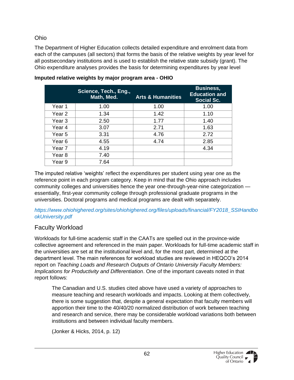#### <span id="page-61-0"></span>Ohio

The Department of Higher Education collects detailed expenditure and enrolment data from each of the campuses (all sectors) that forms the basis of the relative weights by year level for all postsecondary institutions and is used to establish the relative state subsidy (grant). The Ohio expenditure analyses provides the basis for determining expenditures by year level

|                   | Science, Tech., Eng.,<br>Math, Med. | <b>Arts &amp; Humanities</b> | <b>Business,</b><br><b>Education and</b><br><b>Social Sc.</b> |
|-------------------|-------------------------------------|------------------------------|---------------------------------------------------------------|
| Year 1            | 1.00                                | 1.00                         | 1.00                                                          |
| Year 2            | 1.34                                | 1.42                         | 1.10                                                          |
| Year 3            | 2.50                                | 1.77                         | 1.40                                                          |
| Year 4            | 3.07                                | 2.71                         | 1.63                                                          |
| Year <sub>5</sub> | 3.31                                | 4.76                         | 2.72                                                          |
| Year <sub>6</sub> | 4.55                                | 4.74                         | 2.85                                                          |
| Year 7            | 4.19                                |                              | 4.34                                                          |
| Year 8            | 7.40                                |                              |                                                               |
| Year 9            | 7.64                                |                              |                                                               |

**Imputed relative weights by major program area - OHIO**

The imputed relative 'weights' reflect the expenditures per student using year one as the reference point in each program category. Keep in mind that the Ohio approach includes community colleges and universities hence the year one-through-year-nine categorization essentially, first-year community college through professional graduate programs in the universities. Doctoral programs and medical programs are dealt with separately.

*https://www.ohiohighered.org/sites/ohiohighered.org/files/uploads/financial/FY2018\_SSIHandbo okUniversity.pdf*

#### <span id="page-61-1"></span>Faculty Workload

Workloads for full-time academic staff in the CAATs are spelled out in the province-wide collective agreement and referenced in the main paper. Workloads for full-time academic staff in the universities are set at the institutional level and, for the most part, determined at the department level. The main references for workload studies are reviewed in HEQCO's 2014 report on *Teaching Loads and Research Outputs of Ontario University Faculty Members: Implications for Productivity and Differentiation*. One of the important caveats noted in that report follows:

The Canadian and U.S. studies cited above have used a variety of approaches to measure teaching and research workloads and impacts. Looking at them collectively, there is some suggestion that, despite a general expectation that faculty members will apportion their time to the 40/40/20 normalized distribution of work between teaching and research and service, there may be considerable workload variations both between institutions and between individual faculty members.

(Jonker & Hicks, 2014, p. 12)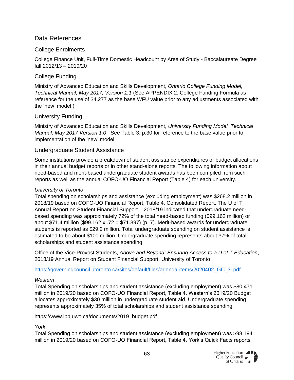#### <span id="page-62-0"></span>Data References

#### <span id="page-62-1"></span>College Enrolments

College Finance Unit, Full-Time Domestic Headcount by Area of Study - Baccalaureate Degree fall 2012/13 – 2019/20

#### <span id="page-62-2"></span>College Funding

Ministry of Advanced Education and Skills Development, *Ontario College Funding Model, Technical Manual, May 2017, Version 1.1* (See APPENDIX 2: College Funding Formula as reference for the use of \$4,277 as the base WFU value prior to any adjustments associated with the 'new' model.)

#### <span id="page-62-3"></span>University Funding

Ministry of Advanced Education and Skills Development, *University Funding Model, Technical Manual, May 2017 Version 1.0*. See Table 3, p.30 for reference to the base value prior to implementation of the 'new' model.

#### <span id="page-62-4"></span>Undergraduate Student Assistance

Some institutions provide a breakdown of student assistance expenditures or budget allocations in their annual budget reports or in other stand-alone reports. The following information about need-based and merit-based undergraduate student awards has been compiled from such reports as well as the annual COFO-UO Financial Report (Table 4) for each university.

#### <span id="page-62-5"></span>*University of Toronto*

Total spending on scholarships and assistance (excluding employment) was \$268.2 million in 2018/19 based on COFO-UO Financial Report, Table 4, Consolidated Report. The U of T Annual Report on Student Financial Support – 2018/19 indicated that undergraduate needbased spending was approximately 72% of the total need-based funding (\$99.162 million) or about \$71.4 million (\$99.162 x .72 = \$71.397) (p. 7). Merit-based awards for undergraduate students is reported as \$29.2 million. Total undergraduate spending on student assistance is estimated to be about \$100 million. Undergraduate spending represents about 37% of total scholarships and student assistance spending.

Office of the Vice-Provost Students, *Above and Beyond: Ensuring Access to a U of T Education*, 2018/19 Annual Report on Student Financial Support, University of Toronto

[https://governingcouncil.utoronto.ca/sites/default/files/agenda-items/2020402\\_GC\\_3i.pdf](https://governingcouncil.utoronto.ca/sites/default/files/agenda-items/2020402_GC_3i.pdf)

#### <span id="page-62-6"></span>*Western*

Total Spending on scholarships and student assistance (excluding employment) was \$80.471 million in 2019/20 based on COFO-UO Financial Report, Table 4. Western's 2019/20 Budget allocates approximately \$30 million in undergraduate student aid. Undergraduate spending represents approximately 35% of total scholarships and student assistance spending.

#### https://www.ipb.uwo.ca/documents/2019\_budget.pdf

#### <span id="page-62-7"></span>*York*

Total Spending on scholarships and student assistance (excluding employment) was \$98.194 million in 2019/20 based on COFO-UO Financial Report, Table 4. York's Quick Facts reports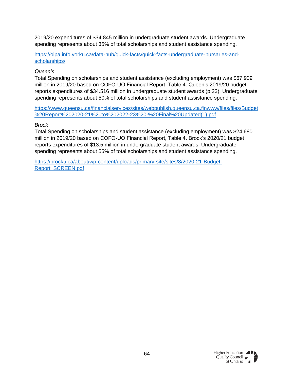2019/20 expenditures of \$34.845 million in undergraduate student awards. Undergraduate spending represents about 35% of total scholarships and student assistance spending.

[https://oipa.info.yorku.ca/data-hub/quick-facts/quick-facts-undergraduate-bursaries-and](https://oipa.info.yorku.ca/data-hub/quick-facts/quick-facts-undergraduate-bursaries-and-scholarships/)[scholarships/](https://oipa.info.yorku.ca/data-hub/quick-facts/quick-facts-undergraduate-bursaries-and-scholarships/)

#### <span id="page-63-0"></span>*Queen's*

Total Spending on scholarships and student assistance (excluding employment) was \$67.909 million in 2019/20 based on COFO-UO Financial Report, Table 4. Queen's 2019/20 budget reports expenditures of \$34.516 million in undergraduate student awards (p.23). Undergraduate spending represents about 50% of total scholarships and student assistance spending.

[https://www.queensu.ca/financialservices/sites/webpublish.queensu.ca.finwww/files/files/Budget](https://www.queensu.ca/financialservices/sites/webpublish.queensu.ca.finwww/files/files/Budget%20Report%202020-21%20to%202022-23%20-%20Final%20Updated(1).pdf) [%20Report%202020-21%20to%202022-23%20-%20Final%20Updated\(1\).pdf](https://www.queensu.ca/financialservices/sites/webpublish.queensu.ca.finwww/files/files/Budget%20Report%202020-21%20to%202022-23%20-%20Final%20Updated(1).pdf)

#### <span id="page-63-1"></span>*Brock*

Total Spending on scholarships and student assistance (excluding employment) was \$24.680 million in 2019/20 based on COFO-UO Financial Report, Table 4. Brock's 2020/21 budget reports expenditures of \$13.5 million in undergraduate student awards. Undergraduate spending represents about 55% of total scholarships and student assistance spending.

[https://brocku.ca/about/wp-content/uploads/primary-site/sites/8/2020-21-Budget-](https://brocku.ca/about/wp-content/uploads/primary-site/sites/8/2020-21-Budget-Report_SCREEN.pdf)[Report\\_SCREEN.pdf](https://brocku.ca/about/wp-content/uploads/primary-site/sites/8/2020-21-Budget-Report_SCREEN.pdf)

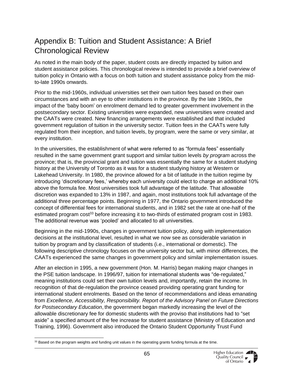### <span id="page-64-0"></span>Appendix B: Tuition and Student Assistance: A Brief Chronological Review

As noted in the main body of the paper, student costs are directly impacted by tuition and student assistance policies. This chronological review is intended to provide a brief overview of tuition policy in Ontario with a focus on both tuition and student assistance policy from the midto-late 1990s onwards.

Prior to the mid-1960s, individual universities set their own tuition fees based on their own circumstances and with an eye to other institutions in the province. By the late 1960s, the impact of the 'baby boom' on enrolment demand led to greater government involvement in the postsecondary sector. Existing universities were expanded, new universities were created and the CAATs were created. New financing arrangements were established and that included government regulation of tuition in the university sector. Tuition fees in the CAATs were fully regulated from their inception, and tuition levels, by program, were the same or very similar, at every institution.

In the universities, the establishment of what were referred to as "formula fees" essentially resulted in the same government grant support and similar tuition levels *by program* across the province; that is, the provincial grant and tuition was essentially the same for a student studying history at the University of Toronto as it was for a student studying history at Western or Lakehead University. In 1980, the province allowed for a bit of latitude in the tuition regime by introducing 'discretionary fees,' whereby each university could elect to charge an additional 10% above the formula fee. Most universities took full advantage of the latitude. That allowable discretion was expanded to 13% in 1987, and again, most institutions took full advantage of the additional three percentage points. Beginning in 1977, the Ontario government introduced the concept of differential fees for international students, and in 1982 set the rate at one-half of the estimated program cost<sup>33</sup> before increasing it to two-thirds of estimated program cost in 1983. The additional revenue was 'pooled' and allocated to all universities.

Beginning in the mid-1990s, changes in government tuition policy, along with implementation decisions at the institutional level, resulted in what we now see as considerable variation in tuition by program and by classification of students (i.e., international or domestic). The following descriptive chronology focuses on the university sector but, with minor differences, the CAATs experienced the same changes in government policy and similar implementation issues.

After an election in 1995, a new government (Hon. M. Harris) began making major changes in the PSE tuition landscape. In 1996/97, tuition for international students was "de-regulated," meaning institutions could set their own tuition levels and, importantly, retain the income. In recognition of that de-regulation the province ceased providing operating grant funding for international student enrolments. Based on the tenor of recommendations and ideas emanating from *Excellence, Accessibility, Responsibility. Report of the Advisory Panel on Future Directions for Postsecondary Education*, the government began markedly increasing the level of the allowable discretionary fee for domestic students with the proviso that institutions had to "set aside" a specified amount of the fee increase for student assistance (Ministry of Education and Training, 1996). Government also introduced the Ontario Student Opportunity Trust Fund

 $33$  Based on the program weights and funding unit values in the operating grants funding formula at the time.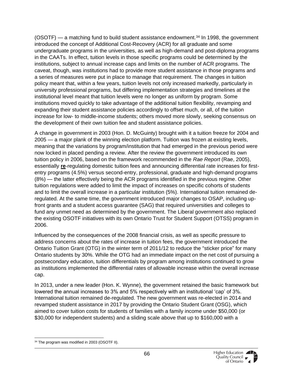$(OSOTF)$  — a matching fund to build student assistance endowment.<sup>34</sup> In 1998, the government introduced the concept of Additional Cost-Recovery (ACR) for all graduate and some undergraduate programs in the universities, as well as high-demand and post-diploma programs in the CAATs. In effect, tuition levels in those specific programs could be determined by the institutions, subject to annual increase caps and limits on the number of ACR programs. The caveat, though, was institutions had to provide more student assistance in those programs and a series of measures were put in place to manage that requirement. The changes in tuition policy meant that, within a few years, tuition levels not only increased markedly, particularly in university professional programs, but differing implementation strategies and timelines at the institutional level meant that tuition levels were no longer as uniform by program. Some institutions moved quickly to take advantage of the additional tuition flexibility, revamping and expanding their student assistance policies accordingly to offset much, or all, of the tuition increase for low- to middle-income students; others moved more slowly, seeking consensus on the development of their own tuition fee and student assistance policies.

A change in government in 2003 (Hon. D. McGuinty) brought with it a tuition freeze for 2004 and 2005 — a major plank of the winning election platform. Tuition was frozen at existing levels, meaning that the variations by program/institution that had emerged in the previous period were now locked in placed pending a review. After the review the government introduced its own tuition policy in 2006, based on the framework recommended in the *Rae Report* (Rae, 2005), essentially **re**-regulating domestic tuition fees and announcing differential rate increases for firstentry programs (4.5%) versus second-entry, professional, graduate and high-demand programs (8%) — the latter effectively being the ACR programs identified in the previous regime. Other tuition regulations were added to limit the impact of increases on specific cohorts of students and to limit the overall increase in a particular institution (5%). International tuition remained deregulated. At the same time, the government introduced major changes to OSAP, including upfront grants and a student access guarantee (SAG) that required universities and colleges to fund any unmet need as determined by the government. The Liberal government also replaced the existing OSOTF initiatives with its own Ontario Trust for Student Support (OTSS) program in 2006.

Influenced by the consequences of the 2008 financial crisis, as well as specific pressure to address concerns about the rates of increase in tuition fees, the government introduced the Ontario Tuition Grant (OTG) in the winter term of 2011/12 to reduce the "sticker price" for many Ontario students by 30%. While the OTG had an immediate impact on the net cost of pursuing a postsecondary education, tuition differentials by program among institutions continued to grow as institutions implemented the differential rates of allowable increase within the overall increase cap.

In 2013, under a new leader (Hon. K. Wynne), the government retained the basic framework but lowered the annual increases to 3% and 5% respectively with an institutional 'cap' of 3%. International tuition remained de-regulated. The new government was re-elected in 2014 and revamped student assistance in 2017 by providing the Ontario Student Grant (OSG), which aimed to cover tuition costs for students of families with a family income under \$50,000 (or \$30,000 for independent students) and a sliding scale above that up to \$160,000 with a

<sup>&</sup>lt;sup>34</sup> The program was modified in 2003 (OSOTF II).